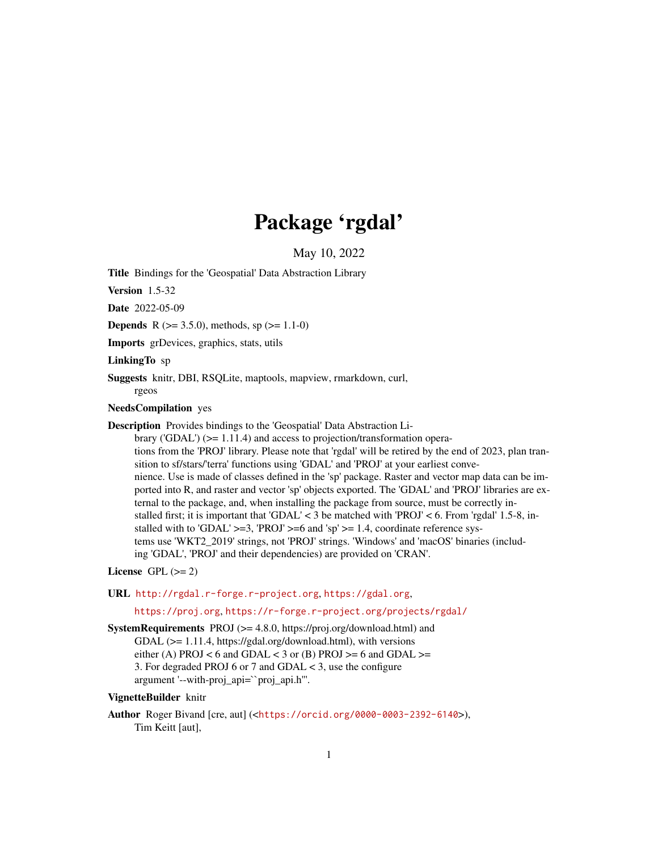## Package 'rgdal'

May 10, 2022

<span id="page-0-0"></span>Title Bindings for the 'Geospatial' Data Abstraction Library

Version 1.5-32

Date 2022-05-09

**Depends** R ( $>= 3.5.0$ ), methods, sp ( $>= 1.1-0$ )

Imports grDevices, graphics, stats, utils

LinkingTo sp

Suggests knitr, DBI, RSQLite, maptools, mapview, rmarkdown, curl, rgeos

NeedsCompilation yes

Description Provides bindings to the 'Geospatial' Data Abstraction Li-

brary ('GDAL')  $(>= 1.11.4)$  and access to projection/transformation operations from the 'PROJ' library. Please note that 'rgdal' will be retired by the end of 2023, plan transition to sf/stars/'terra' functions using 'GDAL' and 'PROJ' at your earliest convenience. Use is made of classes defined in the 'sp' package. Raster and vector map data can be imported into R, and raster and vector 'sp' objects exported. The 'GDAL' and 'PROJ' libraries are external to the package, and, when installing the package from source, must be correctly installed first; it is important that 'GDAL'  $<$  3 be matched with 'PROJ'  $<$  6. From 'rgdal' 1.5-8, installed with to 'GDAL'  $>=$ 3, 'PROJ'  $>=$ 6 and 'sp'  $>=$  1.4, coordinate reference systems use 'WKT2\_2019' strings, not 'PROJ' strings. 'Windows' and 'macOS' binaries (including 'GDAL', 'PROJ' and their dependencies) are provided on 'CRAN'.

License GPL  $(>= 2)$ 

URL <http://rgdal.r-forge.r-project.org>, <https://gdal.org>,

<https://proj.org>, <https://r-forge.r-project.org/projects/rgdal/>

SystemRequirements PROJ (>= 4.8.0, https://proj.org/download.html) and GDAL (>= 1.11.4, https://gdal.org/download.html), with versions either (A) PROJ < 6 and GDAL < 3 or (B) PROJ >= 6 and GDAL >= 3. For degraded PROJ 6 or 7 and GDAL < 3, use the configure argument '--with-proj\_api=``proj\_api.h'''.

## VignetteBuilder knitr

Author Roger Bivand [cre, aut] (<<https://orcid.org/0000-0003-2392-6140>>), Tim Keitt [aut],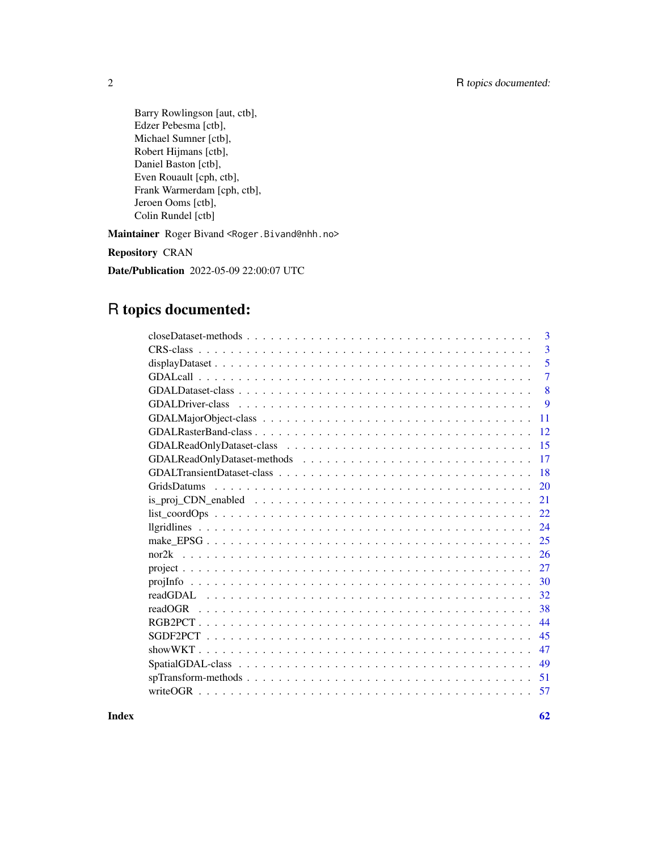Barry Rowlingson [aut, ctb], Edzer Pebesma [ctb], Michael Sumner [ctb], Robert Hijmans [ctb], Daniel Baston [ctb], Even Rouault [cph, ctb], Frank Warmerdam [cph, ctb], Jeroen Ooms [ctb], Colin Rundel [ctb]

Maintainer Roger Bivand <Roger.Bivand@nhh.no>

Repository CRAN

Date/Publication 2022-05-09 22:00:07 UTC

## R topics documented:

| 3                        |
|--------------------------|
| $\overline{3}$           |
| 5                        |
| $\overline{7}$           |
| 8                        |
| 9                        |
| 11                       |
| 12                       |
| 15                       |
| 17                       |
| 18                       |
| 20<br><b>GridsDatums</b> |
| 21                       |
| 22                       |
| 24                       |
| 25                       |
| 26                       |
| 27                       |
| 30                       |
| 32                       |
| 38                       |
| 44                       |
| 45                       |
| 47                       |
| 49                       |
| 51                       |
| 57                       |
|                          |

 $\blacksquare$  Index  $\blacksquare$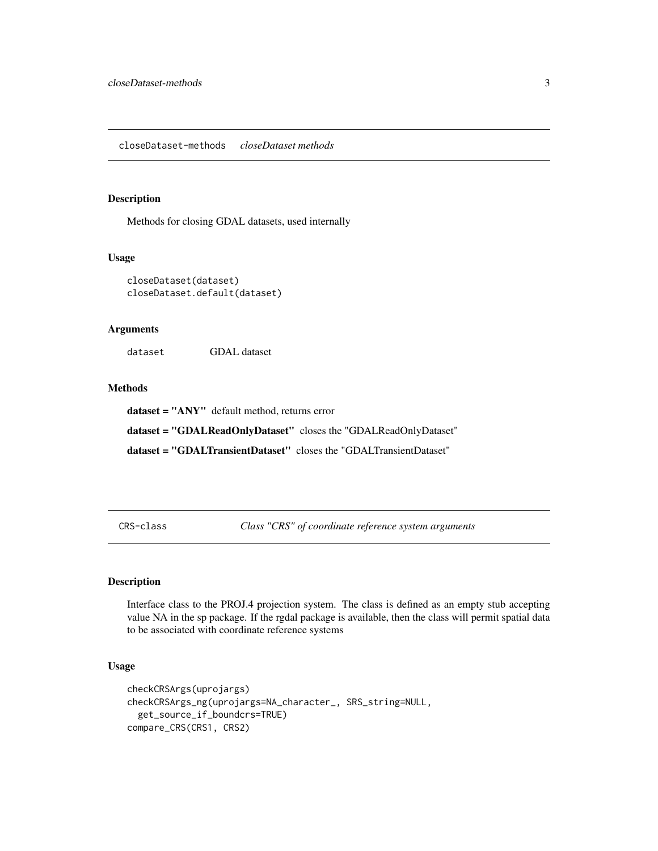#### <span id="page-2-0"></span>Description

Methods for closing GDAL datasets, used internally

#### Usage

```
closeDataset(dataset)
closeDataset.default(dataset)
```
#### Arguments

dataset GDAL dataset

#### Methods

dataset = "ANY" default method, returns error

dataset = "GDALReadOnlyDataset" closes the "GDALReadOnlyDataset"

dataset = "GDALTransientDataset" closes the "GDALTransientDataset"

<span id="page-2-1"></span>CRS-class *Class "CRS" of coordinate reference system arguments*

#### Description

Interface class to the PROJ.4 projection system. The class is defined as an empty stub accepting value NA in the sp package. If the rgdal package is available, then the class will permit spatial data to be associated with coordinate reference systems

#### Usage

```
checkCRSArgs(uprojargs)
checkCRSArgs_ng(uprojargs=NA_character_, SRS_string=NULL,
  get_source_if_boundcrs=TRUE)
compare_CRS(CRS1, CRS2)
```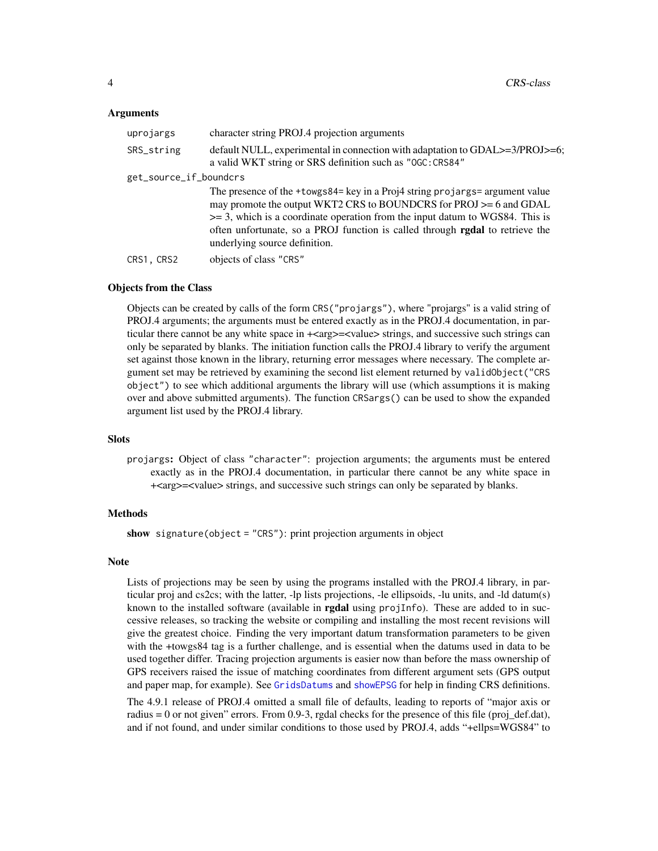#### <span id="page-3-0"></span>Arguments

| uprojargs              | character string PROJ.4 projection arguments                                                                                                                                                                                                                                                                                                             |  |
|------------------------|----------------------------------------------------------------------------------------------------------------------------------------------------------------------------------------------------------------------------------------------------------------------------------------------------------------------------------------------------------|--|
| SRS_string             | default NULL, experimental in connection with adaptation to GDAL>=3/PROJ>=6;<br>a valid WKT string or SRS definition such as "OGC: CRS84"                                                                                                                                                                                                                |  |
| get_source_if_boundcrs |                                                                                                                                                                                                                                                                                                                                                          |  |
|                        | The presence of the +towgs84= key in a Proj4 string projargs= argument value<br>may promote the output WKT2 CRS to BOUNDCRS for PROJ >= 6 and GDAL<br>$\geq$ 3, which is a coordinate operation from the input datum to WGS84. This is<br>often unfortunate, so a PROJ function is called through rgdal to retrieve the<br>underlying source definition. |  |
| CRS1, CRS2             | objects of class "CRS"                                                                                                                                                                                                                                                                                                                                   |  |

### Objects from the Class

Objects can be created by calls of the form CRS("projargs"), where "projargs" is a valid string of PROJ.4 arguments; the arguments must be entered exactly as in the PROJ.4 documentation, in particular there cannot be any white space in  $+\langle \text{arg}\rangle = \langle \text{values} \rangle$  strings, and successive such strings can only be separated by blanks. The initiation function calls the PROJ.4 library to verify the argument set against those known in the library, returning error messages where necessary. The complete argument set may be retrieved by examining the second list element returned by validObject("CRS object") to see which additional arguments the library will use (which assumptions it is making over and above submitted arguments). The function CRSargs() can be used to show the expanded argument list used by the PROJ.4 library.

#### **Slots**

projargs: Object of class "character": projection arguments; the arguments must be entered exactly as in the PROJ.4 documentation, in particular there cannot be any white space in +<arg>=<value> strings, and successive such strings can only be separated by blanks.

#### Methods

show signature(object = "CRS"): print projection arguments in object

#### Note

Lists of projections may be seen by using the programs installed with the PROJ.4 library, in particular proj and cs2cs; with the latter, -lp lists projections, -le ellipsoids, -lu units, and -ld datum(s) known to the installed software (available in **rgdal** using  $projInfo$ ). These are added to in successive releases, so tracking the website or compiling and installing the most recent revisions will give the greatest choice. Finding the very important datum transformation parameters to be given with the +towgs84 tag is a further challenge, and is essential when the datums used in data to be used together differ. Tracing projection arguments is easier now than before the mass ownership of GPS receivers raised the issue of matching coordinates from different argument sets (GPS output and paper map, for example). See [GridsDatums](#page-19-1) and [showEPSG](#page-46-1) for help in finding CRS definitions.

The 4.9.1 release of PROJ.4 omitted a small file of defaults, leading to reports of "major axis or radius = 0 or not given" errors. From 0.9-3, rgdal checks for the presence of this file (proj\_def.dat), and if not found, and under similar conditions to those used by PROJ.4, adds "+ellps=WGS84" to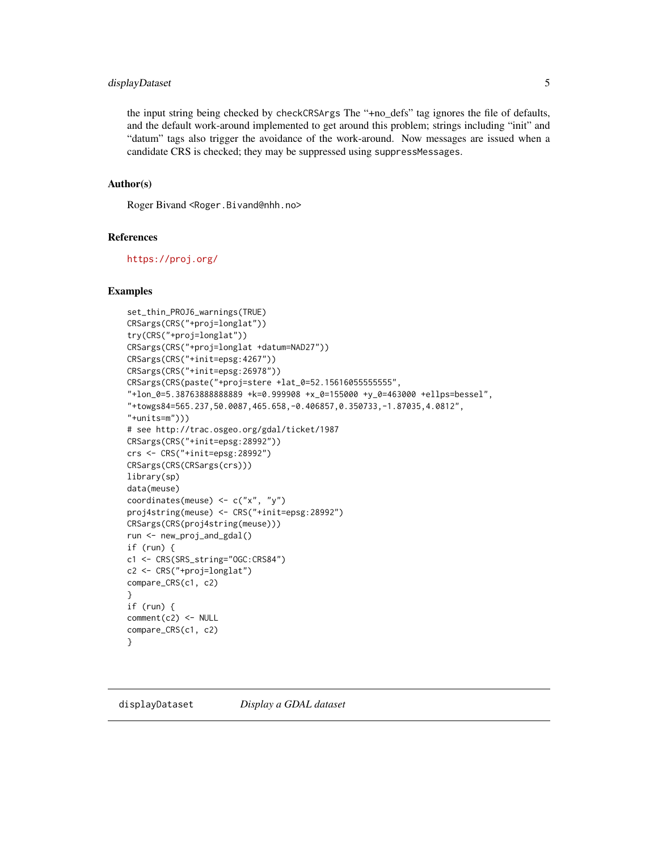## <span id="page-4-0"></span>displayDataset 5

the input string being checked by checkCRSArgs The "+no\_defs" tag ignores the file of defaults, and the default work-around implemented to get around this problem; strings including "init" and "datum" tags also trigger the avoidance of the work-around. Now messages are issued when a candidate CRS is checked; they may be suppressed using suppressMessages.

#### Author(s)

Roger Bivand <Roger.Bivand@nhh.no>

## References

<https://proj.org/>

#### Examples

```
set_thin_PROJ6_warnings(TRUE)
CRSargs(CRS("+proj=longlat"))
try(CRS("+proj=longlat"))
CRSargs(CRS("+proj=longlat +datum=NAD27"))
CRSargs(CRS("+init=epsg:4267"))
CRSargs(CRS("+init=epsg:26978"))
CRSargs(CRS(paste("+proj=stere +lat_0=52.15616055555555",
"+lon_0=5.38763888888889 +k=0.999908 +x_0=155000 +y_0=463000 +ellps=bessel",
"+towgs84=565.237,50.0087,465.658,-0.406857,0.350733,-1.87035,4.0812",
"+units=m")))
# see http://trac.osgeo.org/gdal/ticket/1987
CRSargs(CRS("+init=epsg:28992"))
crs <- CRS("+init=epsg:28992")
CRSargs(CRS(CRSargs(crs)))
library(sp)
data(meuse)
coordinates(meuse) <- c("x", "y")
proj4string(meuse) <- CRS("+init=epsg:28992")
CRSargs(CRS(proj4string(meuse)))
run <- new_proj_and_gdal()
if (run) {
c1 <- CRS(SRS_string="OGC:CRS84")
c2 <- CRS("+proj=longlat")
compare_CRS(c1, c2)
}
if (run) {
comment(c2) <- NULL
compare_CRS(c1, c2)
}
```
displayDataset *Display a GDAL dataset*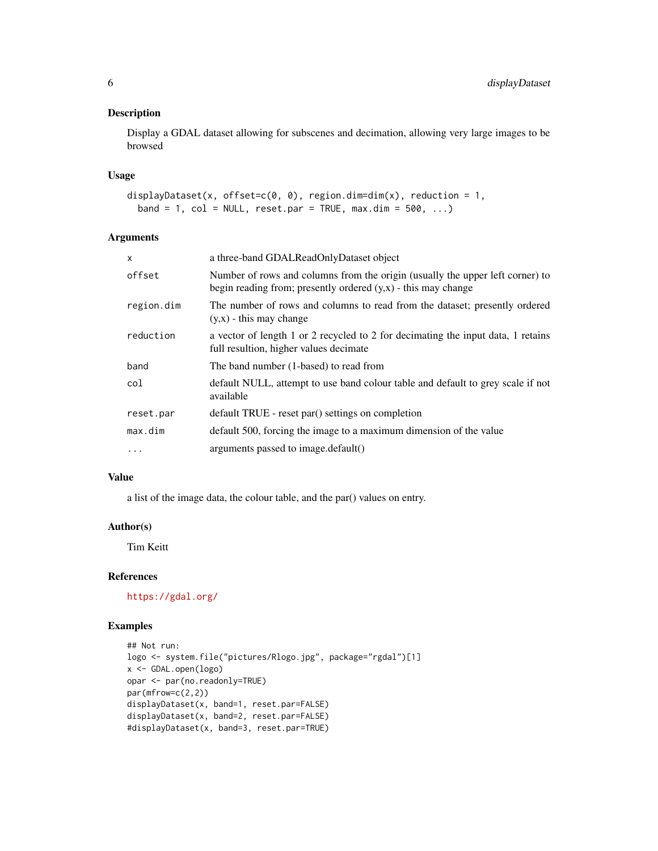## Description

Display a GDAL dataset allowing for subscenes and decimation, allowing very large images to be browsed

#### Usage

```
displayDataset(x, offset=c(0, 0), region.dim=dim(x), reduction = 1,
 band = 1, col = NULL, reset.par = TRUE, max.dim = 500, ...)
```
## Arguments

| $\mathsf{x}$ | a three-band GDALReadOnlyDataset object                                                                                                          |  |
|--------------|--------------------------------------------------------------------------------------------------------------------------------------------------|--|
| offset       | Number of rows and columns from the origin (usually the upper left corner) to<br>begin reading from; presently ordered $(y,x)$ - this may change |  |
| region.dim   | The number of rows and columns to read from the dataset; presently ordered<br>$(y,x)$ - this may change                                          |  |
| reduction    | a vector of length 1 or 2 recycled to 2 for decimating the input data, 1 retains<br>full resultion, higher values decimate                       |  |
| band         | The band number (1-based) to read from                                                                                                           |  |
| col          | default NULL, attempt to use band colour table and default to grey scale if not<br>available                                                     |  |
| reset.par    | default TRUE - reset par() settings on completion                                                                                                |  |
| max.dim      | default 500, forcing the image to a maximum dimension of the value                                                                               |  |
| $\cdots$     | arguments passed to image.default()                                                                                                              |  |

## Value

a list of the image data, the colour table, and the par() values on entry.

## Author(s)

Tim Keitt

## References

<https://gdal.org/>

```
## Not run:
logo <- system.file("pictures/Rlogo.jpg", package="rgdal")[1]
x <- GDAL.open(logo)
opar <- par(no.readonly=TRUE)
par(mfrow=c(2,2))
displayDataset(x, band=1, reset.par=FALSE)
displayDataset(x, band=2, reset.par=FALSE)
#displayDataset(x, band=3, reset.par=TRUE)
```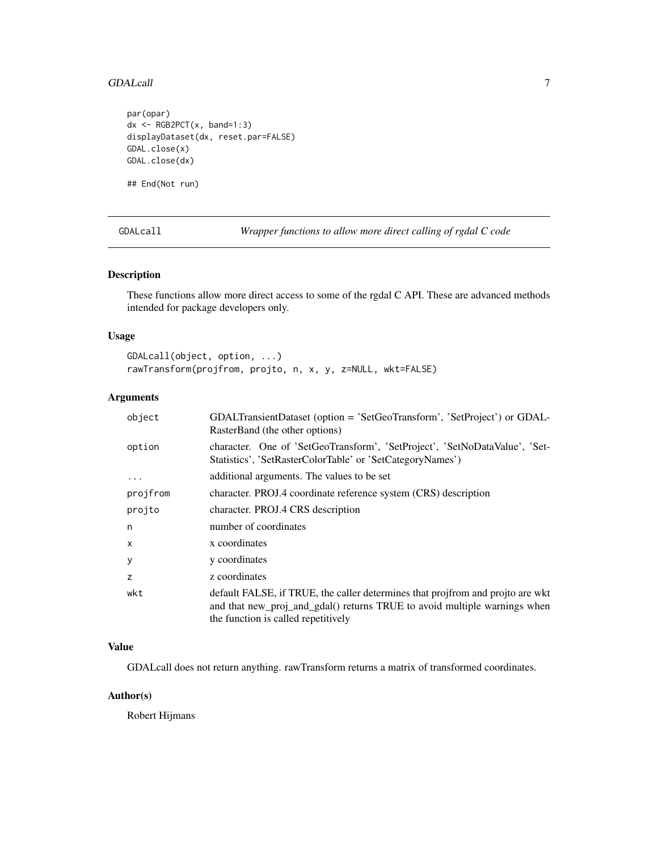#### <span id="page-6-0"></span>GDALcall **7**

```
par(opar)
dx <- RGB2PCT(x, band=1:3)displayDataset(dx, reset.par=FALSE)
GDAL.close(x)
GDAL.close(dx)
```
## End(Not run)

GDALcall *Wrapper functions to allow more direct calling of rgdal C code*

#### Description

These functions allow more direct access to some of the rgdal C API. These are advanced methods intended for package developers only.

## Usage

```
GDALcall(object, option, ...)
rawTransform(projfrom, projto, n, x, y, z=NULL, wkt=FALSE)
```
## Arguments

| object       | GDALTransientDataset (option = 'SetGeoTransform', 'SetProject') or GDAL-<br>RasterBand (the other options)                                                                                         |  |
|--------------|----------------------------------------------------------------------------------------------------------------------------------------------------------------------------------------------------|--|
| option       | character. One of 'SetGeoTransform', 'SetProject', 'SetNoDataValue', 'Set-<br>Statistics', 'SetRasterColorTable' or 'SetCategoryNames')                                                            |  |
| $\ddotsc$    | additional arguments. The values to be set                                                                                                                                                         |  |
| projfrom     | character. PROJ.4 coordinate reference system (CRS) description                                                                                                                                    |  |
| projto       | character. PROJ.4 CRS description                                                                                                                                                                  |  |
| n            | number of coordinates                                                                                                                                                                              |  |
| $\mathsf{x}$ | x coordinates                                                                                                                                                                                      |  |
| y            | y coordinates                                                                                                                                                                                      |  |
| z            | z coordinates                                                                                                                                                                                      |  |
| wkt          | default FALSE, if TRUE, the caller determines that projfrom and projto are wkt<br>and that new_proj_and_gdal() returns TRUE to avoid multiple warnings when<br>the function is called repetitively |  |

## Value

GDALcall does not return anything. rawTransform returns a matrix of transformed coordinates.

## Author(s)

Robert Hijmans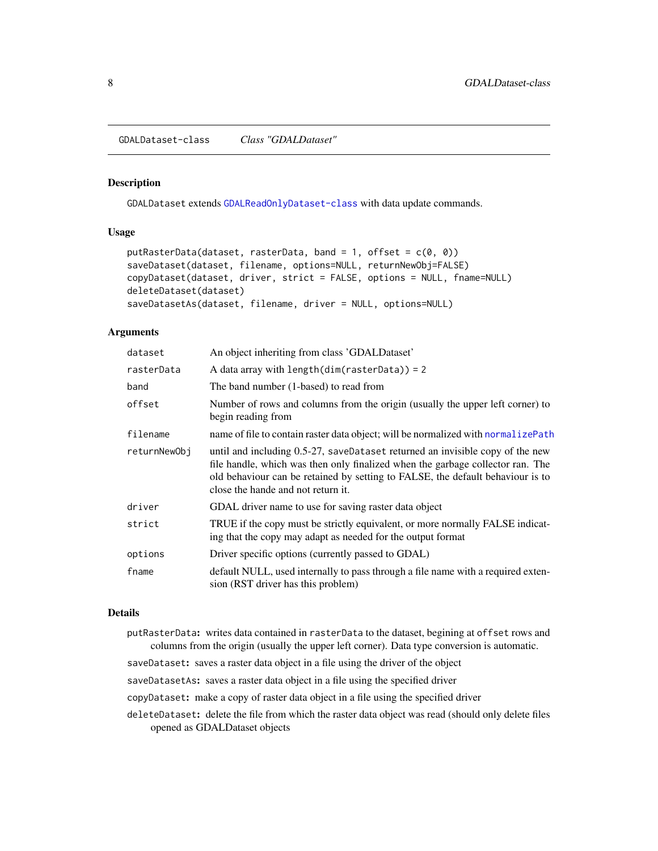<span id="page-7-1"></span><span id="page-7-0"></span>GDALDataset-class *Class "GDALDataset"*

#### <span id="page-7-2"></span>Description

GDALDataset extends [GDALReadOnlyDataset-class](#page-14-1) with data update commands.

#### Usage

```
putRasterData(dataset, rasterData, band = 1, offset = c(\theta, \theta))
saveDataset(dataset, filename, options=NULL, returnNewObj=FALSE)
copyDataset(dataset, driver, strict = FALSE, options = NULL, fname=NULL)
deleteDataset(dataset)
saveDatasetAs(dataset, filename, driver = NULL, options=NULL)
```
## Arguments

| dataset      | An object inheriting from class 'GDALD ataset'                                                                                                                                                                                                                                          |  |
|--------------|-----------------------------------------------------------------------------------------------------------------------------------------------------------------------------------------------------------------------------------------------------------------------------------------|--|
| rasterData   | A data array with length( $dim(rasterData)$ ) = 2                                                                                                                                                                                                                                       |  |
| band         | The band number (1-based) to read from                                                                                                                                                                                                                                                  |  |
| offset       | Number of rows and columns from the origin (usually the upper left corner) to<br>begin reading from                                                                                                                                                                                     |  |
| filename     | name of file to contain raster data object; will be normalized with normalizePath                                                                                                                                                                                                       |  |
| returnNewObi | until and including 0.5-27, saveDataset returned an invisible copy of the new<br>file handle, which was then only finalized when the garbage collector ran. The<br>old behaviour can be retained by setting to FALSE, the default behaviour is to<br>close the hande and not return it. |  |
| driver       | GDAL driver name to use for saving raster data object                                                                                                                                                                                                                                   |  |
| strict       | TRUE if the copy must be strictly equivalent, or more normally FALSE indicat-<br>ing that the copy may adapt as needed for the output format                                                                                                                                            |  |
| options      | Driver specific options (currently passed to GDAL)                                                                                                                                                                                                                                      |  |
| fname        | default NULL, used internally to pass through a file name with a required exten-<br>sion (RST driver has this problem)                                                                                                                                                                  |  |

#### Details

- putRasterData: writes data contained in rasterData to the dataset, begining at offset rows and columns from the origin (usually the upper left corner). Data type conversion is automatic.
- saveDataset: saves a raster data object in a file using the driver of the object

saveDatasetAs: saves a raster data object in a file using the specified driver

copyDataset: make a copy of raster data object in a file using the specified driver

deleteDataset: delete the file from which the raster data object was read (should only delete files opened as GDALDataset objects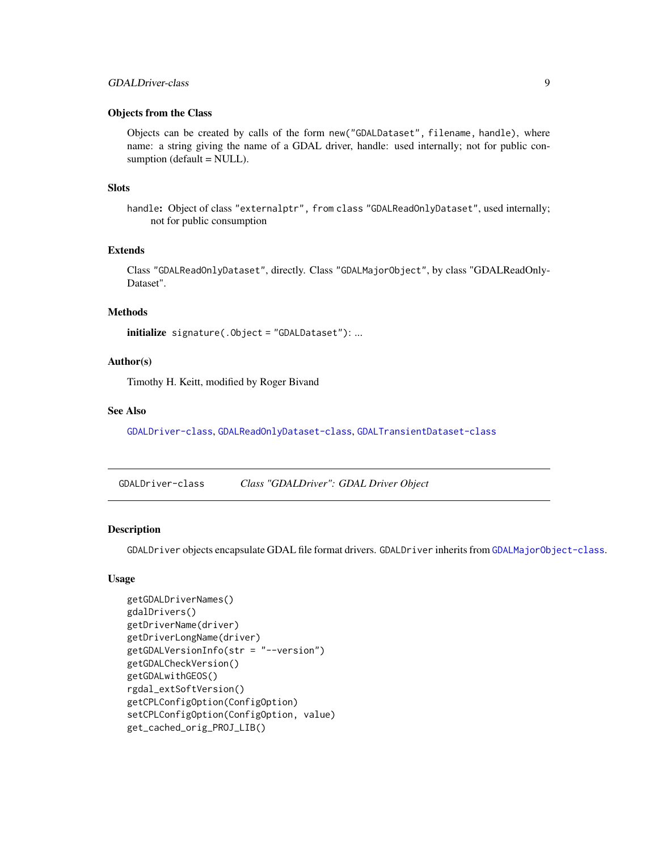## <span id="page-8-0"></span>GDALDriver-class 9

## Objects from the Class

Objects can be created by calls of the form new("GDALDataset", filename, handle), where name: a string giving the name of a GDAL driver, handle: used internally; not for public consumption (default = NULL).

## Slots

handle: Object of class "externalptr", from class "GDALReadOnlyDataset", used internally; not for public consumption

## Extends

Class "GDALReadOnlyDataset", directly. Class "GDALMajorObject", by class "GDALReadOnly-Dataset".

## Methods

initialize signature(.Object = "GDALDataset"): ...

## Author(s)

Timothy H. Keitt, modified by Roger Bivand

#### See Also

[GDALDriver-class](#page-8-1), [GDALReadOnlyDataset-class](#page-14-1), [GDALTransientDataset-class](#page-17-1)

<span id="page-8-1"></span>GDALDriver-class *Class "GDALDriver": GDAL Driver Object*

## Description

GDALDriver objects encapsulate GDAL file format drivers. GDALDriver inherits from [GDALMajorObject-class](#page-10-1).

## Usage

```
getGDALDriverNames()
gdalDrivers()
getDriverName(driver)
getDriverLongName(driver)
getGDALVersionInfo(str = "--version")
getGDALCheckVersion()
getGDALwithGEOS()
rgdal_extSoftVersion()
getCPLConfigOption(ConfigOption)
setCPLConfigOption(ConfigOption, value)
get_cached_orig_PROJ_LIB()
```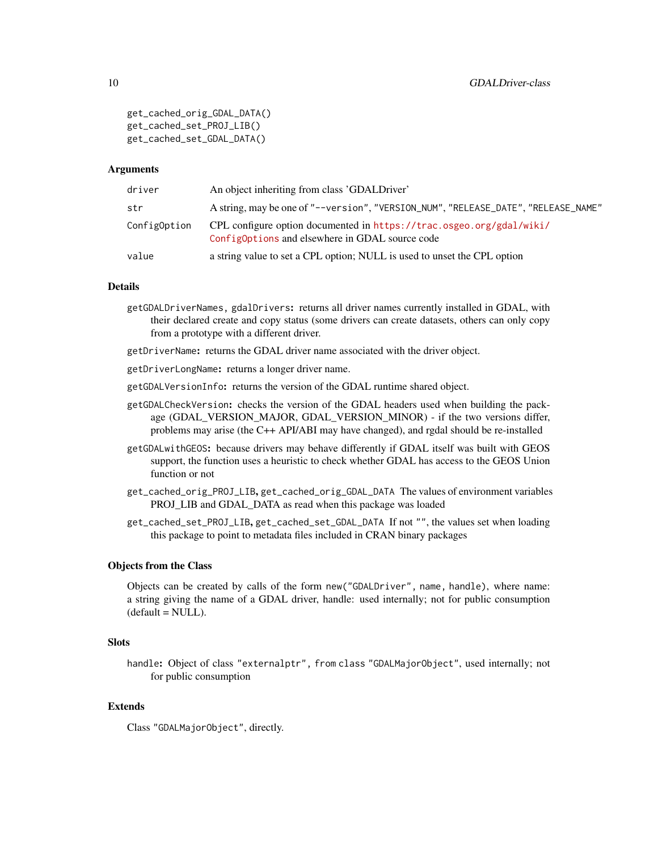```
get_cached_orig_GDAL_DATA()
get_cached_set_PROJ_LIB()
get_cached_set_GDAL_DATA()
```
#### Arguments

| driver       | An object inheriting from class 'GDALDriver'                                                                            |
|--------------|-------------------------------------------------------------------------------------------------------------------------|
| str          | A string, may be one of "--version", "VERSION_NUM", "RELEASE_DATE", "RELEASE_NAME"                                      |
| ConfigOption | CPL configure option documented in https://trac.osgeo.org/gdal/wiki/<br>Config0ptions and elsewhere in GDAL source code |
| value        | a string value to set a CPL option; NULL is used to unset the CPL option                                                |

#### Details

- getGDALDriverNames, gdalDrivers: returns all driver names currently installed in GDAL, with their declared create and copy status (some drivers can create datasets, others can only copy from a prototype with a different driver.
- getDriverName: returns the GDAL driver name associated with the driver object.
- getDriverLongName: returns a longer driver name.
- getGDALVersionInfo: returns the version of the GDAL runtime shared object.
- getGDALCheckVersion: checks the version of the GDAL headers used when building the package (GDAL\_VERSION\_MAJOR, GDAL\_VERSION\_MINOR) - if the two versions differ, problems may arise (the C++ API/ABI may have changed), and rgdal should be re-installed
- getGDALwithGEOS: because drivers may behave differently if GDAL itself was built with GEOS support, the function uses a heuristic to check whether GDAL has access to the GEOS Union function or not
- get\_cached\_orig\_PROJ\_LIB, get\_cached\_orig\_GDAL\_DATA The values of environment variables PROJ\_LIB and GDAL\_DATA as read when this package was loaded
- get\_cached\_set\_PROJ\_LIB, get\_cached\_set\_GDAL\_DATA If not "", the values set when loading this package to point to metadata files included in CRAN binary packages

#### Objects from the Class

Objects can be created by calls of the form new("GDALDriver", name, handle), where name: a string giving the name of a GDAL driver, handle: used internally; not for public consumption  $(detault = NULL).$ 

#### **Slots**

handle: Object of class "externalptr", from class "GDALMajorObject", used internally; not for public consumption

## Extends

Class "GDALMajorObject", directly.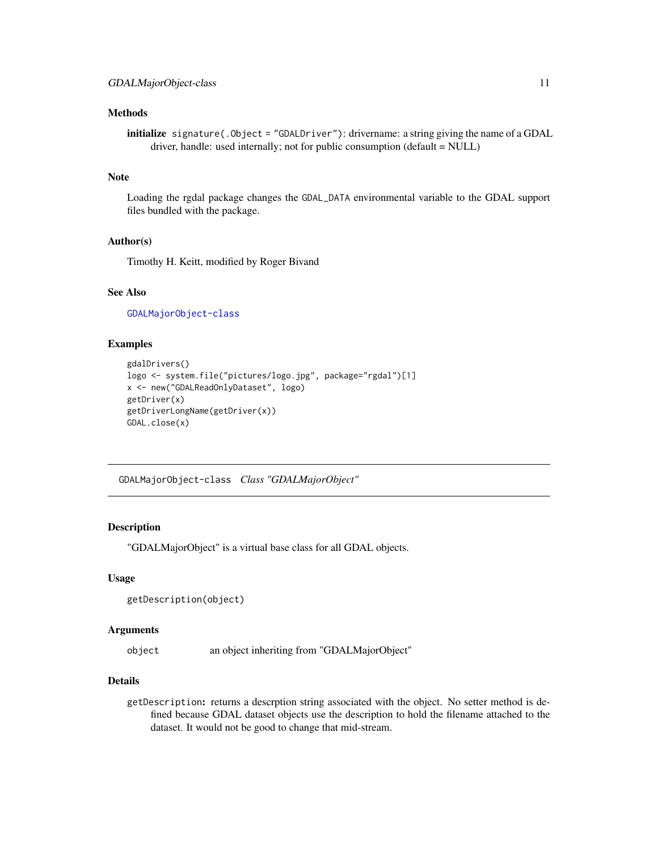## <span id="page-10-0"></span>Methods

initialize signature(.Object = "GDALDriver"): drivername: a string giving the name of a GDAL driver, handle: used internally; not for public consumption (default = NULL)

## Note

Loading the rgdal package changes the GDAL\_DATA environmental variable to the GDAL support files bundled with the package.

## Author(s)

Timothy H. Keitt, modified by Roger Bivand

#### See Also

[GDALMajorObject-class](#page-10-1)

## Examples

```
gdalDrivers()
logo <- system.file("pictures/logo.jpg", package="rgdal")[1]
x <- new("GDALReadOnlyDataset", logo)
getDriver(x)
getDriverLongName(getDriver(x))
GDAL.close(x)
```
<span id="page-10-1"></span>GDALMajorObject-class *Class "GDALMajorObject"*

## Description

"GDALMajorObject" is a virtual base class for all GDAL objects.

#### Usage

```
getDescription(object)
```
#### Arguments

object an object inheriting from "GDALMajorObject"

#### Details

getDescription: returns a descrption string associated with the object. No setter method is defined because GDAL dataset objects use the description to hold the filename attached to the dataset. It would not be good to change that mid-stream.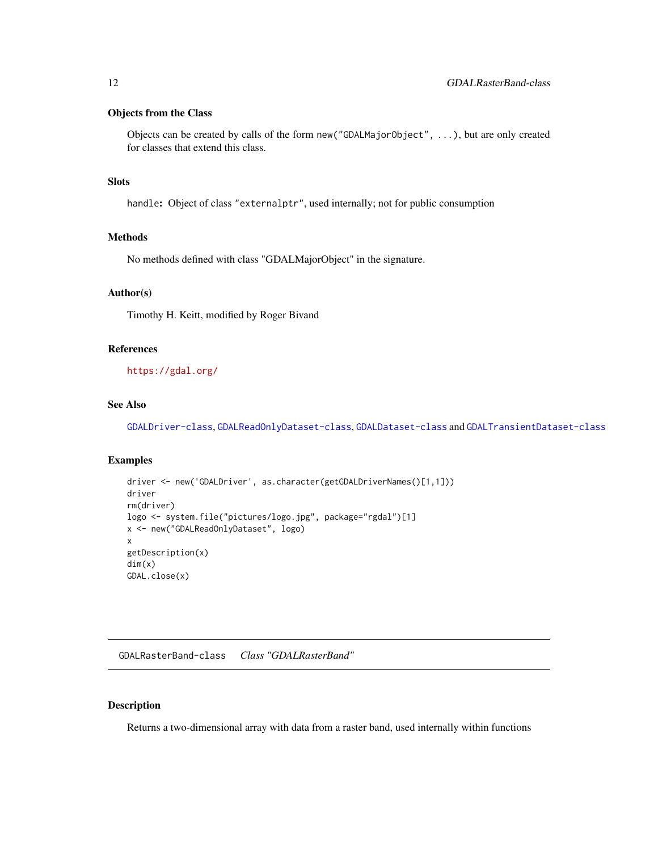## <span id="page-11-0"></span>Objects from the Class

Objects can be created by calls of the form new("GDALMajorObject", ...), but are only created for classes that extend this class.

### Slots

handle: Object of class "externalptr", used internally; not for public consumption

## Methods

No methods defined with class "GDALMajorObject" in the signature.

#### Author(s)

Timothy H. Keitt, modified by Roger Bivand

## References

<https://gdal.org/>

## See Also

[GDALDriver-class](#page-8-1), [GDALReadOnlyDataset-class](#page-14-1), [GDALDataset-class](#page-7-1) and [GDALTransientDataset-class](#page-17-1)

## Examples

```
driver <- new('GDALDriver', as.character(getGDALDriverNames()[1,1]))
driver
rm(driver)
logo <- system.file("pictures/logo.jpg", package="rgdal")[1]
x <- new("GDALReadOnlyDataset", logo)
x
getDescription(x)
dim(x)
GDAL.close(x)
```
GDALRasterBand-class *Class "GDALRasterBand"*

#### <span id="page-11-1"></span>Description

Returns a two-dimensional array with data from a raster band, used internally within functions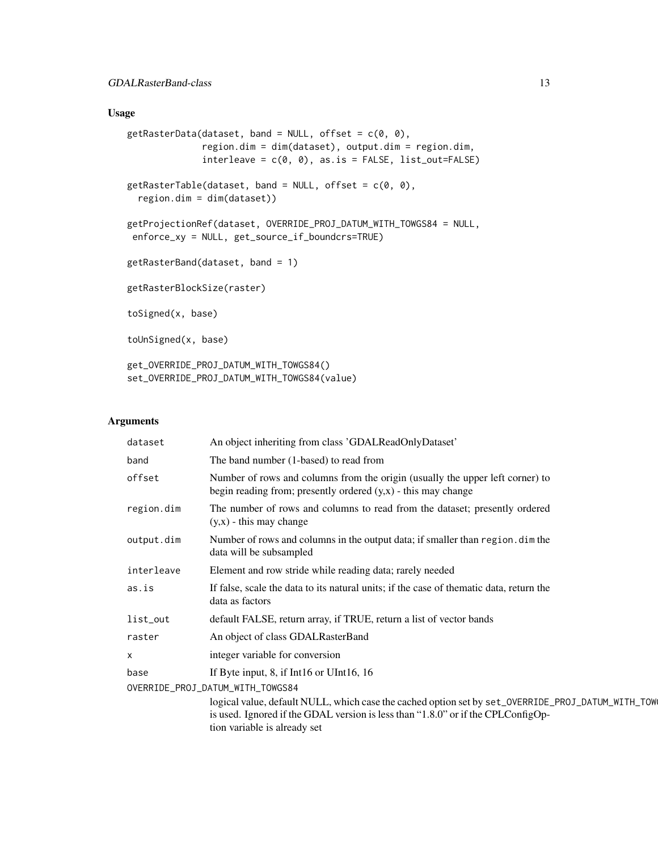## Usage

```
getRasterData(dataset, band = NULL, offset = c(0, 0),region.dim = dim(dataset), output.dim = region.dim,
              interleave = c(0, 0), as.is = FALSE, list_out=FALSE)
getRasterTable(dataset, band = NULL, offset = c(0, 0),region.dim = dim(dataset))
getProjectionRef(dataset, OVERRIDE_PROJ_DATUM_WITH_TOWGS84 = NULL,
enforce_xy = NULL, get_source_if_boundcrs=TRUE)
getRasterBand(dataset, band = 1)
getRasterBlockSize(raster)
toSigned(x, base)
toUnSigned(x, base)
get_OVERRIDE_PROJ_DATUM_WITH_TOWGS84()
set_OVERRIDE_PROJ_DATUM_WITH_TOWGS84(value)
```
## Arguments

| dataset                          | An object inheriting from class 'GDALReadOnlyDataset'                                                                                                                                                                 |
|----------------------------------|-----------------------------------------------------------------------------------------------------------------------------------------------------------------------------------------------------------------------|
| band                             | The band number (1-based) to read from                                                                                                                                                                                |
| offset                           | Number of rows and columns from the origin (usually the upper left corner) to<br>begin reading from; presently ordered $(y,x)$ - this may change                                                                      |
| region.dim                       | The number of rows and columns to read from the dataset; presently ordered<br>$(y,x)$ - this may change                                                                                                               |
| output.dim                       | Number of rows and columns in the output data; if smaller than region, dim the<br>data will be subsampled                                                                                                             |
| interleave                       | Element and row stride while reading data; rarely needed                                                                                                                                                              |
| as.is                            | If false, scale the data to its natural units; if the case of the matic data, return the<br>data as factors                                                                                                           |
| list_out                         | default FALSE, return array, if TRUE, return a list of vector bands                                                                                                                                                   |
| raster                           | An object of class GDALRasterBand                                                                                                                                                                                     |
| $\times$                         | integer variable for conversion                                                                                                                                                                                       |
| base                             | If Byte input, 8, if Int16 or UInt16, $16$                                                                                                                                                                            |
| OVERRIDE_PROJ_DATUM_WITH_TOWGS84 |                                                                                                                                                                                                                       |
|                                  | logical value, default NULL, which case the cached option set by set_OVERRIDE_PROJ_DATUM_WITH_TOW<br>is used. Ignored if the GDAL version is less than "1.8.0" or if the CPLConfigOp-<br>tion variable is already set |
|                                  |                                                                                                                                                                                                                       |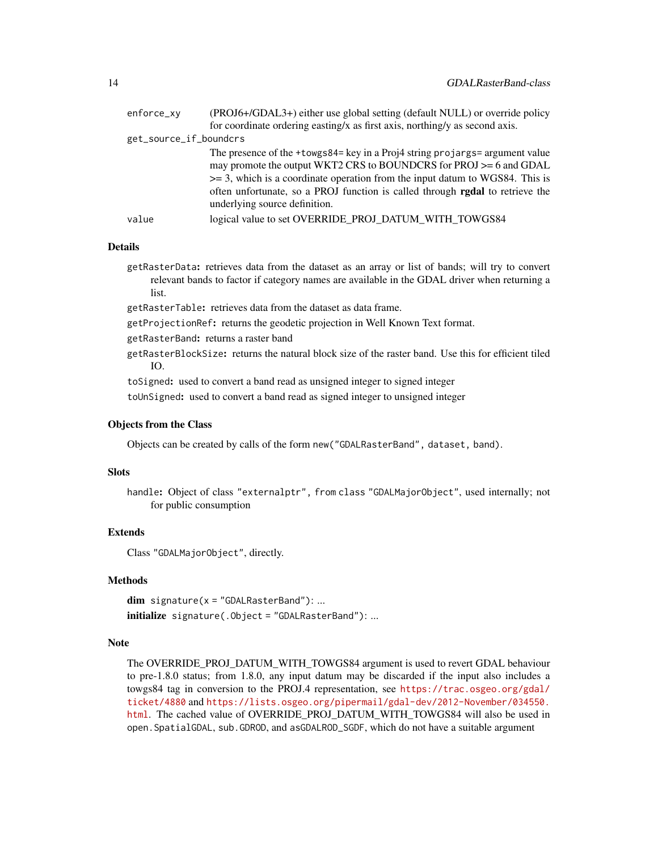| enforce_xy             | (PROJ6+/GDAL3+) either use global setting (default NULL) or override policy                                                                                                                                                                                                                                                                               |
|------------------------|-----------------------------------------------------------------------------------------------------------------------------------------------------------------------------------------------------------------------------------------------------------------------------------------------------------------------------------------------------------|
|                        | for coordinate ordering easting/x as first axis, northing/y as second axis.                                                                                                                                                                                                                                                                               |
| get_source_if_boundcrs |                                                                                                                                                                                                                                                                                                                                                           |
|                        | The presence of the +towgs84= key in a Proj4 string projargs= argument value<br>may promote the output WKT2 CRS to BOUNDCRS for PROJ >= 6 and GDAL<br>$\ge$ = 3, which is a coordinate operation from the input datum to WGS84. This is<br>often unfortunate, so a PROJ function is called through rgdal to retrieve the<br>underlying source definition. |
| value                  | logical value to set OVERRIDE PROJ DATUM WITH TOWGS84                                                                                                                                                                                                                                                                                                     |
|                        |                                                                                                                                                                                                                                                                                                                                                           |

## Details

- getRasterData: retrieves data from the dataset as an array or list of bands; will try to convert relevant bands to factor if category names are available in the GDAL driver when returning a list.
- getRasterTable: retrieves data from the dataset as data frame.
- getProjectionRef: returns the geodetic projection in Well Known Text format.
- getRasterBand: returns a raster band
- getRasterBlockSize: returns the natural block size of the raster band. Use this for efficient tiled IO.
- toSigned: used to convert a band read as unsigned integer to signed integer
- toUnSigned: used to convert a band read as signed integer to unsigned integer

## Objects from the Class

Objects can be created by calls of the form new("GDALRasterBand", dataset, band).

## **Slots**

handle: Object of class "externalptr", from class "GDALMajorObject", used internally; not for public consumption

## Extends

Class "GDALMajorObject", directly.

## Methods

 $dim$  signature( $x = "GDALRasterBand")$ : ... initialize signature(.Object = "GDALRasterBand"): ...

#### Note

The OVERRIDE\_PROJ\_DATUM\_WITH\_TOWGS84 argument is used to revert GDAL behaviour to pre-1.8.0 status; from 1.8.0, any input datum may be discarded if the input also includes a towgs84 tag in conversion to the PROJ.4 representation, see [https://trac.osgeo.org/gdal/](https://trac.osgeo.org/gdal/ticket/4880) [ticket/4880](https://trac.osgeo.org/gdal/ticket/4880) and [https://lists.osgeo.org/pipermail/gdal-dev/2012-November/034550.](https://lists.osgeo.org/pipermail/gdal-dev/2012-November/034550.html) [html](https://lists.osgeo.org/pipermail/gdal-dev/2012-November/034550.html). The cached value of OVERRIDE\_PROJ\_DATUM\_WITH\_TOWGS84 will also be used in open.SpatialGDAL, sub.GDROD, and asGDALROD\_SGDF, which do not have a suitable argument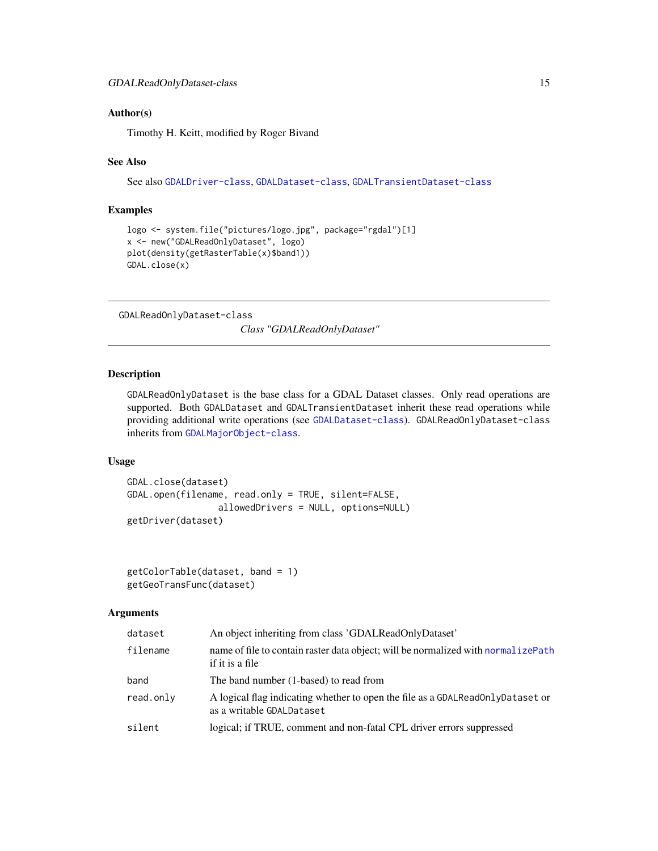#### <span id="page-14-0"></span>Author(s)

Timothy H. Keitt, modified by Roger Bivand

#### See Also

See also [GDALDriver-class](#page-8-1), [GDALDataset-class](#page-7-1), [GDALTransientDataset-class](#page-17-1)

## Examples

```
logo <- system.file("pictures/logo.jpg", package="rgdal")[1]
x <- new("GDALReadOnlyDataset", logo)
plot(density(getRasterTable(x)$band1))
GDAL.close(x)
```
<span id="page-14-1"></span>GDALReadOnlyDataset-class

*Class "GDALReadOnlyDataset"*

## Description

GDALReadOnlyDataset is the base class for a GDAL Dataset classes. Only read operations are supported. Both GDALDataset and GDALTransientDataset inherit these read operations while providing additional write operations (see [GDALDataset-class](#page-7-1)). GDALReadOnlyDataset-class inherits from [GDALMajorObject-class](#page-10-1).

## Usage

```
GDAL.close(dataset)
GDAL.open(filename, read.only = TRUE, silent=FALSE,
                 allowedDrivers = NULL, options=NULL)
getDriver(dataset)
```

```
getColorTable(dataset, band = 1)
getGeoTransFunc(dataset)
```
#### Arguments

| dataset   | An object inheriting from class 'GDALReadOnlyDataset'                                                       |  |
|-----------|-------------------------------------------------------------------------------------------------------------|--|
| filename  | name of file to contain raster data object; will be normalized with normalize Path<br>if it is a file       |  |
| band      | The band number (1-based) to read from                                                                      |  |
| read.only | A logical flag indicating whether to open the file as a GDALReadOnlyDataset or<br>as a writable GDALDataset |  |
| silent    | logical; if TRUE, comment and non-fatal CPL driver errors suppressed                                        |  |
|           |                                                                                                             |  |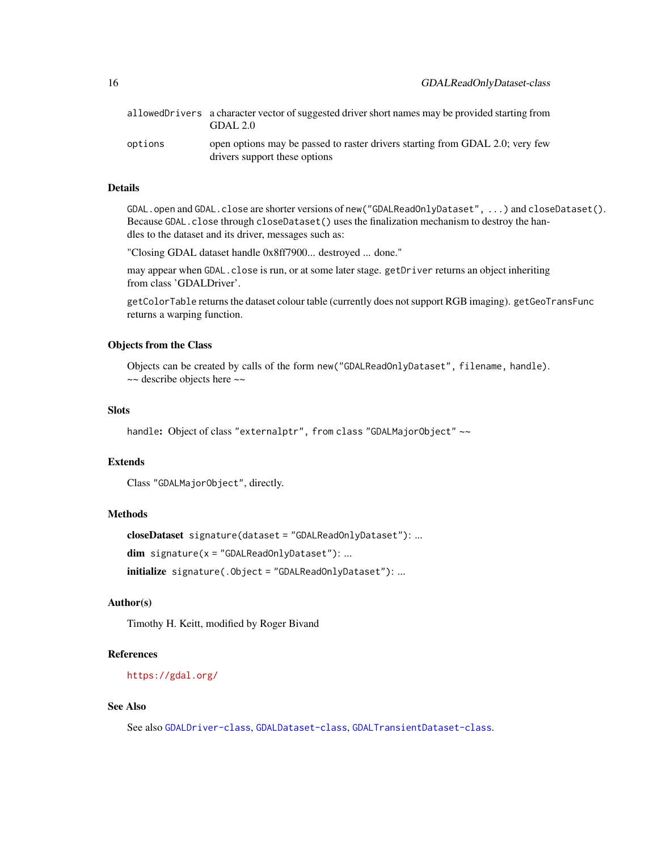|         | allowed Drivers a character vector of suggested driver short names may be provided starting from<br>GDAL 2.0   |
|---------|----------------------------------------------------------------------------------------------------------------|
| options | open options may be passed to raster drivers starting from GDAL 2.0; very few<br>drivers support these options |

## Details

GDAL.open and GDAL.close are shorter versions of new("GDALReadOnlyDataset", ...) and closeDataset(). Because GDAL.close through closeDataset() uses the finalization mechanism to destroy the handles to the dataset and its driver, messages such as:

"Closing GDAL dataset handle 0x8ff7900... destroyed ... done."

may appear when GDAL.close is run, or at some later stage. getDriver returns an object inheriting from class 'GDALDriver'.

getColorTable returns the dataset colour table (currently does not support RGB imaging). getGeoTransFunc returns a warping function.

## Objects from the Class

Objects can be created by calls of the form new("GDALReadOnlyDataset", filename, handle). ~~ describe objects here ~~

## Slots

```
handle: Object of class "externalptr", from class "GDALMajorObject" ~~
```
#### Extends

```
Class "GDALMajorObject", directly.
```
### Methods

```
closeDataset signature(dataset = "GDALReadOnlyDataset"): ...
```
 $dim$  signature( $x = "GDALReadOnlyDataset")$ : ...

initialize signature(.Object = "GDALReadOnlyDataset"): ...

## Author(s)

Timothy H. Keitt, modified by Roger Bivand

#### References

<https://gdal.org/>

## See Also

See also [GDALDriver-class](#page-8-1), [GDALDataset-class](#page-7-1), [GDALTransientDataset-class](#page-17-1).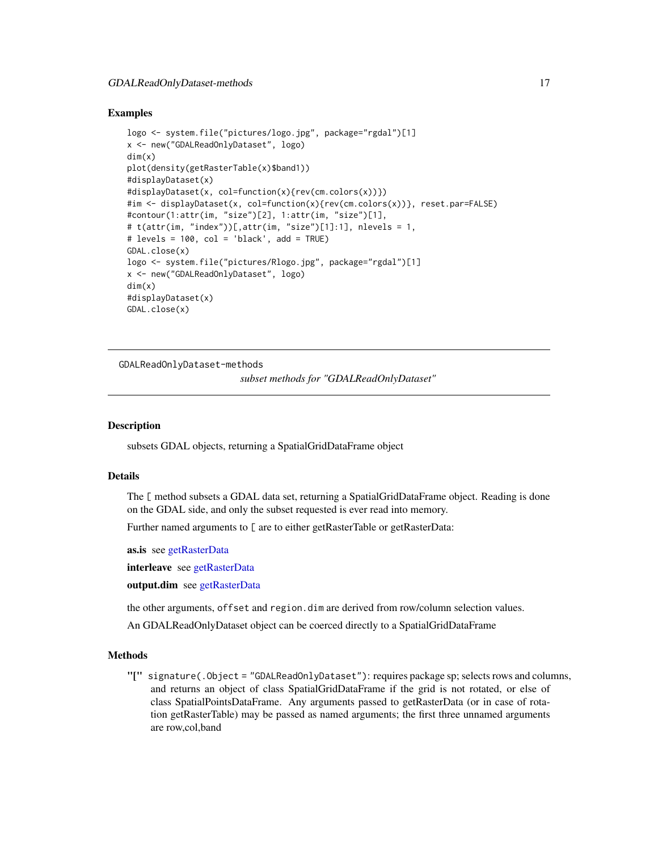## <span id="page-16-0"></span>GDALReadOnlyDataset-methods 17

#### Examples

```
logo <- system.file("pictures/logo.jpg", package="rgdal")[1]
x <- new("GDALReadOnlyDataset", logo)
dim(x)
plot(density(getRasterTable(x)$band1))
#displayDataset(x)
#displayDataset(x, col=function(x){rev(cm.colors(x))})
#im <- displayDataset(x, col=function(x){rev(cm.colors(x))}, reset.par=FALSE)
#contour(1:attr(im, "size")[2], 1:attr(im, "size")[1],
# t(attr(im, "index"))[,attr(im, "size")[1]:1], nlevels = 1,
# levels = 100, col = 'black', add = TRUE)
GDAL.close(x)
logo <- system.file("pictures/Rlogo.jpg", package="rgdal")[1]
x <- new("GDALReadOnlyDataset", logo)
dim(x)
#displayDataset(x)
GDAL.close(x)
```
GDALReadOnlyDataset-methods

```
subset methods for "GDALReadOnlyDataset"
```
#### Description

subsets GDAL objects, returning a SpatialGridDataFrame object

#### Details

The [ method subsets a GDAL data set, returning a SpatialGridDataFrame object. Reading is done on the GDAL side, and only the subset requested is ever read into memory.

Further named arguments to [ are to either getRasterTable or getRasterData:

as.is see [getRasterData](#page-11-1)

interleave see [getRasterData](#page-11-1)

output.dim see [getRasterData](#page-11-1)

the other arguments, offset and region.dim are derived from row/column selection values.

An GDALReadOnlyDataset object can be coerced directly to a SpatialGridDataFrame

## Methods

"[" signature(.Object = "GDALReadOnlyDataset"): requires package sp; selects rows and columns, and returns an object of class SpatialGridDataFrame if the grid is not rotated, or else of class SpatialPointsDataFrame. Any arguments passed to getRasterData (or in case of rotation getRasterTable) may be passed as named arguments; the first three unnamed arguments are row,col,band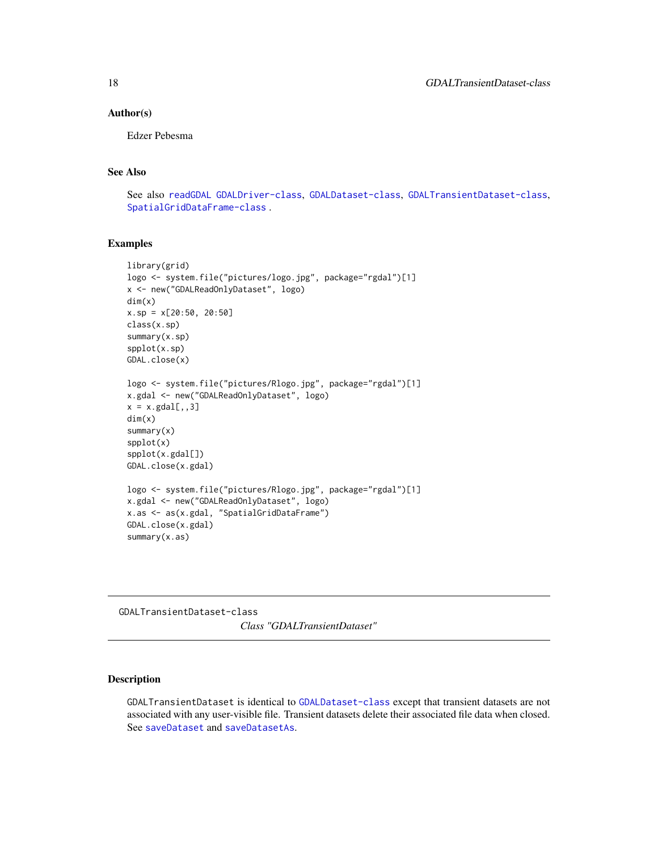#### <span id="page-17-0"></span>Author(s)

Edzer Pebesma

## See Also

See also [readGDAL](#page-31-1) [GDALDriver-class](#page-8-1), [GDALDataset-class](#page-7-1), [GDALTransientDataset-class](#page-17-1), [SpatialGridDataFrame-class](#page-0-0) .

## Examples

```
library(grid)
logo <- system.file("pictures/logo.jpg", package="rgdal")[1]
x <- new("GDALReadOnlyDataset", logo)
dim(x)
x.sp = x[20:50, 20:50]
class(x.sp)
summary(x.sp)
spplot(x.sp)
GDAL.close(x)
logo <- system.file("pictures/Rlogo.jpg", package="rgdal")[1]
x.gdal <- new("GDALReadOnlyDataset", logo)
x = x.gdal[,, 3]dim(x)
summary(x)
spplot(x)
spplot(x.gdal[])
GDAL.close(x.gdal)
logo <- system.file("pictures/Rlogo.jpg", package="rgdal")[1]
x.gdal <- new("GDALReadOnlyDataset", logo)
x.as <- as(x.gdal, "SpatialGridDataFrame")
GDAL.close(x.gdal)
summary(x.as)
```
<span id="page-17-1"></span>GDALTransientDataset-class *Class "GDALTransientDataset"*

## Description

GDALTransientDataset is identical to [GDALDataset-class](#page-7-1) except that transient datasets are not associated with any user-visible file. Transient datasets delete their associated file data when closed. See [saveDataset](#page-7-2) and [saveDatasetAs](#page-7-2).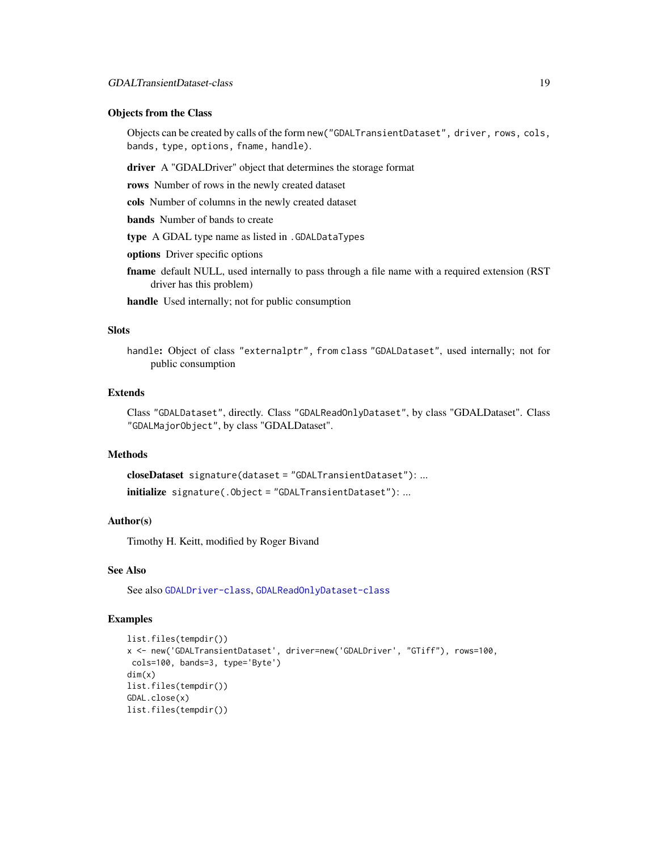#### Objects from the Class

Objects can be created by calls of the form new("GDALTransientDataset", driver, rows, cols, bands, type, options, fname, handle).

driver A "GDALDriver" object that determines the storage format

rows Number of rows in the newly created dataset

cols Number of columns in the newly created dataset

bands Number of bands to create

type A GDAL type name as listed in .GDALDataTypes

options Driver specific options

frame default NULL, used internally to pass through a file name with a required extension (RST driver has this problem)

handle Used internally; not for public consumption

## Slots

handle: Object of class "externalptr", from class "GDALDataset", used internally; not for public consumption

## Extends

Class "GDALDataset", directly. Class "GDALReadOnlyDataset", by class "GDALDataset". Class "GDALMajorObject", by class "GDALDataset".

## Methods

```
closeDataset signature(dataset = "GDALTransientDataset"): ...
initialize signature(.Object = "GDALTransientDataset"): ...
```
## Author(s)

Timothy H. Keitt, modified by Roger Bivand

#### See Also

See also [GDALDriver-class](#page-8-1), [GDALReadOnlyDataset-class](#page-14-1)

```
list.files(tempdir())
x <- new('GDALTransientDataset', driver=new('GDALDriver', "GTiff"), rows=100,
cols=100, bands=3, type='Byte')
dim(x)
list.files(tempdir())
GDAL.close(x)
list.files(tempdir())
```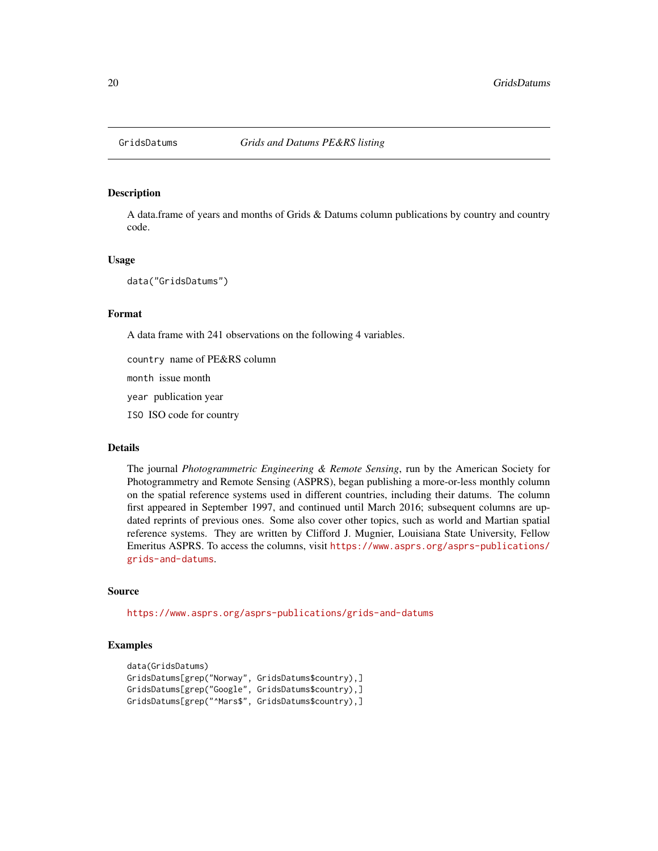<span id="page-19-1"></span><span id="page-19-0"></span>

#### Description

A data.frame of years and months of Grids & Datums column publications by country and country code.

#### Usage

data("GridsDatums")

#### Format

A data frame with 241 observations on the following 4 variables.

country name of PE&RS column

month issue month

year publication year

ISO ISO code for country

#### Details

The journal *Photogrammetric Engineering & Remote Sensing*, run by the American Society for Photogrammetry and Remote Sensing (ASPRS), began publishing a more-or-less monthly column on the spatial reference systems used in different countries, including their datums. The column first appeared in September 1997, and continued until March 2016; subsequent columns are updated reprints of previous ones. Some also cover other topics, such as world and Martian spatial reference systems. They are written by Clifford J. Mugnier, Louisiana State University, Fellow Emeritus ASPRS. To access the columns, visit [https://www.asprs.org/asprs-publications/](https://www.asprs.org/asprs-publications/grids-and-datums) [grids-and-datums](https://www.asprs.org/asprs-publications/grids-and-datums).

## Source

<https://www.asprs.org/asprs-publications/grids-and-datums>

```
data(GridsDatums)
GridsDatums[grep("Norway", GridsDatums$country),]
GridsDatums[grep("Google", GridsDatums$country),]
GridsDatums[grep("^Mars$", GridsDatums$country),]
```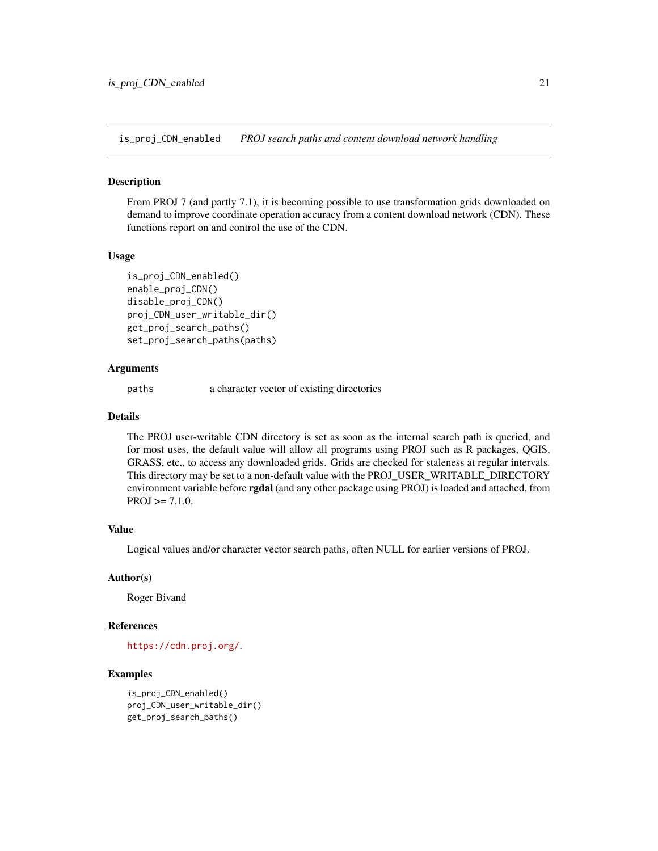<span id="page-20-0"></span>is\_proj\_CDN\_enabled *PROJ search paths and content download network handling*

#### Description

From PROJ 7 (and partly 7.1), it is becoming possible to use transformation grids downloaded on demand to improve coordinate operation accuracy from a content download network (CDN). These functions report on and control the use of the CDN.

#### Usage

```
is_proj_CDN_enabled()
enable_proj_CDN()
disable_proj_CDN()
proj_CDN_user_writable_dir()
get_proj_search_paths()
set_proj_search_paths(paths)
```
#### Arguments

paths a character vector of existing directories

#### Details

The PROJ user-writable CDN directory is set as soon as the internal search path is queried, and for most uses, the default value will allow all programs using PROJ such as R packages, QGIS, GRASS, etc., to access any downloaded grids. Grids are checked for staleness at regular intervals. This directory may be set to a non-default value with the PROJ\_USER\_WRITABLE\_DIRECTORY environment variable before **rgdal** (and any other package using PROJ) is loaded and attached, from  $PROJ \geq 7.1.0$ .

## Value

Logical values and/or character vector search paths, often NULL for earlier versions of PROJ.

#### Author(s)

Roger Bivand

## References

```
https://cdn.proj.org/.
```

```
is_proj_CDN_enabled()
proj_CDN_user_writable_dir()
get_proj_search_paths()
```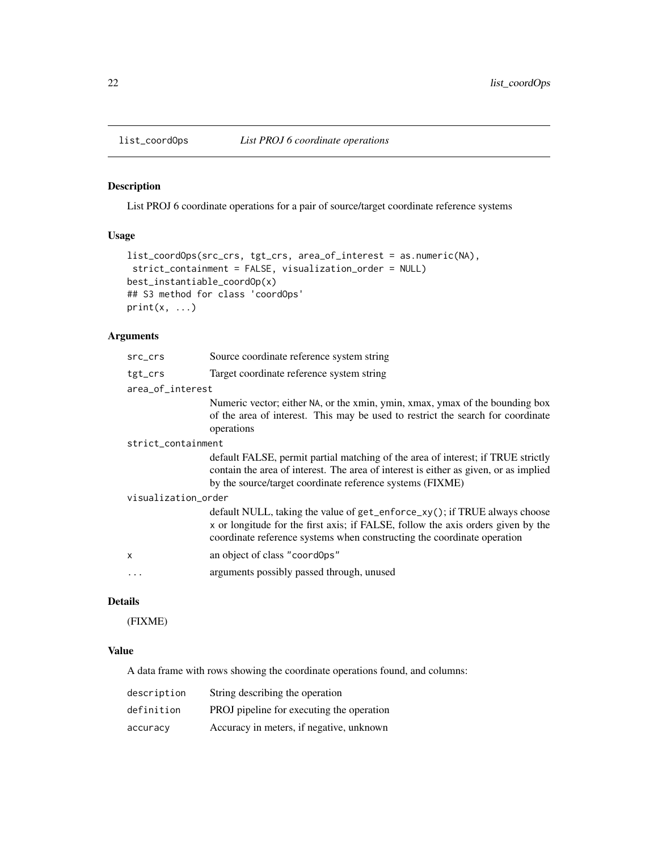<span id="page-21-0"></span>

## Description

List PROJ 6 coordinate operations for a pair of source/target coordinate reference systems

## Usage

```
list_coordOps(src_crs, tgt_crs, area_of_interest = as.numeric(NA),
 strict_containment = FALSE, visualization_order = NULL)
best_instantiable_coordOp(x)
## S3 method for class 'coordOps'
print(x, \ldots)
```
## Arguments

| src_crs             | Source coordinate reference system string                                                                                                                                                                                                |  |
|---------------------|------------------------------------------------------------------------------------------------------------------------------------------------------------------------------------------------------------------------------------------|--|
| tgt_crs             | Target coordinate reference system string                                                                                                                                                                                                |  |
| area_of_interest    |                                                                                                                                                                                                                                          |  |
|                     | Numeric vector; either NA, or the xmin, ymin, xmax, ymax of the bounding box<br>of the area of interest. This may be used to restrict the search for coordinate<br>operations                                                            |  |
| strict_containment  |                                                                                                                                                                                                                                          |  |
|                     | default FALSE, permit partial matching of the area of interest; if TRUE strictly<br>contain the area of interest. The area of interest is either as given, or as implied<br>by the source/target coordinate reference systems (FIXME)    |  |
| visualization_order |                                                                                                                                                                                                                                          |  |
|                     | default NULL, taking the value of get_enforce_xy(); if TRUE always choose<br>x or longitude for the first axis; if FALSE, follow the axis orders given by the<br>coordinate reference systems when constructing the coordinate operation |  |
| X                   | an object of class "coordOps"                                                                                                                                                                                                            |  |
|                     | arguments possibly passed through, unused                                                                                                                                                                                                |  |

## Details

(FIXME)

## Value

A data frame with rows showing the coordinate operations found, and columns:

| description | String describing the operation           |
|-------------|-------------------------------------------|
| definition  | PROJ pipeline for executing the operation |
| accuracy    | Accuracy in meters, if negative, unknown  |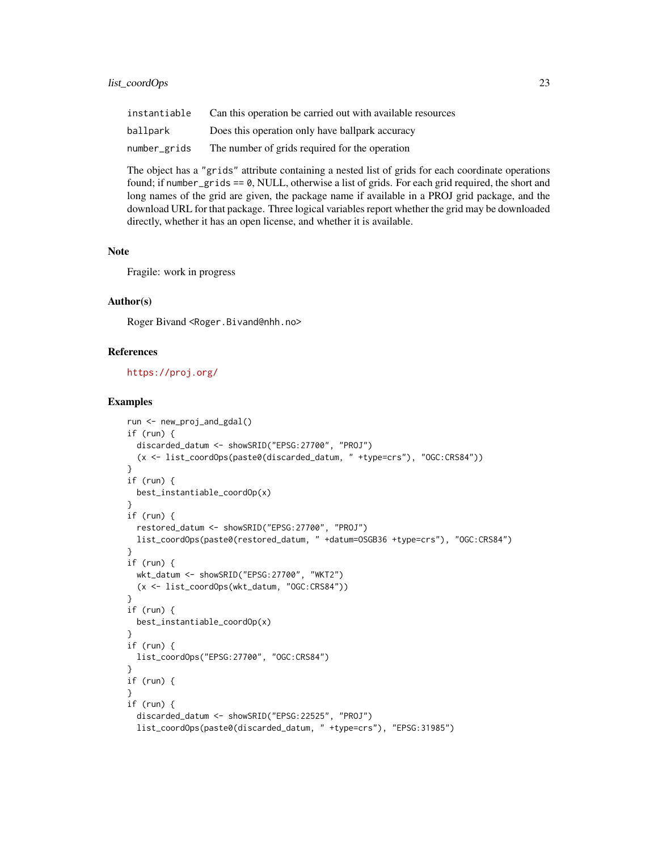## list\_coordOps 23

| instantiable | Can this operation be carried out with available resources |
|--------------|------------------------------------------------------------|
| ballpark     | Does this operation only have ballpark accuracy            |
| number_grids | The number of grids required for the operation             |

The object has a "grids" attribute containing a nested list of grids for each coordinate operations found; if number\_grids == 0, NULL, otherwise a list of grids. For each grid required, the short and long names of the grid are given, the package name if available in a PROJ grid package, and the download URL for that package. Three logical variables report whether the grid may be downloaded directly, whether it has an open license, and whether it is available.

#### **Note**

Fragile: work in progress

## Author(s)

Roger Bivand <Roger.Bivand@nhh.no>

## References

<https://proj.org/>

```
run <- new_proj_and_gdal()
if (run) {
 discarded_datum <- showSRID("EPSG:27700", "PROJ")
  (x <- list_coordOps(paste0(discarded_datum, " +type=crs"), "OGC:CRS84"))
}
if (run) {
 best_instantiable_coordOp(x)
}
if (run) {
 restored_datum <- showSRID("EPSG:27700", "PROJ")
 list_coordOps(paste0(restored_datum, " +datum=OSGB36 +type=crs"), "OGC:CRS84")
}
if (run) {
 wkt_datum <- showSRID("EPSG:27700", "WKT2")
  (x <- list_coordOps(wkt_datum, "OGC:CRS84"))
}
if (run) {
 best_instantiable_coordOp(x)
}
if (run) {
 list_coordOps("EPSG:27700", "OGC:CRS84")
}
if (run) {
}
if (run) {
 discarded_datum <- showSRID("EPSG:22525", "PROJ")
 list_coordOps(paste0(discarded_datum, " +type=crs"), "EPSG:31985")
```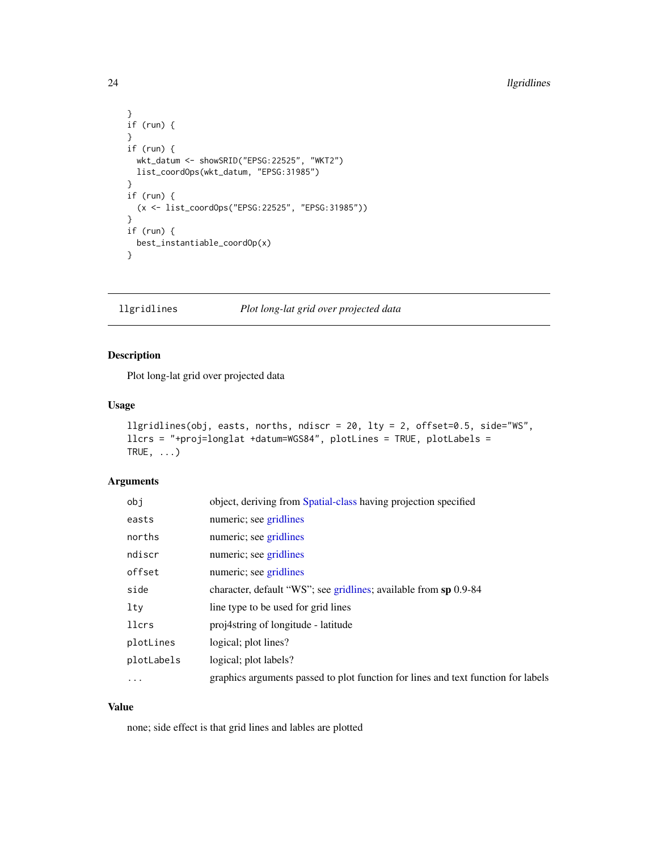```
}
if (run) {
}
if (run) {
  wkt_datum <- showSRID("EPSG:22525", "WKT2")
 list_coordOps(wkt_datum, "EPSG:31985")
}
if (run) {
  (x <- list_coordOps("EPSG:22525", "EPSG:31985"))
}
if (run) {
  best_instantiable_coordOp(x)
}
```
llgridlines *Plot long-lat grid over projected data*

## Description

Plot long-lat grid over projected data

#### Usage

```
llgridlines(obj, easts, norths, ndiscr = 20, lty = 2, offset=0.5, side="WS",
llcrs = "+proj=longlat +datum=WGS84", plotLines = TRUE, plotLabels =
TRUE, \ldots)
```
## Arguments

| obj          | object, deriving from Spatial-class having projection specified                   |
|--------------|-----------------------------------------------------------------------------------|
| easts        | numeric; see gridlines                                                            |
| norths       | numeric; see gridlines                                                            |
| ndiscr       | numeric; see gridlines                                                            |
| offset       | numeric; see gridlines                                                            |
| side         | character, default "WS"; see gridlines; available from sp 0.9-84                  |
| $1$ ty       | line type to be used for grid lines                                               |
| <b>llcrs</b> | proj4string of longitude - latitude                                               |
| plotLines    | logical; plot lines?                                                              |
| plotLabels   | logical; plot labels?                                                             |
| $\ddotsc$    | graphics arguments passed to plot function for lines and text function for labels |

## Value

none; side effect is that grid lines and lables are plotted

<span id="page-23-0"></span>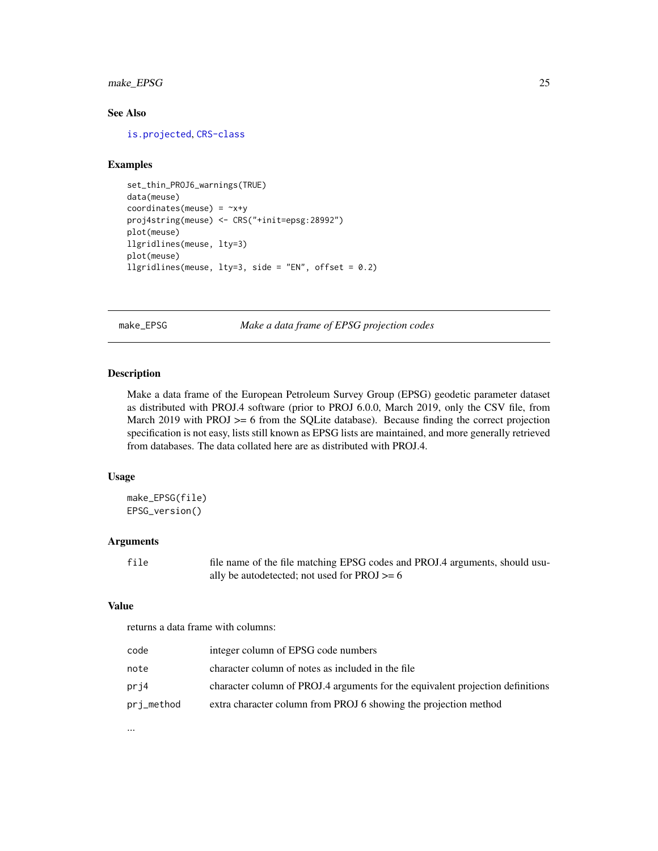## <span id="page-24-0"></span>make\_EPSG 25

## See Also

[is.projected](#page-0-0), [CRS-class](#page-2-1)

## Examples

```
set_thin_PROJ6_warnings(TRUE)
data(meuse)
coordinates(meuse) = ~x+y
proj4string(meuse) <- CRS("+init=epsg:28992")
plot(meuse)
llgridlines(meuse, lty=3)
plot(meuse)
llgridlines(meuse, lty=3, side = "EN", offset = 0.2)
```
make\_EPSG *Make a data frame of EPSG projection codes*

#### Description

Make a data frame of the European Petroleum Survey Group (EPSG) geodetic parameter dataset as distributed with PROJ.4 software (prior to PROJ 6.0.0, March 2019, only the CSV file, from March 2019 with PROJ >= 6 from the SQLite database). Because finding the correct projection specification is not easy, lists still known as EPSG lists are maintained, and more generally retrieved from databases. The data collated here are as distributed with PROJ.4.

#### Usage

```
make_EPSG(file)
EPSG_version()
```
## Arguments

file file name of the file matching EPSG codes and PROJ.4 arguments, should usually be autodetected; not used for PROJ >= 6

#### Value

returns a data frame with columns:

| code       | integer column of EPSG code numbers                                            |
|------------|--------------------------------------------------------------------------------|
| note       | character column of notes as included in the file                              |
| pri4       | character column of PROJ.4 arguments for the equivalent projection definitions |
| pri_method | extra character column from PROJ 6 showing the projection method               |

...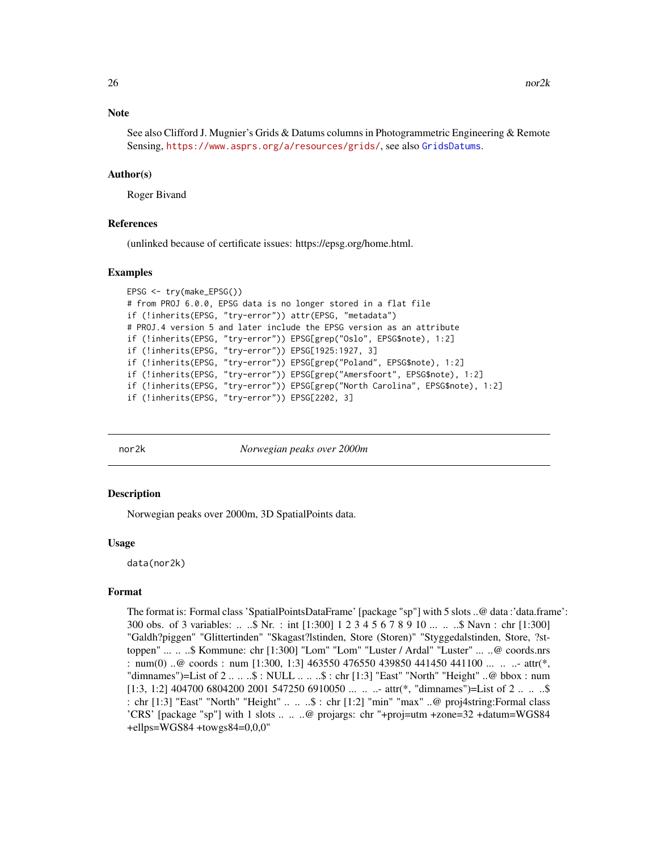#### <span id="page-25-0"></span>**Note**

See also Clifford J. Mugnier's Grids & Datums columns in Photogrammetric Engineering & Remote Sensing, <https://www.asprs.org/a/resources/grids/>, see also [GridsDatums](#page-19-1).

#### Author(s)

Roger Bivand

#### References

(unlinked because of certificate issues: https://epsg.org/home.html.

#### Examples

```
EPSG <- try(make_EPSG())
# from PROJ 6.0.0, EPSG data is no longer stored in a flat file
if (!inherits(EPSG, "try-error")) attr(EPSG, "metadata")
# PROJ.4 version 5 and later include the EPSG version as an attribute
if (!inherits(EPSG, "try-error")) EPSG[grep("Oslo", EPSG$note), 1:2]
if (!inherits(EPSG, "try-error")) EPSG[1925:1927, 3]
if (!inherits(EPSG, "try-error")) EPSG[grep("Poland", EPSG$note), 1:2]
if (!inherits(EPSG, "try-error")) EPSG[grep("Amersfoort", EPSG$note), 1:2]
if (!inherits(EPSG, "try-error")) EPSG[grep("North Carolina", EPSG$note), 1:2]
if (!inherits(EPSG, "try-error")) EPSG[2202, 3]
```
nor2k *Norwegian peaks over 2000m*

#### **Description**

Norwegian peaks over 2000m, 3D SpatialPoints data.

#### Usage

data(nor2k)

#### Format

The format is: Formal class 'SpatialPointsDataFrame' [package "sp"] with 5 slots ..@ data :'data.frame': 300 obs. of 3 variables: .. ..\$ Nr. : int [1:300] 1 2 3 4 5 6 7 8 9 10 ... .. ..\$ Navn : chr [1:300] "Galdh?piggen" "Glittertinden" "Skagast?lstinden, Store (Storen)" "Styggedalstinden, Store, ?sttoppen" ... .. ..\$ Kommune: chr [1:300] "Lom" "Lom" "Luster / Ardal" "Luster" ... ..@ coords.nrs : num(0) ..@ coords : num [1:300, 1:3] 463550 476550 439850 441450 441100 ... .. ...- attr(\*, "dimnames")=List of  $2 \ldots . . .$ \$: NULL  $\ldots . . .$ \$: chr [1:3] "East" "North" "Height"  $\ldots \emptyset$  bbox: num  $[1:3, 1:2]$  404700 6804200 2001 547250 6910050 ... .. ...- attr<sup>(\*</sup>, "dimnames")=List of 2 ... ... \$ : chr [1:3] "East" "North" "Height" .. .. ..\$ : chr [1:2] "min" "max" ..@ proj4string:Formal class 'CRS' [package "sp"] with 1 slots .. .. ..@ projargs: chr "+proj=utm +zone=32 +datum=WGS84 +ellps=WGS84 +towgs84=0,0,0"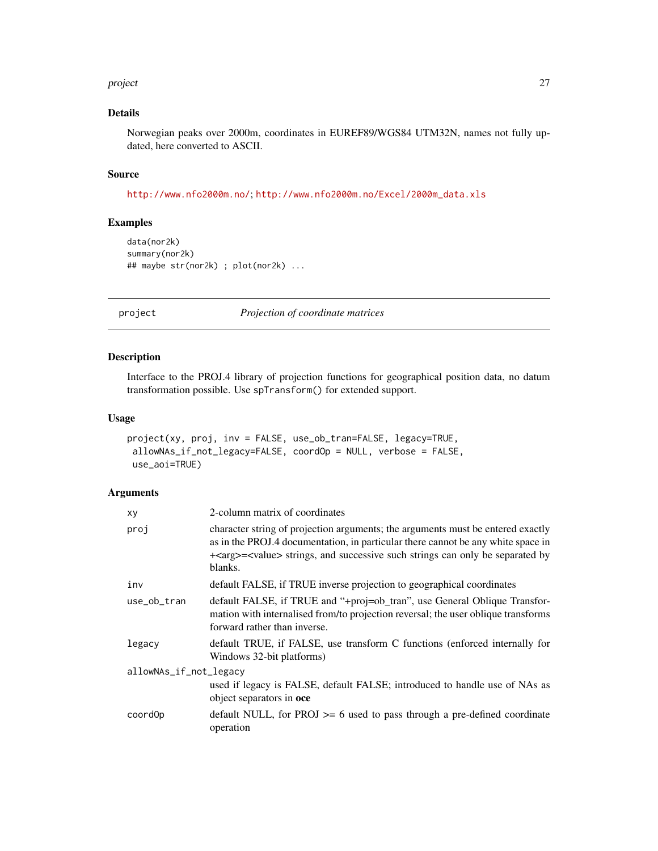#### <span id="page-26-0"></span>project 27

## Details

Norwegian peaks over 2000m, coordinates in EUREF89/WGS84 UTM32N, names not fully updated, here converted to ASCII.

## Source

<http://www.nfo2000m.no/>; [http://www.nfo2000m.no/Excel/2000m\\_data.xls](http://www.nfo2000m.no/Excel/2000m_data.xls)

## Examples

```
data(nor2k)
summary(nor2k)
## maybe str(nor2k) ; plot(nor2k) ...
```
project *Projection of coordinate matrices*

## Description

Interface to the PROJ.4 library of projection functions for geographical position data, no datum transformation possible. Use spTransform() for extended support.

## Usage

```
project(xy, proj, inv = FALSE, use_ob_tran=FALSE, legacy=TRUE,
allowNAs_if_not_legacy=FALSE, coordOp = NULL, verbose = FALSE,
use_aoi=TRUE)
```
## Arguments

| xy                     | 2-column matrix of coordinates                                                                                                                                                                                                                                                 |  |
|------------------------|--------------------------------------------------------------------------------------------------------------------------------------------------------------------------------------------------------------------------------------------------------------------------------|--|
| proj                   | character string of projection arguments; the arguments must be entered exactly<br>as in the PROJ.4 documentation, in particular there cannot be any white space in<br>+ <arg>=<value> strings, and successive such strings can only be separated by<br/>blanks.</value></arg> |  |
| inv                    | default FALSE, if TRUE inverse projection to geographical coordinates                                                                                                                                                                                                          |  |
| use_ob_tran            | default FALSE, if TRUE and "+proj=ob_tran", use General Oblique Transfor-<br>mation with internalised from/to projection reversal; the user oblique transforms<br>forward rather than inverse.                                                                                 |  |
| legacy                 | default TRUE, if FALSE, use transform C functions (enforced internally for<br>Windows 32-bit platforms)                                                                                                                                                                        |  |
| allowNAs_if_not_legacy |                                                                                                                                                                                                                                                                                |  |
|                        | used if legacy is FALSE, default FALSE; introduced to handle use of NAs as<br>object separators in oce                                                                                                                                                                         |  |
| coord0p                | default NULL, for $PROJ \ge 6$ used to pass through a pre-defined coordinate<br>operation                                                                                                                                                                                      |  |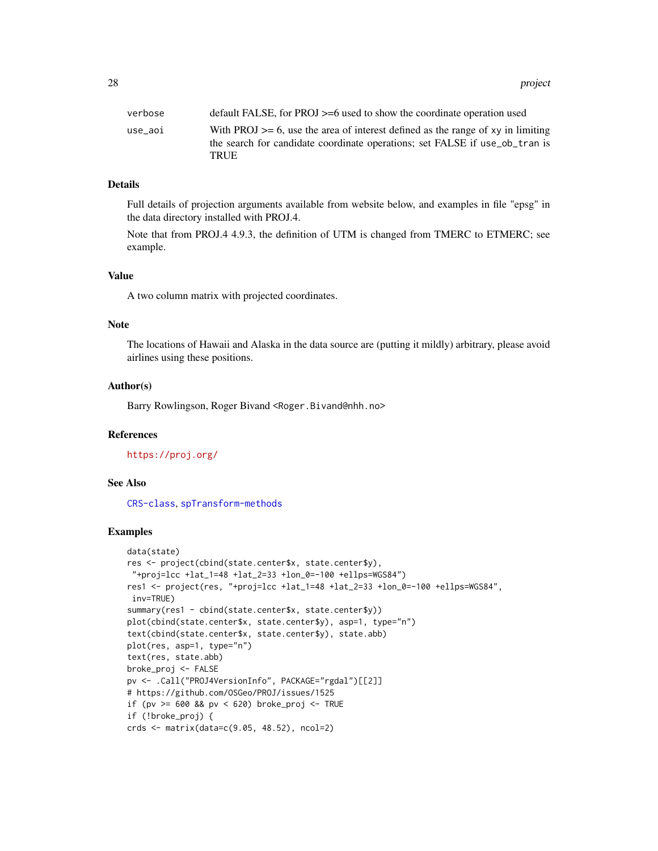28 project to the control of the control of the control of the control of the control of the control of the control of the control of the control of the control of the control of the control of the control of the control o

#### Details

Full details of projection arguments available from website below, and examples in file "epsg" in the data directory installed with PROJ.4.

Note that from PROJ.4 4.9.3, the definition of UTM is changed from TMERC to ETMERC; see example.

#### Value

A two column matrix with projected coordinates.

## Note

The locations of Hawaii and Alaska in the data source are (putting it mildly) arbitrary, please avoid airlines using these positions.

#### Author(s)

Barry Rowlingson, Roger Bivand <Roger.Bivand@nhh.no>

## References

<https://proj.org/>

## See Also

[CRS-class](#page-2-1), [spTransform-methods](#page-50-1)

```
data(state)
res <- project(cbind(state.center$x, state.center$y),
 "+proj=lcc +lat_1=48 +lat_2=33 +lon_0=-100 +ellps=WGS84")
res1 <- project(res, "+proj=lcc +lat_1=48 +lat_2=33 +lon_0=-100 +ellps=WGS84",
inv=TRUE)
summary(res1 - cbind(state.center$x, state.center$y))
plot(cbind(state.center$x, state.center$y), asp=1, type="n")
text(cbind(state.center$x, state.center$y), state.abb)
plot(res, asp=1, type="n")
text(res, state.abb)
broke_proj <- FALSE
pv <- .Call("PROJ4VersionInfo", PACKAGE="rgdal")[[2]]
# https://github.com/OSGeo/PROJ/issues/1525
if (pv >= 600 && pv < 620) broke_proj <- TRUE
if (!broke_proj) {
crds <- matrix(data=c(9.05, 48.52), ncol=2)
```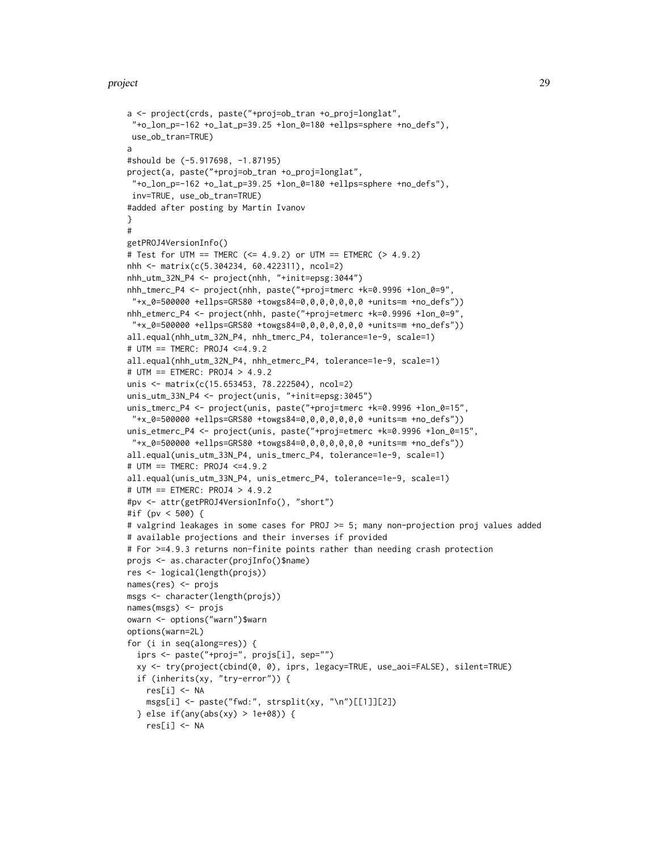#### project 29

```
a <- project(crds, paste("+proj=ob_tran +o_proj=longlat",
 "+o_lon_p=-162 +o_lat_p=39.25 +lon_0=180 +ellps=sphere +no_defs"),
use_ob_tran=TRUE)
a
#should be (-5.917698, -1.87195)
project(a, paste("+proj=ob_tran +o_proj=longlat",
"+o_lon_p=-162 +o_lat_p=39.25 +lon_0=180 +ellps=sphere +no_defs"),
inv=TRUE, use_ob_tran=TRUE)
#added after posting by Martin Ivanov
}
#
getPROJ4VersionInfo()
# Test for UTM == TMERC (<= 4.9.2) or UTM == ETMERC (> 4.9.2)
nhh <- matrix(c(5.304234, 60.422311), ncol=2)
nhh_utm_32N_P4 <- project(nhh, "+init=epsg:3044")
nhh_tmerc_P4 <- project(nhh, paste("+proj=tmerc +k=0.9996 +lon_0=9",
 "+x_0=500000 +ellps=GRS80 +towgs84=0,0,0,0,0,0,0 +units=m +no_defs"))
nhh_etmerc_P4 <- project(nhh, paste("+proj=etmerc +k=0.9996 +lon_0=9",
 "+x_0=500000 +ellps=GRS80 +towgs84=0,0,0,0,0,0,0 +units=m +no_defs"))
all.equal(nhh_utm_32N_P4, nhh_tmerc_P4, tolerance=1e-9, scale=1)
# UTM == TMERC: PROJ4 <=4.9.2
all.equal(nhh_utm_32N_P4, nhh_etmerc_P4, tolerance=1e-9, scale=1)
# UTM == ETMERC: PROJ4 > 4.9.2
unis <- matrix(c(15.653453, 78.222504), ncol=2)
unis_utm_33N_P4 <- project(unis, "+init=epsg:3045")
unis_tmerc_P4 <- project(unis, paste("+proj=tmerc +k=0.9996 +lon_0=15",
 "+x_0=500000 +ellps=GRS80 +towgs84=0,0,0,0,0,0,0 +units=m +no_defs"))
unis_etmerc_P4 <- project(unis, paste("+proj=etmerc +k=0.9996 +lon_0=15",
 "+x_0=500000 +ellps=GRS80 +towgs84=0,0,0,0,0,0,0 +units=m +no_defs"))
all.equal(unis_utm_33N_P4, unis_tmerc_P4, tolerance=1e-9, scale=1)
# UTM == TMERC: PROJ4 <=4.9.2
all.equal(unis_utm_33N_P4, unis_etmerc_P4, tolerance=1e-9, scale=1)
# UTM == ETMERC: PROJ4 > 4.9.2
#pv <- attr(getPROJ4VersionInfo(), "short")
#if (pv < 500) {
# valgrind leakages in some cases for PROJ >= 5; many non-projection proj values added
# available projections and their inverses if provided
# For >=4.9.3 returns non-finite points rather than needing crash protection
projs <- as.character(projInfo()$name)
res <- logical(length(projs))
names(res) <- projs
msgs <- character(length(projs))
names(msgs) <- projs
owarn <- options("warn")$warn
options(warn=2L)
for (i in seq(along=res)) {
 iprs <- paste("+proj=", projs[i], sep="")
 xy <- try(project(cbind(0, 0), iprs, legacy=TRUE, use_aoi=FALSE), silent=TRUE)
 if (inherits(xy, "try-error")) {
   res[i] <- NA
    msgs[i] <- paste("fwd:", strsplit(xy, "\n")[[1]][2])
  } else if(any(abs(xy) > 1e+08)) {
   res[i] <- NA
```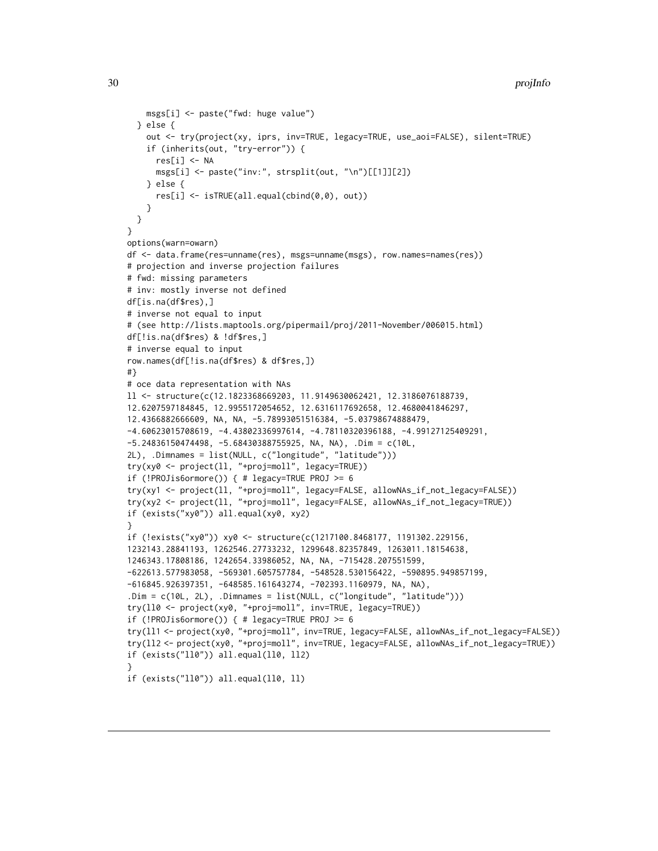```
msgs[i] <- paste("fwd: huge value")
  } else {
    out <- try(project(xy, iprs, inv=TRUE, legacy=TRUE, use_aoi=FALSE), silent=TRUE)
    if (inherits(out, "try-error")) {
      res[i] <- NA
     msgs[i] <- paste("inv:", strsplit(out, "\n")[[1]][2])
    } else {
      res[i] <- isTRUE(all.equal(cbind(0,0), out))
   }
  }
}
options(warn=owarn)
df <- data.frame(res=unname(res), msgs=unname(msgs), row.names=names(res))
# projection and inverse projection failures
# fwd: missing parameters
# inv: mostly inverse not defined
df[is.na(df$res),]
# inverse not equal to input
# (see http://lists.maptools.org/pipermail/proj/2011-November/006015.html)
df[!is.na(df$res) & !df$res,]
# inverse equal to input
row.names(df[!is.na(df$res) & df$res,])
#}
# oce data representation with NAs
ll <- structure(c(12.1823368669203, 11.9149630062421, 12.3186076188739,
12.6207597184845, 12.9955172054652, 12.6316117692658, 12.4680041846297,
12.4366882666609, NA, NA, -5.78993051516384, -5.03798674888479,
-4.60623015708619, -4.43802336997614, -4.78110320396188, -4.99127125409291,
-5.24836150474498, -5.68430388755925, NA, NA), .Dim = c(10L,
2L), .Dimnames = list(NULL, c("longitude", "latitude")))
try(xy0 <- project(ll, "+proj=moll", legacy=TRUE))
if (!PROJis6ormore()) { # legacy=TRUE PROJ >= 6
try(xy1 <- project(ll, "+proj=moll", legacy=FALSE, allowNAs_if_not_legacy=FALSE))
try(xy2 <- project(ll, "+proj=moll", legacy=FALSE, allowNAs_if_not_legacy=TRUE))
if (exists("xy0")) all.equal(xy0, xy2)
}
if (!exists("xy0")) xy0 <- structure(c(1217100.8468177, 1191302.229156,
1232143.28841193, 1262546.27733232, 1299648.82357849, 1263011.18154638,
1246343.17808186, 1242654.33986052, NA, NA, -715428.207551599,
-622613.577983058, -569301.605757784, -548528.530156422, -590895.949857199,
-616845.926397351, -648585.161643274, -702393.1160979, NA, NA),
.Dim = c(10L, 2L), .Dimnames = list(NULL, c("longitude", "latitude")))
try(ll0 <- project(xy0, "+proj=moll", inv=TRUE, legacy=TRUE))
if (!PROJis6ormore()) { # legacy=TRUE PROJ >= 6
try(ll1 <- project(xy0, "+proj=moll", inv=TRUE, legacy=FALSE, allowNAs_if_not_legacy=FALSE))
try(ll2 <- project(xy0, "+proj=moll", inv=TRUE, legacy=FALSE, allowNAs_if_not_legacy=TRUE))
if (exists("ll0")) all.equal(ll0, ll2)
}
if (exists("ll0")) all.equal(ll0, ll)
```
<span id="page-29-0"></span>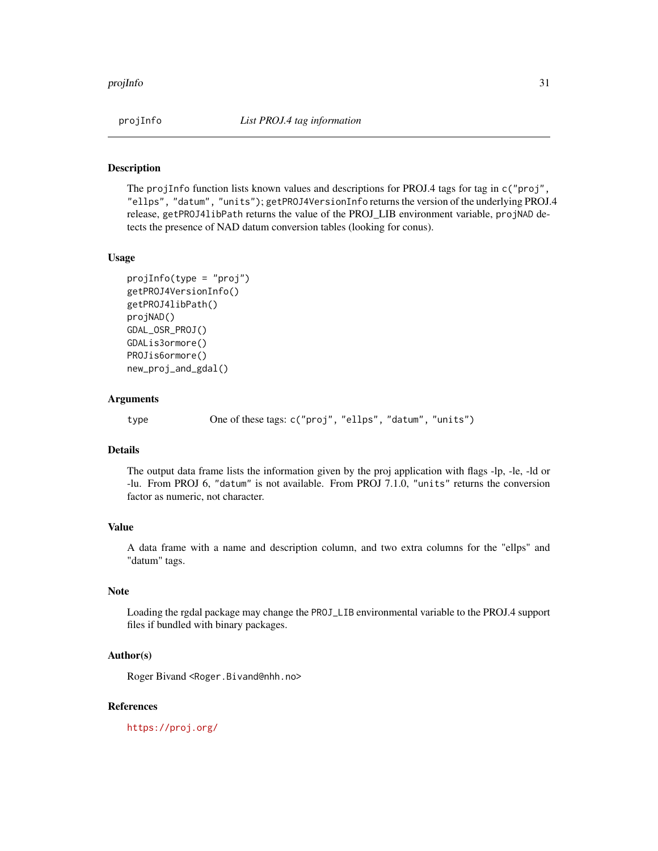<span id="page-30-0"></span>

## Description

The projInfo function lists known values and descriptions for PROJ.4 tags for tag in c("proj", "ellps", "datum", "units"); getPROJ4VersionInfo returns the version of the underlying PROJ.4 release, getPROJ4libPath returns the value of the PROJ\_LIB environment variable, projNAD detects the presence of NAD datum conversion tables (looking for conus).

#### Usage

```
projInfo(type = "proj")
getPROJ4VersionInfo()
getPROJ4libPath()
projNAD()
GDAL_OSR_PROJ()
GDALis3ormore()
PROJis6ormore()
new_proj_and_gdal()
```
#### Arguments

type One of these tags: c("proj", "ellps", "datum", "units")

## Details

The output data frame lists the information given by the proj application with flags -lp, -le, -ld or -lu. From PROJ 6, "datum" is not available. From PROJ 7.1.0, "units" returns the conversion factor as numeric, not character.

### Value

A data frame with a name and description column, and two extra columns for the "ellps" and "datum" tags.

## Note

Loading the rgdal package may change the PROJ\_LIB environmental variable to the PROJ.4 support files if bundled with binary packages.

#### Author(s)

Roger Bivand <Roger.Bivand@nhh.no>

#### References

<https://proj.org/>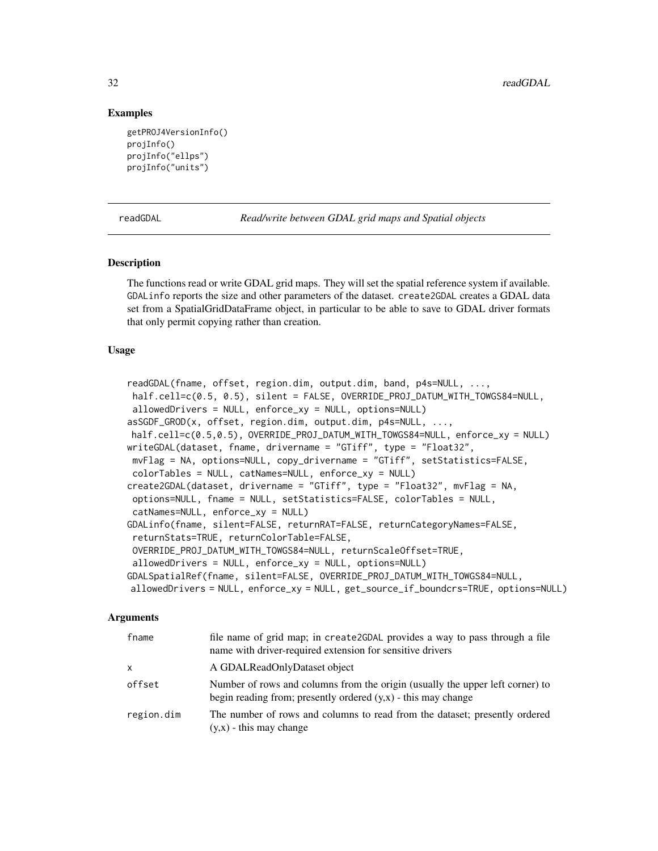## Examples

```
getPROJ4VersionInfo()
projInfo()
projInfo("ellps")
projInfo("units")
```
<span id="page-31-1"></span>readGDAL *Read/write between GDAL grid maps and Spatial objects*

#### **Description**

The functions read or write GDAL grid maps. They will set the spatial reference system if available. GDALinfo reports the size and other parameters of the dataset. create2GDAL creates a GDAL data set from a SpatialGridDataFrame object, in particular to be able to save to GDAL driver formats that only permit copying rather than creation.

#### Usage

```
readGDAL(fname, offset, region.dim, output.dim, band, p4s=NULL, ...,
half.cell=c(0.5, 0.5), silent = FALSE, OVERRIDE_PROJ_DATUM_WITH_TOWGS84=NULL,
allowedDrivers = NULL, enforce_xy = NULL, options=NULL)
asSGDF_GROD(x, offset, region.dim, output.dim, p4s=NULL, ...,
half.cell=c(0.5,0.5), OVERRIDE_PROJ_DATUM_WITH_TOWGS84=NULL, enforce_xy = NULL)
writeGDAL(dataset, fname, drivername = "GTiff", type = "Float32",
mvFlag = NA, options=NULL, copy_drivername = "GTiff", setStatistics=FALSE,
colorTables = NULL, catNames=NULL, enforce_xy = NULL)
create2GDAL(dataset, drivername = "GTiff", type = "Float32", mvFlag = NA,
options=NULL, fname = NULL, setStatistics=FALSE, colorTables = NULL,
catNames=NULL, enforce_xy = NULL)
GDALinfo(fname, silent=FALSE, returnRAT=FALSE, returnCategoryNames=FALSE,
returnStats=TRUE, returnColorTable=FALSE,
OVERRIDE_PROJ_DATUM_WITH_TOWGS84=NULL, returnScaleOffset=TRUE,
allowedDrivers = NULL, enforce_xy = NULL, options=NULL)
GDALSpatialRef(fname, silent=FALSE, OVERRIDE_PROJ_DATUM_WITH_TOWGS84=NULL,
allowedDrivers = NULL, enforce_xy = NULL, get_source_if_boundcrs=TRUE, options=NULL)
```
#### Arguments

| fname      | file name of grid map; in create2GDAL provides a way to pass through a file<br>name with driver-required extension for sensitive drivers         |
|------------|--------------------------------------------------------------------------------------------------------------------------------------------------|
| x          | A GDALReadOnlyDataset object                                                                                                                     |
| offset     | Number of rows and columns from the origin (usually the upper left corner) to<br>begin reading from; presently ordered $(y,x)$ - this may change |
| region.dim | The number of rows and columns to read from the dataset; presently ordered<br>$(y,x)$ - this may change                                          |

<span id="page-31-0"></span>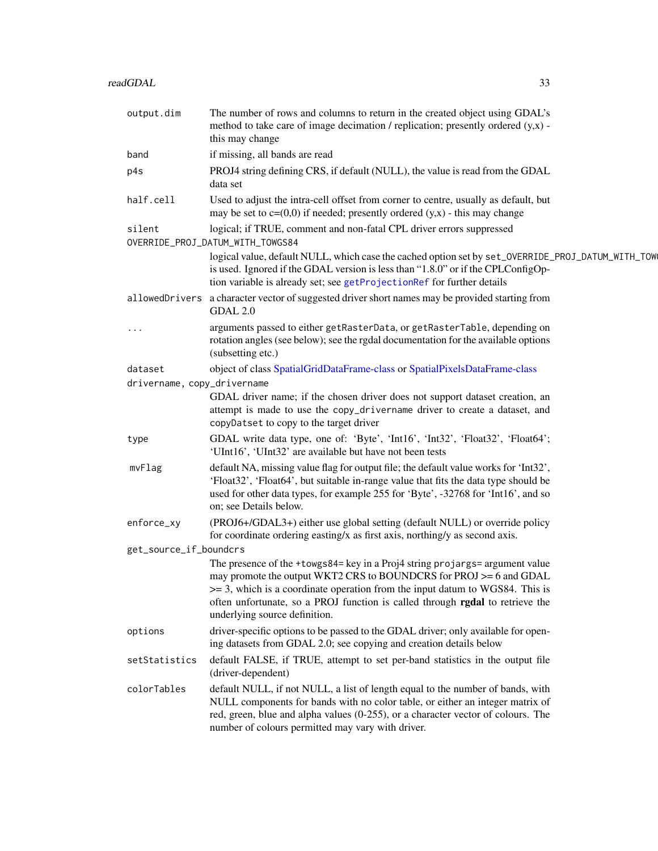<span id="page-32-0"></span>

| output.dim                             | The number of rows and columns to return in the created object using GDAL's<br>method to take care of image decimation / replication; presently ordered $(y,x)$ -<br>this may change                                                                                                                                                                      |
|----------------------------------------|-----------------------------------------------------------------------------------------------------------------------------------------------------------------------------------------------------------------------------------------------------------------------------------------------------------------------------------------------------------|
| band                                   | if missing, all bands are read                                                                                                                                                                                                                                                                                                                            |
| p4s                                    | PROJ4 string defining CRS, if default (NULL), the value is read from the GDAL<br>data set                                                                                                                                                                                                                                                                 |
| half.cell                              | Used to adjust the intra-cell offset from corner to centre, usually as default, but<br>may be set to $c=(0,0)$ if needed; presently ordered $(y,x)$ - this may change                                                                                                                                                                                     |
| silent                                 | logical; if TRUE, comment and non-fatal CPL driver errors suppressed<br>OVERRIDE_PROJ_DATUM_WITH_TOWGS84                                                                                                                                                                                                                                                  |
|                                        | logical value, default NULL, which case the cached option set by set_OVERRIDE_PROJ_DATUM_WITH_TOW<br>is used. Ignored if the GDAL version is less than "1.8.0" or if the CPLConfigOp-<br>tion variable is already set; see getProjectionRef for further details                                                                                           |
|                                        | allowed Drivers a character vector of suggested driver short names may be provided starting from<br>GDAL 2.0                                                                                                                                                                                                                                              |
|                                        | arguments passed to either getRasterData, or getRasterTable, depending on<br>rotation angles (see below); see the rgdal documentation for the available options<br>(subsetting etc.)                                                                                                                                                                      |
| dataset<br>drivername, copy_drivername | object of class SpatialGridDataFrame-class or SpatialPixelsDataFrame-class                                                                                                                                                                                                                                                                                |
|                                        | GDAL driver name; if the chosen driver does not support dataset creation, an<br>attempt is made to use the copy_drivername driver to create a dataset, and<br>copyDatset to copy to the target driver                                                                                                                                                     |
| type                                   | GDAL write data type, one of: 'Byte', 'Int16', 'Int32', 'Float32', 'Float64';<br>'UInt16', 'UInt32' are available but have not been tests                                                                                                                                                                                                                 |
| mvFlag                                 | default NA, missing value flag for output file; the default value works for 'Int32',<br>'Float32', 'Float64', but suitable in-range value that fits the data type should be<br>used for other data types, for example 255 for 'Byte', -32768 for 'Int16', and so<br>on; see Details below.                                                                |
| enforce_xy                             | (PROJ6+/GDAL3+) either use global setting (default NULL) or override policy<br>for coordinate ordering easting/x as first axis, northing/y as second axis.                                                                                                                                                                                                |
| get_source_if_boundcrs                 |                                                                                                                                                                                                                                                                                                                                                           |
|                                        | The presence of the +towgs84= key in a Proj4 string projargs= argument value<br>may promote the output WKT2 CRS to BOUNDCRS for PROJ >= 6 and GDAL<br>$\ge$ = 3, which is a coordinate operation from the input datum to WGS84. This is<br>often unfortunate, so a PROJ function is called through rgdal to retrieve the<br>underlying source definition. |
| options                                | driver-specific options to be passed to the GDAL driver; only available for open-<br>ing datasets from GDAL 2.0; see copying and creation details below                                                                                                                                                                                                   |
| setStatistics                          | default FALSE, if TRUE, attempt to set per-band statistics in the output file<br>(driver-dependent)                                                                                                                                                                                                                                                       |
| colorTables                            | default NULL, if not NULL, a list of length equal to the number of bands, with<br>NULL components for bands with no color table, or either an integer matrix of<br>red, green, blue and alpha values (0-255), or a character vector of colours. The<br>number of colours permitted may vary with driver.                                                  |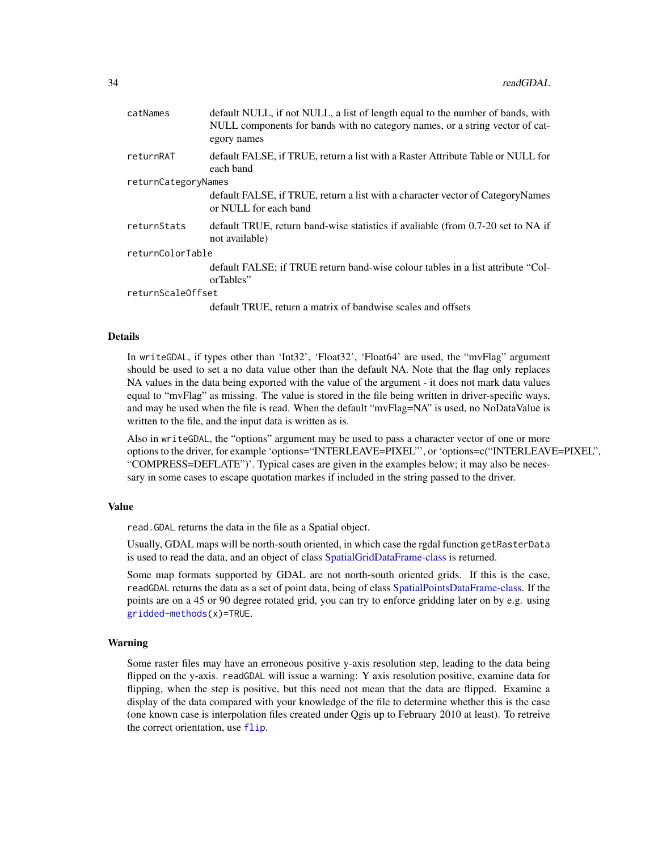<span id="page-33-0"></span>

| default NULL, if not NULL, a list of length equal to the number of bands, with<br>NULL components for bands with no category names, or a string vector of cat-<br>egory names |  |  |
|-------------------------------------------------------------------------------------------------------------------------------------------------------------------------------|--|--|
| default FALSE, if TRUE, return a list with a Raster Attribute Table or NULL for<br>each band                                                                                  |  |  |
| returnCategoryNames                                                                                                                                                           |  |  |
| default FALSE, if TRUE, return a list with a character vector of CategoryNames<br>or NULL for each band                                                                       |  |  |
| default TRUE, return band-wise statistics if avaliable (from 0.7-20 set to NA if<br>not available)                                                                            |  |  |
| returnColorTable                                                                                                                                                              |  |  |
| default FALSE; if TRUE return band-wise colour tables in a list attribute "Col-<br>orTables"                                                                                  |  |  |
| returnScaleOffset                                                                                                                                                             |  |  |
| default TRUE, return a matrix of bandwise scales and offsets                                                                                                                  |  |  |
|                                                                                                                                                                               |  |  |

#### Details

In writeGDAL, if types other than 'Int32', 'Float32', 'Float64' are used, the "mvFlag" argument should be used to set a no data value other than the default NA. Note that the flag only replaces NA values in the data being exported with the value of the argument - it does not mark data values equal to "mvFlag" as missing. The value is stored in the file being written in driver-specific ways, and may be used when the file is read. When the default "mvFlag=NA" is used, no NoDataValue is written to the file, and the input data is written as is.

Also in writeGDAL, the "options" argument may be used to pass a character vector of one or more options to the driver, for example 'options="INTERLEAVE=PIXEL"', or 'options=c("INTERLEAVE=PIXEL", "COMPRESS=DEFLATE")'. Typical cases are given in the examples below; it may also be necessary in some cases to escape quotation markes if included in the string passed to the driver.

#### Value

read.GDAL returns the data in the file as a Spatial object.

Usually, GDAL maps will be north-south oriented, in which case the rgdal function getRasterData is used to read the data, and an object of class [SpatialGridDataFrame-class](#page-0-0) is returned.

Some map formats supported by GDAL are not north-south oriented grids. If this is the case, readGDAL returns the data as a set of point data, being of class [SpatialPointsDataFrame-class.](#page-0-0) If the points are on a 45 or 90 degree rotated grid, you can try to enforce gridding later on by e.g. using [gridded-methods\(](#page-0-0)x)=TRUE.

#### Warning

Some raster files may have an erroneous positive y-axis resolution step, leading to the data being flipped on the y-axis. readGDAL will issue a warning: Y axis resolution positive, examine data for flipping, when the step is positive, but this need not mean that the data are flipped. Examine a display of the data compared with your knowledge of the file to determine whether this is the case (one known case is interpolation files created under Qgis up to February 2010 at least). To retreive the correct orientation, use [flip](#page-0-0).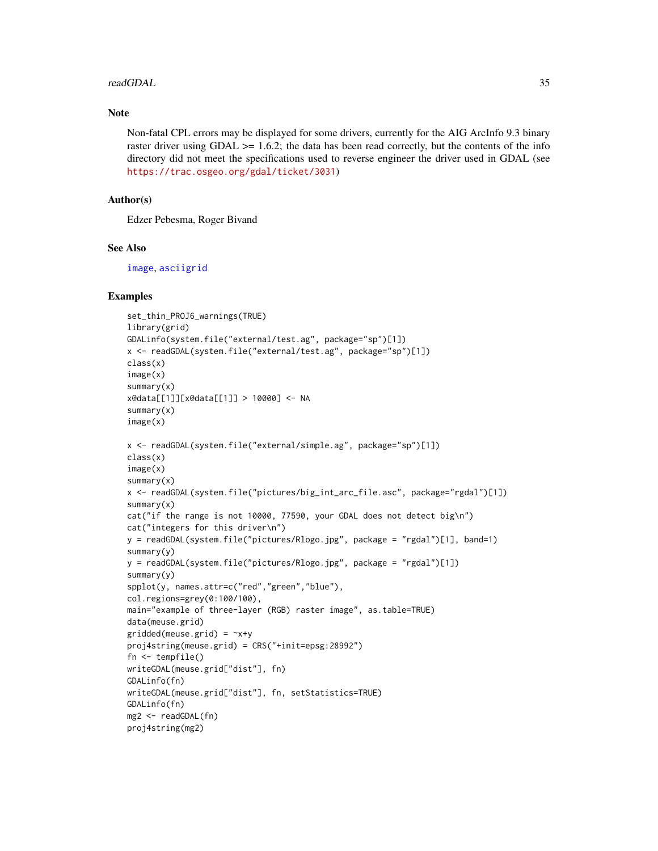#### <span id="page-34-0"></span>readGDAL 35

## Note

Non-fatal CPL errors may be displayed for some drivers, currently for the AIG ArcInfo 9.3 binary raster driver using GDAL  $>= 1.6.2$ ; the data has been read correctly, but the contents of the info directory did not meet the specifications used to reverse engineer the driver used in GDAL (see <https://trac.osgeo.org/gdal/ticket/3031>)

## Author(s)

Edzer Pebesma, Roger Bivand

## See Also

[image](#page-0-0), [asciigrid](#page-0-0)

```
set_thin_PROJ6_warnings(TRUE)
library(grid)
GDALinfo(system.file("external/test.ag", package="sp")[1])
x <- readGDAL(system.file("external/test.ag", package="sp")[1])
class(x)
image(x)
summary(x)
x@data[[1]][x@data[[1]] > 10000] <- NA
summary(x)
image(x)
x <- readGDAL(system.file("external/simple.ag", package="sp")[1])
class(x)
image(x)
summary(x)
x <- readGDAL(system.file("pictures/big_int_arc_file.asc", package="rgdal")[1])
summary(x)
cat("if the range is not 10000, 77590, your GDAL does not detect big\n")
cat("integers for this driver\n")
y = readGDAL(system.file("pictures/Rlogo.jpg", package = "rgdal")[1], band=1)
summary(y)
y = readGDAL(system.file("pictures/Rlogo.jpg", package = "rgdal")[1])
summary(y)
spplot(y, names.attr=c("red","green","blue"),
col.regions=grey(0:100/100),
main="example of three-layer (RGB) raster image", as.table=TRUE)
data(meuse.grid)
gridded(meuse.grid) = ~x+y
proj4string(meuse.grid) = CRS("+init=epsg:28992")
fn <- tempfile()
writeGDAL(meuse.grid["dist"], fn)
GDALinfo(fn)
writeGDAL(meuse.grid["dist"], fn, setStatistics=TRUE)
GDALinfo(fn)
mg2 <- readGDAL(fn)
proj4string(mg2)
```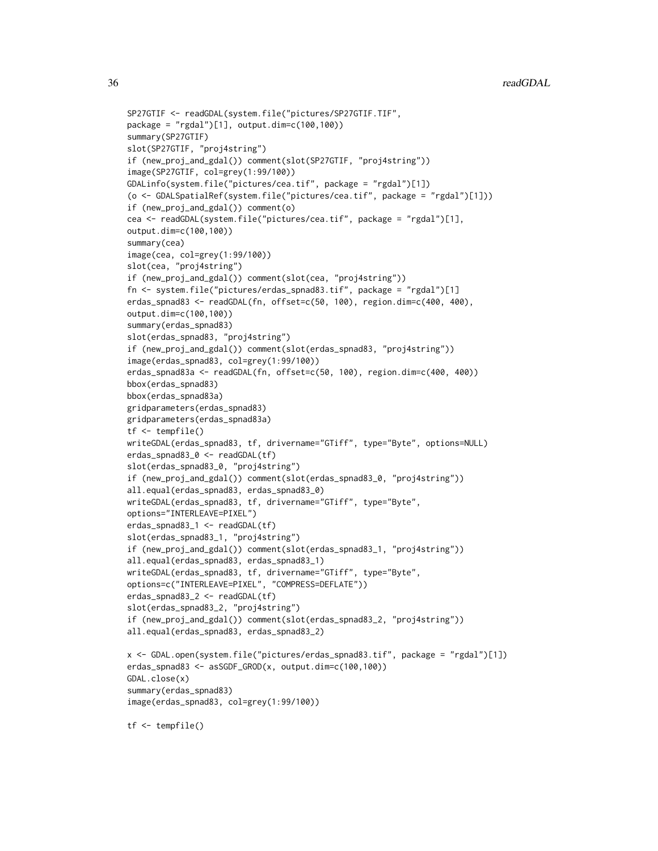```
SP27GTIF <- readGDAL(system.file("pictures/SP27GTIF.TIF",
package = "rgdal")[1], output.dim=c(100,100))
summary(SP27GTIF)
slot(SP27GTIF, "proj4string")
if (new_proj_and_gdal()) comment(slot(SP27GTIF, "proj4string"))
image(SP27GTIF, col=grey(1:99/100))
GDALinfo(system.file("pictures/cea.tif", package = "rgdal")[1])
(o <- GDALSpatialRef(system.file("pictures/cea.tif", package = "rgdal")[1]))
if (new_proj_and_gdal()) comment(o)
cea <- readGDAL(system.file("pictures/cea.tif", package = "rgdal")[1],
output.dim=c(100,100))
summary(cea)
image(cea, col=grey(1:99/100))
slot(cea, "proj4string")
if (new_proj_and_gdal()) comment(slot(cea, "proj4string"))
fn <- system.file("pictures/erdas_spnad83.tif", package = "rgdal")[1]
erdas_spnad83 <- readGDAL(fn, offset=c(50, 100), region.dim=c(400, 400),
output.dim=c(100,100))
summary(erdas_spnad83)
slot(erdas_spnad83, "proj4string")
if (new_proj_and_gdal()) comment(slot(erdas_spnad83, "proj4string"))
image(erdas_spnad83, col=grey(1:99/100))
erdas_spnad83a <- readGDAL(fn, offset=c(50, 100), region.dim=c(400, 400))
bbox(erdas_spnad83)
bbox(erdas_spnad83a)
gridparameters(erdas_spnad83)
gridparameters(erdas_spnad83a)
tf <- tempfile()
writeGDAL(erdas_spnad83, tf, drivername="GTiff", type="Byte", options=NULL)
erdas_spnad83_0 <- readGDAL(tf)
slot(erdas_spnad83_0, "proj4string")
if (new_proj_and_gdal()) comment(slot(erdas_spnad83_0, "proj4string"))
all.equal(erdas_spnad83, erdas_spnad83_0)
writeGDAL(erdas_spnad83, tf, drivername="GTiff", type="Byte",
options="INTERLEAVE=PIXEL")
erdas_spnad83_1 <- readGDAL(tf)
slot(erdas_spnad83_1, "proj4string")
if (new_proj_and_gdal()) comment(slot(erdas_spnad83_1, "proj4string"))
all.equal(erdas_spnad83, erdas_spnad83_1)
writeGDAL(erdas_spnad83, tf, drivername="GTiff", type="Byte",
options=c("INTERLEAVE=PIXEL", "COMPRESS=DEFLATE"))
erdas_spnad83_2 <- readGDAL(tf)
slot(erdas_spnad83_2, "proj4string")
if (new_proj_and_gdal()) comment(slot(erdas_spnad83_2, "proj4string"))
all.equal(erdas_spnad83, erdas_spnad83_2)
x <- GDAL.open(system.file("pictures/erdas_spnad83.tif", package = "rgdal")[1])
erdas_spnad83 <- asSGDF_GROD(x, output.dim=c(100,100))
GDAL.close(x)
summary(erdas_spnad83)
image(erdas_spnad83, col=grey(1:99/100))
tf <- tempfile()
```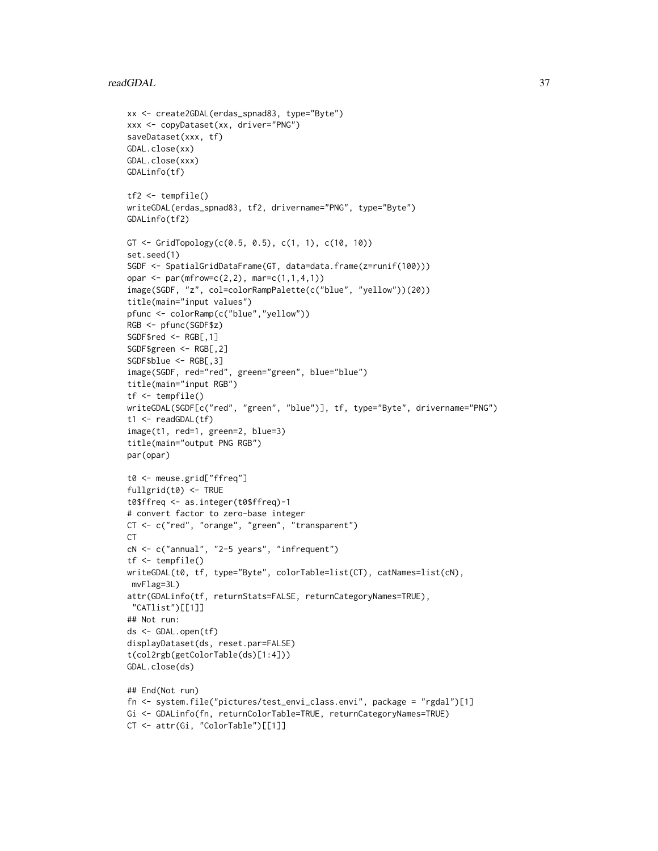#### readGDAL 37

```
xx <- create2GDAL(erdas_spnad83, type="Byte")
xxx <- copyDataset(xx, driver="PNG")
saveDataset(xxx, tf)
GDAL.close(xx)
GDAL.close(xxx)
GDALinfo(tf)
tf2 <- tempfile()
writeGDAL(erdas_spnad83, tf2, drivername="PNG", type="Byte")
GDALinfo(tf2)
GT <- GridTopology(c(0.5, 0.5), c(1, 1), c(10, 10))
set.seed(1)
SGDF <- SpatialGridDataFrame(GT, data=data.frame(z=runif(100)))
opar <- par(mfrow=c(2,2), mar=c(1,1,4,1))
image(SGDF, "z", col=colorRampPalette(c("blue", "yellow"))(20))
title(main="input values")
pfunc <- colorRamp(c("blue","yellow"))
RGB <- pfunc(SGDF$z)
SGDF$red <- RGB[,1]
SGDF$green <- RGB[,2]
SGDF$blue <- RGB[,3]
image(SGDF, red="red", green="green", blue="blue")
title(main="input RGB")
tf <- tempfile()
writeGDAL(SGDF[c("red", "green", "blue")], tf, type="Byte", drivername="PNG")
t1 <- readGDAL(tf)
image(t1, red=1, green=2, blue=3)
title(main="output PNG RGB")
par(opar)
t0 <- meuse.grid["ffreq"]
fullgrid(t0) <- TRUE
t0$ffreq <- as.integer(t0$ffreq)-1
# convert factor to zero-base integer
CT <- c("red", "orange", "green", "transparent")
CTcN <- c("annual", "2-5 years", "infrequent")
tf <- tempfile()
writeGDAL(t0, tf, type="Byte", colorTable=list(CT), catNames=list(cN),
mvFlag=3L)
attr(GDALinfo(tf, returnStats=FALSE, returnCategoryNames=TRUE),
 "CATlist")[[1]]
## Not run:
ds <- GDAL.open(tf)
displayDataset(ds, reset.par=FALSE)
t(col2rgb(getColorTable(ds)[1:4]))
GDAL.close(ds)
## End(Not run)
fn <- system.file("pictures/test_envi_class.envi", package = "rgdal")[1]
Gi <- GDALinfo(fn, returnColorTable=TRUE, returnCategoryNames=TRUE)
CT <- attr(Gi, "ColorTable")[[1]]
```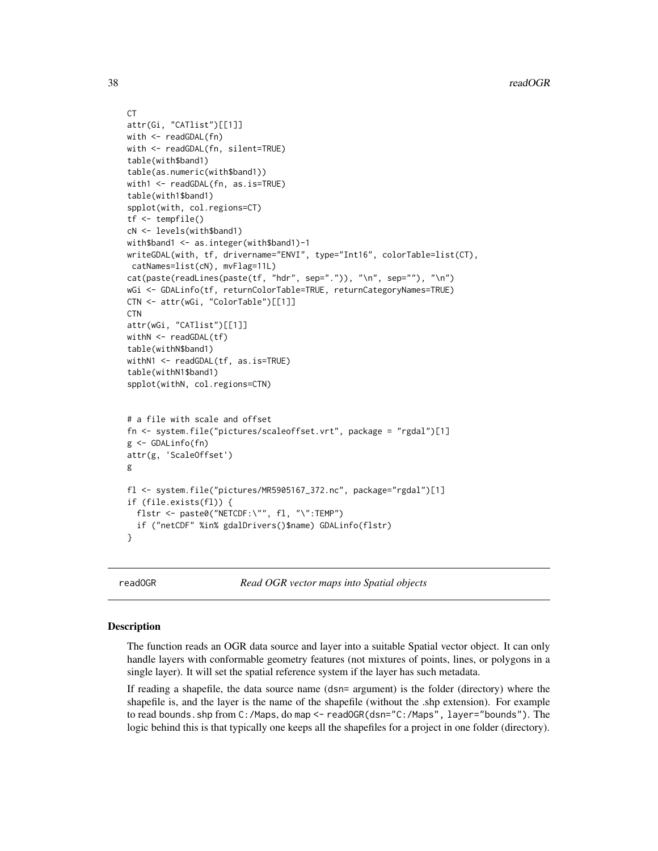```
CT
attr(Gi, "CATlist")[[1]]
with <- readGDAL(fn)
with <- readGDAL(fn, silent=TRUE)
table(with$band1)
table(as.numeric(with$band1))
with1 <- readGDAL(fn, as.is=TRUE)
table(with1$band1)
spplot(with, col.regions=CT)
tf <- tempfile()
cN <- levels(with$band1)
with$band1 <- as.integer(with$band1)-1
writeGDAL(with, tf, drivername="ENVI", type="Int16", colorTable=list(CT),
 catNames=list(cN), mvFlag=11L)
cat(paste(readLines(paste(tf, "hdr", sep=".")), "\n", sep=""), "\n")
wGi <- GDALinfo(tf, returnColorTable=TRUE, returnCategoryNames=TRUE)
CTN <- attr(wGi, "ColorTable")[[1]]
CTN
attr(wGi, "CATlist")[[1]]
withN <- readGDAL(tf)
table(withN$band1)
withN1 <- readGDAL(tf, as.is=TRUE)
table(withN1$band1)
spplot(withN, col.regions=CTN)
# a file with scale and offset
fn <- system.file("pictures/scaleoffset.vrt", package = "rgdal")[1]
g <- GDALinfo(fn)
attr(g, 'ScaleOffset')
g
fl <- system.file("pictures/MR5905167_372.nc", package="rgdal")[1]
if (file.exists(fl)) {
  flstr <- paste0("NETCDF:\"", fl, "\":TEMP")
  if ("netCDF" %in% gdalDrivers()$name) GDALinfo(flstr)
}
```
<span id="page-37-2"></span>

readOGR *Read OGR vector maps into Spatial objects*

## <span id="page-37-1"></span>Description

The function reads an OGR data source and layer into a suitable Spatial vector object. It can only handle layers with conformable geometry features (not mixtures of points, lines, or polygons in a single layer). It will set the spatial reference system if the layer has such metadata.

If reading a shapefile, the data source name (dsn= argument) is the folder (directory) where the shapefile is, and the layer is the name of the shapefile (without the .shp extension). For example to read bounds.shp from C:/Maps, do map <- readOGR(dsn="C:/Maps", layer="bounds"). The logic behind this is that typically one keeps all the shapefiles for a project in one folder (directory).

<span id="page-37-0"></span>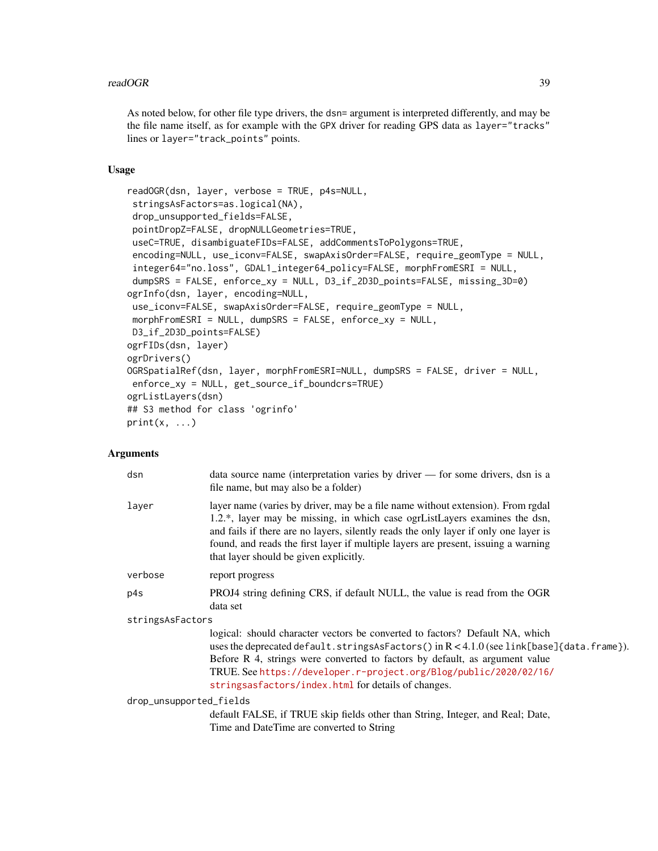#### readOGR 39

As noted below, for other file type drivers, the dsn= argument is interpreted differently, and may be the file name itself, as for example with the GPX driver for reading GPS data as layer="tracks" lines or layer="track\_points" points.

## Usage

```
readOGR(dsn, layer, verbose = TRUE, p4s=NULL,
stringsAsFactors=as.logical(NA),
drop_unsupported_fields=FALSE,
pointDropZ=FALSE, dropNULLGeometries=TRUE,
useC=TRUE, disambiguateFIDs=FALSE, addCommentsToPolygons=TRUE,
encoding=NULL, use_iconv=FALSE, swapAxisOrder=FALSE, require_geomType = NULL,
integer64="no.loss", GDAL1_integer64_policy=FALSE, morphFromESRI = NULL,
dumpSRS = FALSE, enforce_xy = NULL, D3_if_2D3D_points=FALSE, missing_3D=0)
ogrInfo(dsn, layer, encoding=NULL,
use_iconv=FALSE, swapAxisOrder=FALSE, require_geomType = NULL,
morphFromESRI = NULL, dumpSRS = FALSE, enforce_xy = NULL,
D3_if_2D3D_points=FALSE)
ogrFIDs(dsn, layer)
ogrDrivers()
OGRSpatialRef(dsn, layer, morphFromESRI=NULL, dumpSRS = FALSE, driver = NULL,
enforce_xy = NULL, get_source_if_boundcrs=TRUE)
ogrListLayers(dsn)
## S3 method for class 'ogrinfo'
print(x, \ldots)
```
## Arguments

|                         | dsn     | data source name (interpretation varies by driver — for some drivers, dsn is a<br>file name, but may also be a folder)                                                                                                                                                                                                                                                                 |
|-------------------------|---------|----------------------------------------------------------------------------------------------------------------------------------------------------------------------------------------------------------------------------------------------------------------------------------------------------------------------------------------------------------------------------------------|
|                         | layer   | layer name (varies by driver, may be a file name without extension). From rgdal<br>1.2.*, layer may be missing, in which case ogrListLayers examines the dsn,<br>and fails if there are no layers, silently reads the only layer if only one layer is<br>found, and reads the first layer if multiple layers are present, issuing a warning<br>that layer should be given explicitly.  |
|                         | verbose | report progress                                                                                                                                                                                                                                                                                                                                                                        |
|                         | p4s     | PROJ4 string defining CRS, if default NULL, the value is read from the OGR<br>data set                                                                                                                                                                                                                                                                                                 |
| stringsAsFactors        |         |                                                                                                                                                                                                                                                                                                                                                                                        |
|                         |         | logical: should character vectors be converted to factors? Default NA, which<br>uses the deprecated default.stringsAsFactors() in $R < 4.1.0$ (see link[base]{data.frame}).<br>Before R 4, strings were converted to factors by default, as argument value<br>TRUE. See https://developer.r-project.org/Blog/public/2020/02/16/<br>stringsasfactors/index.html for details of changes. |
| drop_unsupported_fields |         |                                                                                                                                                                                                                                                                                                                                                                                        |
|                         |         | default FALSE, if TRUE skip fields other than String, Integer, and Real; Date,<br>Time and DateTime are converted to String                                                                                                                                                                                                                                                            |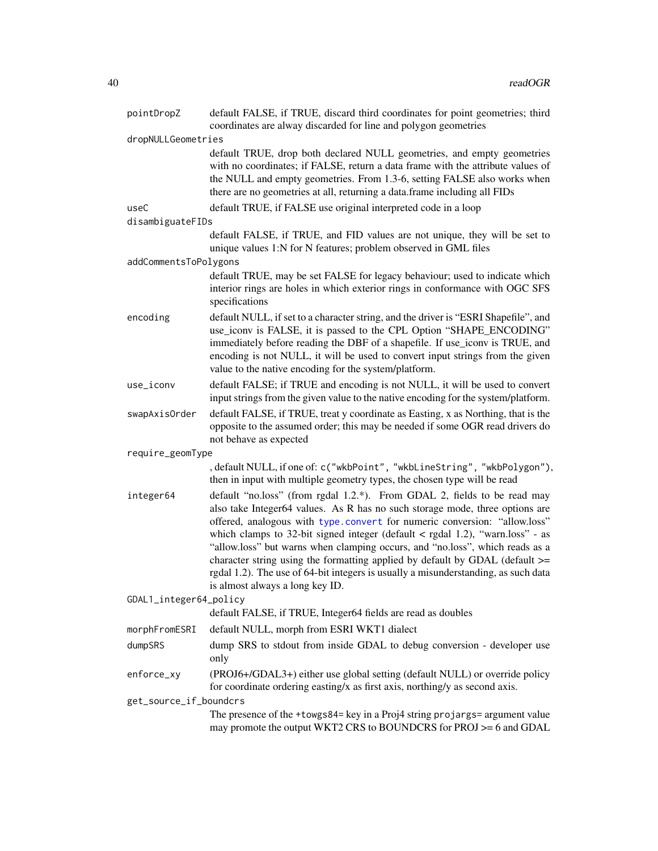<span id="page-39-0"></span>

| pointDropZ             | default FALSE, if TRUE, discard third coordinates for point geometries; third<br>coordinates are alway discarded for line and polygon geometries                                                                                                                                                                                                                                                                                                                                                                                                                                                                      |  |
|------------------------|-----------------------------------------------------------------------------------------------------------------------------------------------------------------------------------------------------------------------------------------------------------------------------------------------------------------------------------------------------------------------------------------------------------------------------------------------------------------------------------------------------------------------------------------------------------------------------------------------------------------------|--|
| dropNULLGeometries     |                                                                                                                                                                                                                                                                                                                                                                                                                                                                                                                                                                                                                       |  |
|                        | default TRUE, drop both declared NULL geometries, and empty geometries<br>with no coordinates; if FALSE, return a data frame with the attribute values of<br>the NULL and empty geometries. From 1.3-6, setting FALSE also works when<br>there are no geometries at all, returning a data.frame including all FIDs                                                                                                                                                                                                                                                                                                    |  |
| useC                   | default TRUE, if FALSE use original interpreted code in a loop                                                                                                                                                                                                                                                                                                                                                                                                                                                                                                                                                        |  |
| disambiguateFIDs       |                                                                                                                                                                                                                                                                                                                                                                                                                                                                                                                                                                                                                       |  |
|                        | default FALSE, if TRUE, and FID values are not unique, they will be set to<br>unique values 1:N for N features; problem observed in GML files                                                                                                                                                                                                                                                                                                                                                                                                                                                                         |  |
| addCommentsToPolygons  |                                                                                                                                                                                                                                                                                                                                                                                                                                                                                                                                                                                                                       |  |
|                        | default TRUE, may be set FALSE for legacy behaviour; used to indicate which<br>interior rings are holes in which exterior rings in conformance with OGC SFS<br>specifications                                                                                                                                                                                                                                                                                                                                                                                                                                         |  |
| encoding               | default NULL, if set to a character string, and the driver is "ESRI Shapefile", and<br>use_iconv is FALSE, it is passed to the CPL Option "SHAPE_ENCODING"<br>immediately before reading the DBF of a shapefile. If use_iconv is TRUE, and<br>encoding is not NULL, it will be used to convert input strings from the given<br>value to the native encoding for the system/platform.                                                                                                                                                                                                                                  |  |
| use_iconv              | default FALSE; if TRUE and encoding is not NULL, it will be used to convert<br>input strings from the given value to the native encoding for the system/platform.                                                                                                                                                                                                                                                                                                                                                                                                                                                     |  |
| swapAxisOrder          | default FALSE, if TRUE, treat y coordinate as Easting, x as Northing, that is the<br>opposite to the assumed order; this may be needed if some OGR read drivers do<br>not behave as expected                                                                                                                                                                                                                                                                                                                                                                                                                          |  |
| require_geomType       |                                                                                                                                                                                                                                                                                                                                                                                                                                                                                                                                                                                                                       |  |
|                        | , default NULL, if one of: c("wkbPoint", "wkbLineString", "wkbPolygon"),<br>then in input with multiple geometry types, the chosen type will be read                                                                                                                                                                                                                                                                                                                                                                                                                                                                  |  |
| integer64              | default "no.loss" (from rgdal 1.2.*). From GDAL 2, fields to be read may<br>also take Integer64 values. As R has no such storage mode, three options are<br>offered, analogous with type.convert for numeric conversion: "allow.loss"<br>which clamps to 32-bit signed integer (default $\lt$ rgdal 1.2), "warn.loss" - as<br>"allow.loss" but warns when clamping occurs, and "no.loss", which reads as a<br>character string using the formatting applied by default by GDAL (default $>=$<br>rgdal 1.2). The use of 64-bit integers is usually a misunderstanding, as such data<br>is almost always a long key ID. |  |
| GDAL1_integer64_policy |                                                                                                                                                                                                                                                                                                                                                                                                                                                                                                                                                                                                                       |  |
|                        | default FALSE, if TRUE, Integer64 fields are read as doubles                                                                                                                                                                                                                                                                                                                                                                                                                                                                                                                                                          |  |
| morphFromESRI          | default NULL, morph from ESRI WKT1 dialect                                                                                                                                                                                                                                                                                                                                                                                                                                                                                                                                                                            |  |
| dumpSRS                | dump SRS to stdout from inside GDAL to debug conversion - developer use<br>only                                                                                                                                                                                                                                                                                                                                                                                                                                                                                                                                       |  |
| enforce_xy             | (PROJ6+/GDAL3+) either use global setting (default NULL) or override policy<br>for coordinate ordering easting/x as first axis, northing/y as second axis.                                                                                                                                                                                                                                                                                                                                                                                                                                                            |  |
| get_source_if_boundcrs |                                                                                                                                                                                                                                                                                                                                                                                                                                                                                                                                                                                                                       |  |
|                        | The presence of the +towgs84= key in a Proj4 string projargs= argument value<br>may promote the output WKT2 CRS to BOUNDCRS for PROJ >= 6 and GDAL                                                                                                                                                                                                                                                                                                                                                                                                                                                                    |  |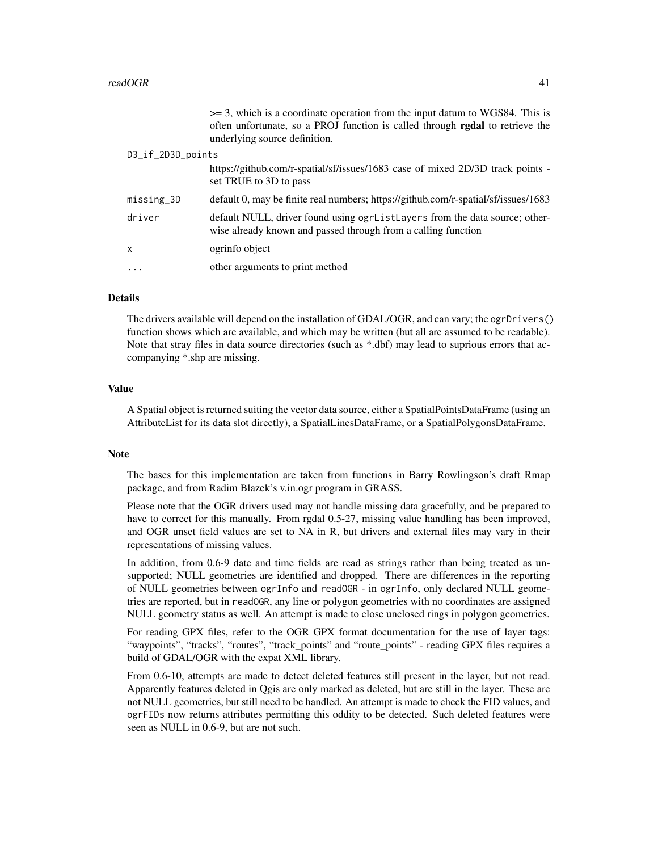|                   | $\geq$ 3, which is a coordinate operation from the input datum to WGS84. This is<br>often unfortunate, so a PROJ function is called through <b>rgdal</b> to retrieve the<br>underlying source definition. |
|-------------------|-----------------------------------------------------------------------------------------------------------------------------------------------------------------------------------------------------------|
| D3_if_2D3D_points |                                                                                                                                                                                                           |
|                   | https://github.com/r-spatial/sf/issues/1683 case of mixed 2D/3D track points -<br>set TRUE to 3D to pass                                                                                                  |
| missing_3D        | default 0, may be finite real numbers; https://github.com/r-spatial/sf/issues/1683                                                                                                                        |
| driver            | default NULL, driver found using ogrListLayers from the data source; other-<br>wise already known and passed through from a calling function                                                              |
| x                 | ogrinfo object                                                                                                                                                                                            |
| .                 | other arguments to print method                                                                                                                                                                           |

#### Details

The drivers available will depend on the installation of GDAL/OGR, and can vary; the ogrDrivers() function shows which are available, and which may be written (but all are assumed to be readable). Note that stray files in data source directories (such as \*.dbf) may lead to suprious errors that accompanying \*.shp are missing.

## Value

A Spatial object is returned suiting the vector data source, either a SpatialPointsDataFrame (using an AttributeList for its data slot directly), a SpatialLinesDataFrame, or a SpatialPolygonsDataFrame.

## Note

The bases for this implementation are taken from functions in Barry Rowlingson's draft Rmap package, and from Radim Blazek's v.in.ogr program in GRASS.

Please note that the OGR drivers used may not handle missing data gracefully, and be prepared to have to correct for this manually. From rgdal 0.5-27, missing value handling has been improved, and OGR unset field values are set to NA in R, but drivers and external files may vary in their representations of missing values.

In addition, from 0.6-9 date and time fields are read as strings rather than being treated as unsupported; NULL geometries are identified and dropped. There are differences in the reporting of NULL geometries between ogrInfo and readOGR - in ogrInfo, only declared NULL geometries are reported, but in readOGR, any line or polygon geometries with no coordinates are assigned NULL geometry status as well. An attempt is made to close unclosed rings in polygon geometries.

For reading GPX files, refer to the OGR GPX format documentation for the use of layer tags: "waypoints", "tracks", "routes", "track\_points" and "route\_points" - reading GPX files requires a build of GDAL/OGR with the expat XML library.

From 0.6-10, attempts are made to detect deleted features still present in the layer, but not read. Apparently features deleted in Qgis are only marked as deleted, but are still in the layer. These are not NULL geometries, but still need to be handled. An attempt is made to check the FID values, and ogrFIDs now returns attributes permitting this oddity to be detected. Such deleted features were seen as NULL in 0.6-9, but are not such.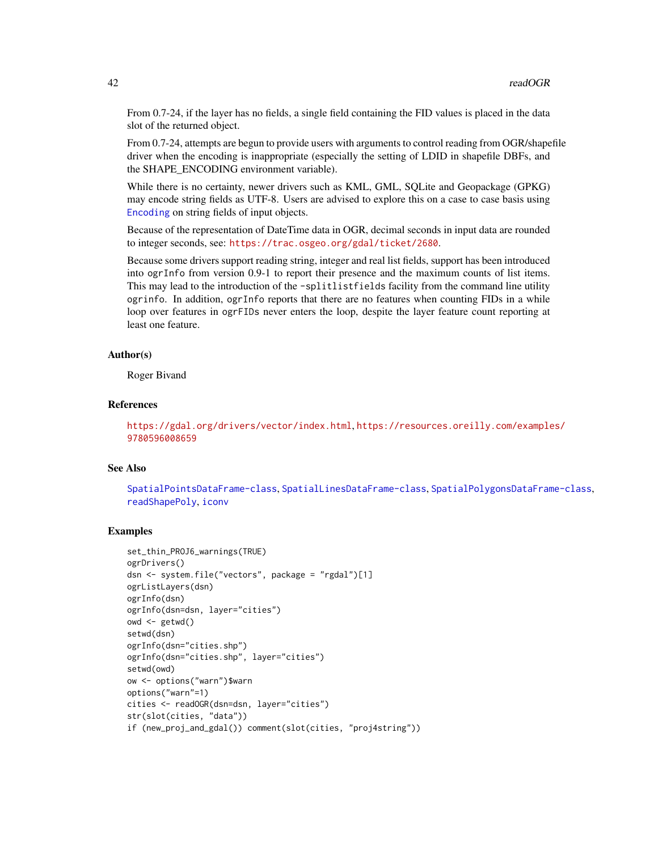From 0.7-24, if the layer has no fields, a single field containing the FID values is placed in the data slot of the returned object.

From 0.7-24, attempts are begun to provide users with arguments to control reading from OGR/shapefile driver when the encoding is inappropriate (especially the setting of LDID in shapefile DBFs, and the SHAPE\_ENCODING environment variable).

While there is no certainty, newer drivers such as KML, GML, SQLite and Geopackage (GPKG) may encode string fields as UTF-8. Users are advised to explore this on a case to case basis using [Encoding](#page-0-0) on string fields of input objects.

Because of the representation of DateTime data in OGR, decimal seconds in input data are rounded to integer seconds, see: <https://trac.osgeo.org/gdal/ticket/2680>.

Because some drivers support reading string, integer and real list fields, support has been introduced into ogrInfo from version 0.9-1 to report their presence and the maximum counts of list items. This may lead to the introduction of the -splitlistfields facility from the command line utility ogrinfo. In addition, ogrInfo reports that there are no features when counting FIDs in a while loop over features in ogrFIDs never enters the loop, despite the layer feature count reporting at least one feature.

## Author(s)

Roger Bivand

#### References

```
https://gdal.org/drivers/vector/index.html, https://resources.oreilly.com/examples/
9780596008659
```
#### See Also

[SpatialPointsDataFrame-class](#page-0-0), [SpatialLinesDataFrame-class](#page-0-0), [SpatialPolygonsDataFrame-class](#page-0-0), [readShapePoly](#page-0-0), [iconv](#page-0-0)

```
set_thin_PROJ6_warnings(TRUE)
ogrDrivers()
dsn <- system.file("vectors", package = "rgdal")[1]
ogrListLayers(dsn)
ogrInfo(dsn)
ogrInfo(dsn=dsn, layer="cities")
owd \leftarrow getwd()setwd(dsn)
ogrInfo(dsn="cities.shp")
ogrInfo(dsn="cities.shp", layer="cities")
setwd(owd)
ow <- options("warn")$warn
options("warn"=1)
cities <- readOGR(dsn=dsn, layer="cities")
str(slot(cities, "data"))
if (new_proj_and_gdal()) comment(slot(cities, "proj4string"))
```
<span id="page-41-0"></span>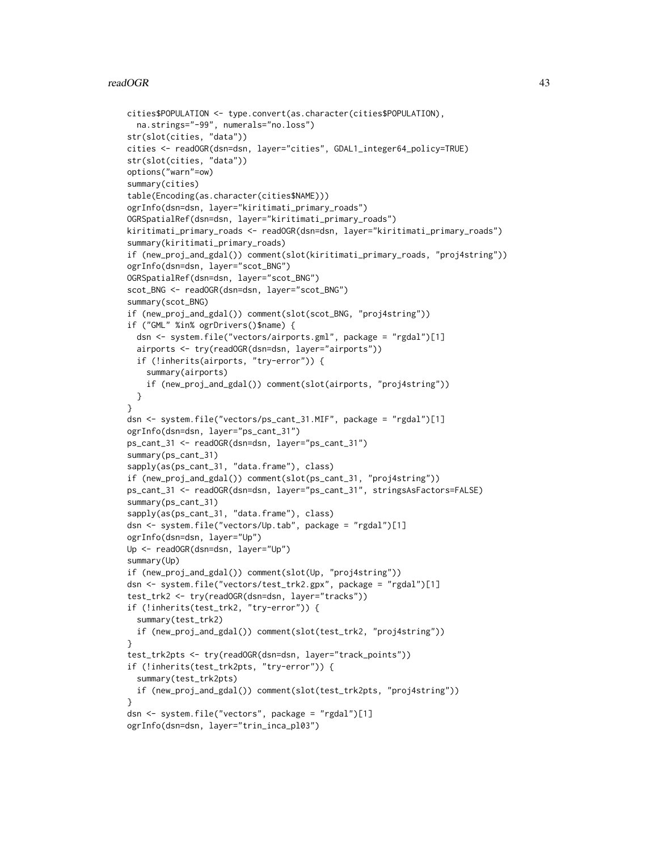#### readOGR 43

```
cities$POPULATION <- type.convert(as.character(cities$POPULATION),
 na.strings="-99", numerals="no.loss")
str(slot(cities, "data"))
cities <- readOGR(dsn=dsn, layer="cities", GDAL1_integer64_policy=TRUE)
str(slot(cities, "data"))
options("warn"=ow)
summary(cities)
table(Encoding(as.character(cities$NAME)))
ogrInfo(dsn=dsn, layer="kiritimati_primary_roads")
OGRSpatialRef(dsn=dsn, layer="kiritimati_primary_roads")
kiritimati_primary_roads <- readOGR(dsn=dsn, layer="kiritimati_primary_roads")
summary(kiritimati_primary_roads)
if (new_proj_and_gdal()) comment(slot(kiritimati_primary_roads, "proj4string"))
ogrInfo(dsn=dsn, layer="scot_BNG")
OGRSpatialRef(dsn=dsn, layer="scot_BNG")
scot_BNG <- readOGR(dsn=dsn, layer="scot_BNG")
summary(scot_BNG)
if (new_proj_and_gdal()) comment(slot(scot_BNG, "proj4string"))
if ("GML" %in% ogrDrivers()$name) {
 dsn <- system.file("vectors/airports.gml", package = "rgdal")[1]
 airports <- try(readOGR(dsn=dsn, layer="airports"))
 if (!inherits(airports, "try-error")) {
    summary(airports)
    if (new_proj_and_gdal()) comment(slot(airports, "proj4string"))
 }
}
dsn <- system.file("vectors/ps_cant_31.MIF", package = "rgdal")[1]
ogrInfo(dsn=dsn, layer="ps_cant_31")
ps_cant_31 <- readOGR(dsn=dsn, layer="ps_cant_31")
summary(ps_cant_31)
sapply(as(ps_cant_31, "data.frame"), class)
if (new_proj_and_gdal()) comment(slot(ps_cant_31, "proj4string"))
ps_cant_31 <- readOGR(dsn=dsn, layer="ps_cant_31", stringsAsFactors=FALSE)
summary(ps_cant_31)
sapply(as(ps_cant_31, "data.frame"), class)
dsn <- system.file("vectors/Up.tab", package = "rgdal")[1]
ogrInfo(dsn=dsn, layer="Up")
Up <- readOGR(dsn=dsn, layer="Up")
summary(Up)
if (new_proj_and_gdal()) comment(slot(Up, "proj4string"))
dsn <- system.file("vectors/test_trk2.gpx", package = "rgdal")[1]
test_trk2 <- try(readOGR(dsn=dsn, layer="tracks"))
if (!inherits(test_trk2, "try-error")) {
 summary(test_trk2)
 if (new_proj_and_gdal()) comment(slot(test_trk2, "proj4string"))
}
test_trk2pts <- try(readOGR(dsn=dsn, layer="track_points"))
if (!inherits(test_trk2pts, "try-error")) {
  summary(test_trk2pts)
 if (new_proj_and_gdal()) comment(slot(test_trk2pts, "proj4string"))
}
dsn <- system.file("vectors", package = "rgdal")[1]
ogrInfo(dsn=dsn, layer="trin_inca_pl03")
```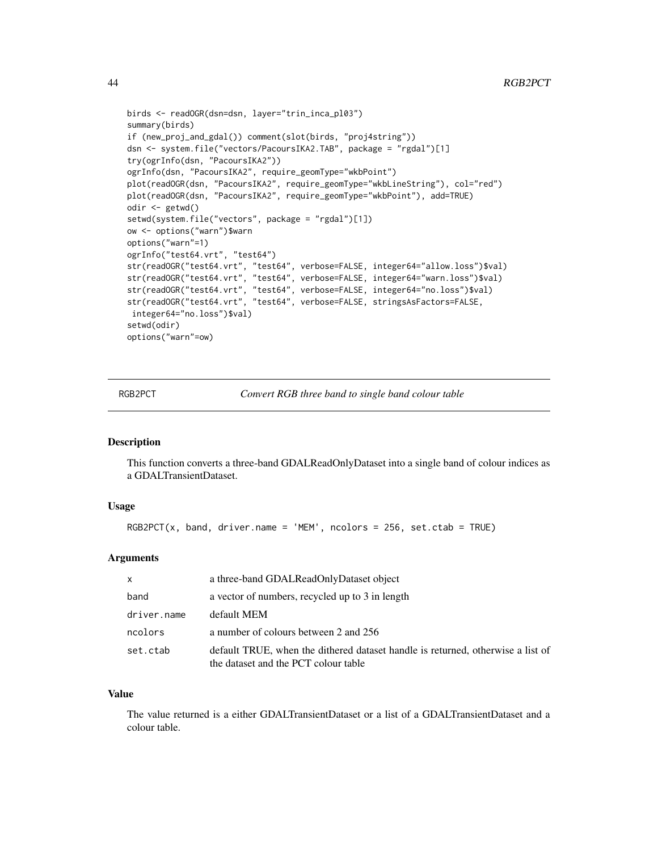```
birds <- readOGR(dsn=dsn, layer="trin_inca_pl03")
summary(birds)
if (new_proj_and_gdal()) comment(slot(birds, "proj4string"))
dsn <- system.file("vectors/PacoursIKA2.TAB", package = "rgdal")[1]
try(ogrInfo(dsn, "PacoursIKA2"))
ogrInfo(dsn, "PacoursIKA2", require_geomType="wkbPoint")
plot(readOGR(dsn, "PacoursIKA2", require_geomType="wkbLineString"), col="red")
plot(readOGR(dsn, "PacoursIKA2", require_geomType="wkbPoint"), add=TRUE)
odir <- getwd()
setwd(system.file("vectors", package = "rgdal")[1])
ow <- options("warn")$warn
options("warn"=1)
ogrInfo("test64.vrt", "test64")
str(readOGR("test64.vrt", "test64", verbose=FALSE, integer64="allow.loss")$val)
str(readOGR("test64.vrt", "test64", verbose=FALSE, integer64="warn.loss")$val)
str(readOGR("test64.vrt", "test64", verbose=FALSE, integer64="no.loss")$val)
str(readOGR("test64.vrt", "test64", verbose=FALSE, stringsAsFactors=FALSE,
integer64="no.loss")$val)
setwd(odir)
options("warn"=ow)
```
RGB2PCT *Convert RGB three band to single band colour table*

## **Description**

This function converts a three-band GDALReadOnlyDataset into a single band of colour indices as a GDALTransientDataset.

#### Usage

```
RGB2PCT(x, band, driver.name = 'MEM', noolors = 256, set.ctab = TRUE)
```
## Arguments

| X           | a three-band GDALReadOnlyDataset object                                                                                 |
|-------------|-------------------------------------------------------------------------------------------------------------------------|
| band        | a vector of numbers, recycled up to 3 in length                                                                         |
| driver.name | default MEM                                                                                                             |
| ncolors     | a number of colours between 2 and 256                                                                                   |
| set.ctab    | default TRUE, when the dithered dataset handle is returned, otherwise a list of<br>the dataset and the PCT colour table |

#### Value

The value returned is a either GDALTransientDataset or a list of a GDALTransientDataset and a colour table.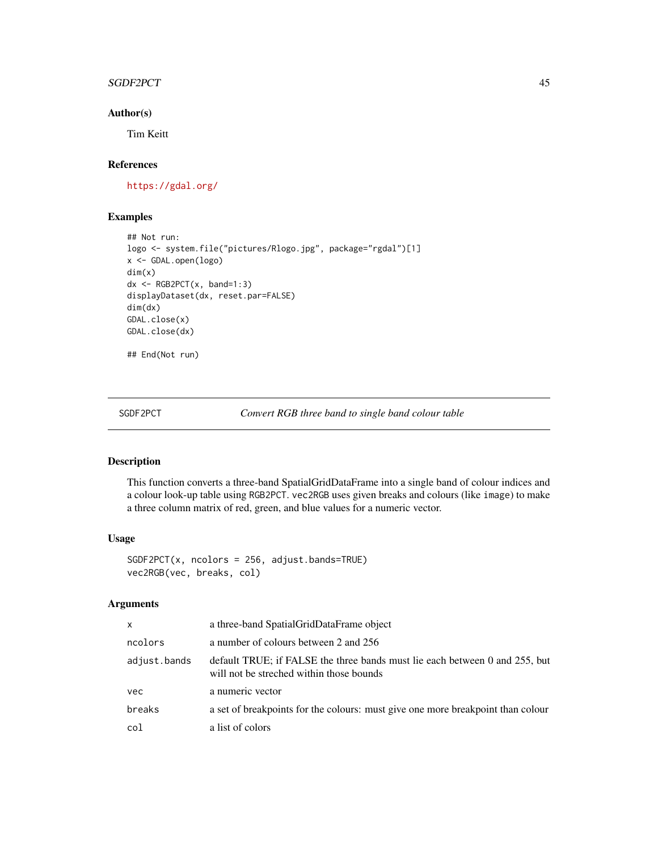## <span id="page-44-0"></span>SGDF2PCT 45

## Author(s)

Tim Keitt

## References

<https://gdal.org/>

## Examples

```
## Not run:
logo <- system.file("pictures/Rlogo.jpg", package="rgdal")[1]
x <- GDAL.open(logo)
dim(x)
dx <- RGB2PCT(x, band=1:3)displayDataset(dx, reset.par=FALSE)
dim(dx)
GDAL.close(x)
GDAL.close(dx)
```
## End(Not run)

SGDF2PCT *Convert RGB three band to single band colour table*

## Description

This function converts a three-band SpatialGridDataFrame into a single band of colour indices and a colour look-up table using RGB2PCT. vec2RGB uses given breaks and colours (like image) to make a three column matrix of red, green, and blue values for a numeric vector.

#### Usage

```
SGDF2PCT(x, ncolors = 256, adjust.bands=TRUE)
vec2RGB(vec, breaks, col)
```
## Arguments

| $\mathsf{x}$ | a three-band Spatial GridDataFrame object                                                                               |
|--------------|-------------------------------------------------------------------------------------------------------------------------|
| ncolors      | a number of colours between 2 and 256                                                                                   |
| adjust.bands | default TRUE; if FALSE the three bands must lie each between 0 and 255, but<br>will not be streched within those bounds |
| vec          | a numeric vector                                                                                                        |
| breaks       | a set of breakpoints for the colours: must give one more breakpoint than colour                                         |
| col          | a list of colors                                                                                                        |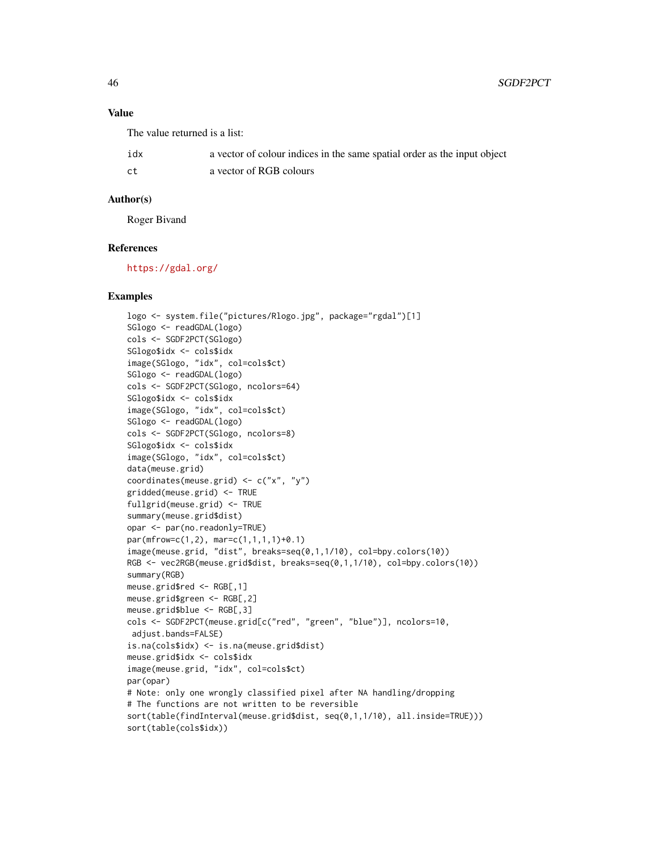## Value

The value returned is a list:

| idx | a vector of colour indices in the same spatial order as the input object |
|-----|--------------------------------------------------------------------------|
| ct  | a vector of RGB colours                                                  |

## Author(s)

Roger Bivand

## References

<https://gdal.org/>

```
logo <- system.file("pictures/Rlogo.jpg", package="rgdal")[1]
SGlogo <- readGDAL(logo)
cols <- SGDF2PCT(SGlogo)
SGlogo$idx <- cols$idx
image(SGlogo, "idx", col=cols$ct)
SGlogo <- readGDAL(logo)
cols <- SGDF2PCT(SGlogo, ncolors=64)
SGlogo$idx <- cols$idx
image(SGlogo, "idx", col=cols$ct)
SGlogo <- readGDAL(logo)
cols <- SGDF2PCT(SGlogo, ncolors=8)
SGlogo$idx <- cols$idx
image(SGlogo, "idx", col=cols$ct)
data(meuse.grid)
coordinates(meuse.grid) <- c("x", "y")
gridded(meuse.grid) <- TRUE
fullgrid(meuse.grid) <- TRUE
summary(meuse.grid$dist)
opar <- par(no.readonly=TRUE)
par(mfrow=c(1,2), mar=c(1,1,1,1)+0.1)
image(meuse.grid, "dist", breaks=seq(0,1,1/10), col=bpy.colors(10))
RGB <- vec2RGB(meuse.grid$dist, breaks=seq(0,1,1/10), col=bpy.colors(10))
summary(RGB)
meuse.grid$red <- RGB[,1]
meuse.grid$green <- RGB[,2]
meuse.grid$blue <- RGB[,3]
cols <- SGDF2PCT(meuse.grid[c("red", "green", "blue")], ncolors=10,
adjust.bands=FALSE)
is.na(cols$idx) <- is.na(meuse.grid$dist)
meuse.grid$idx <- cols$idx
image(meuse.grid, "idx", col=cols$ct)
par(opar)
# Note: only one wrongly classified pixel after NA handling/dropping
# The functions are not written to be reversible
sort(table(findInterval(meuse.grid$dist, seq(0,1,1/10), all.inside=TRUE)))
sort(table(cols$idx))
```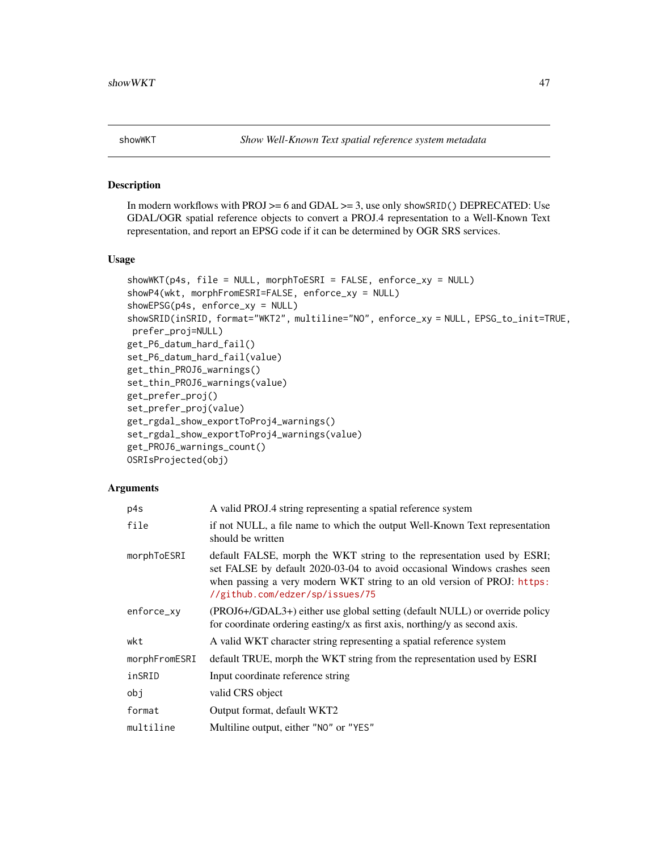<span id="page-46-0"></span>

#### <span id="page-46-1"></span>Description

In modern workflows with PROJ  $>= 6$  and GDAL  $>= 3$ , use only showSRID() DEPRECATED: Use GDAL/OGR spatial reference objects to convert a PROJ.4 representation to a Well-Known Text representation, and report an EPSG code if it can be determined by OGR SRS services.

## Usage

```
showWKT(p4s, file = NULL, morphToESRI = FALSE, enforce_xy = NULL)showP4(wkt, morphFromESRI=FALSE, enforce_xy = NULL)
showEPSG(p4s, enforce_xy = NULL)
showSRID(inSRID, format="WKT2", multiline="NO", enforce_xy = NULL, EPSG_to_init=TRUE,
prefer_proj=NULL)
get_P6_datum_hard_fail()
set_P6_datum_hard_fail(value)
get_thin_PROJ6_warnings()
set_thin_PROJ6_warnings(value)
get_prefer_proj()
set_prefer_proj(value)
get_rgdal_show_exportToProj4_warnings()
set_rgdal_show_exportToProj4_warnings(value)
get_PROJ6_warnings_count()
OSRIsProjected(obj)
```
#### Arguments

| p4s           | A valid PROJ.4 string representing a spatial reference system                                                                                                                                                                                                     |
|---------------|-------------------------------------------------------------------------------------------------------------------------------------------------------------------------------------------------------------------------------------------------------------------|
| file          | if not NULL, a file name to which the output Well-Known Text representation<br>should be written                                                                                                                                                                  |
| morphToESRI   | default FALSE, morph the WKT string to the representation used by ESRI;<br>set FALSE by default 2020-03-04 to avoid occasional Windows crashes seen<br>when passing a very modern WKT string to an old version of PROJ: https:<br>//github.com/edzer/sp/issues/75 |
| enforce_xy    | (PROJ6+/GDAL3+) either use global setting (default NULL) or override policy<br>for coordinate ordering easting/x as first axis, northing/y as second axis.                                                                                                        |
| wkt           | A valid WKT character string representing a spatial reference system                                                                                                                                                                                              |
| morphFromESRI | default TRUE, morph the WKT string from the representation used by ESRI                                                                                                                                                                                           |
| inSRID        | Input coordinate reference string                                                                                                                                                                                                                                 |
| obj           | valid CRS object                                                                                                                                                                                                                                                  |
| format        | Output format, default WKT2                                                                                                                                                                                                                                       |
| multiline     | Multiline output, either "NO" or "YES"                                                                                                                                                                                                                            |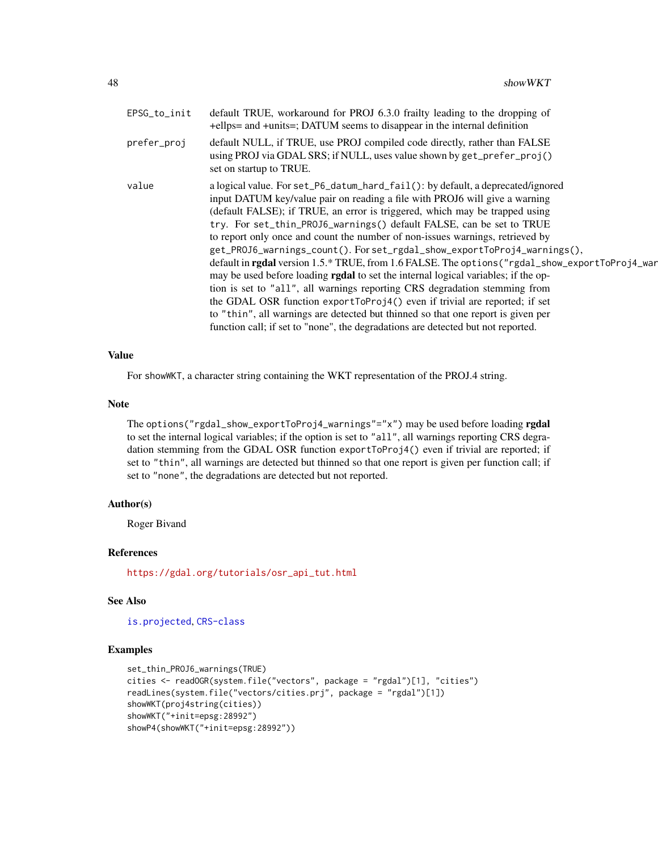<span id="page-47-0"></span>

| default NULL, if TRUE, use PROJ compiled code directly, rather than FALSE<br>prefer_proj<br>using PROJ via GDAL SRS; if NULL, uses value shown by get_prefer_proj()<br>set on startup to TRUE.<br>a logical value. For set_P6_datum_hard_fail(): by default, a deprecated/ignored<br>value<br>input DATUM key/value pair on reading a file with PROJ6 will give a warning<br>(default FALSE); if TRUE, an error is triggered, which may be trapped using<br>try. For set_thin_PROJ6_warnings() default FALSE, can be set to TRUE<br>to report only once and count the number of non-issues warnings, retrieved by<br>get_PROJ6_warnings_count(). For set_rgdal_show_exportToProj4_warnings(),<br>default in <b>rgdal</b> version 1.5.* TRUE, from 1.6 FALSE. The options ("rgdal_show_exportToProj4_war<br>may be used before loading <b>rgdal</b> to set the internal logical variables; if the op-<br>tion is set to "all", all warnings reporting CRS degradation stemming from<br>the GDAL OSR function exportToProj4() even if trivial are reported; if set<br>to "thin", all warnings are detected but thinned so that one report is given per | EPSG_to_init | default TRUE, workaround for PROJ 6.3.0 frailty leading to the dropping of<br>+ellps= and +units=; DATUM seems to disappear in the internal definition |
|------------------------------------------------------------------------------------------------------------------------------------------------------------------------------------------------------------------------------------------------------------------------------------------------------------------------------------------------------------------------------------------------------------------------------------------------------------------------------------------------------------------------------------------------------------------------------------------------------------------------------------------------------------------------------------------------------------------------------------------------------------------------------------------------------------------------------------------------------------------------------------------------------------------------------------------------------------------------------------------------------------------------------------------------------------------------------------------------------------------------------------------------------|--------------|--------------------------------------------------------------------------------------------------------------------------------------------------------|
|                                                                                                                                                                                                                                                                                                                                                                                                                                                                                                                                                                                                                                                                                                                                                                                                                                                                                                                                                                                                                                                                                                                                                      |              |                                                                                                                                                        |
|                                                                                                                                                                                                                                                                                                                                                                                                                                                                                                                                                                                                                                                                                                                                                                                                                                                                                                                                                                                                                                                                                                                                                      |              | function call; if set to "none", the degradations are detected but not reported.                                                                       |

## Value

For showWKT, a character string containing the WKT representation of the PROJ.4 string.

#### Note

The options("rgdal\_show\_exportToProj4\_warnings"="x") may be used before loading rgdal to set the internal logical variables; if the option is set to "all", all warnings reporting CRS degradation stemming from the GDAL OSR function exportToProj4() even if trivial are reported; if set to "thin", all warnings are detected but thinned so that one report is given per function call; if set to "none", the degradations are detected but not reported.

#### Author(s)

Roger Bivand

#### References

[https://gdal.org/tutorials/osr\\_api\\_tut.html](https://gdal.org/tutorials/osr_api_tut.html)

## See Also

[is.projected](#page-0-0), [CRS-class](#page-2-1)

```
set_thin_PROJ6_warnings(TRUE)
cities <- readOGR(system.file("vectors", package = "rgdal")[1], "cities")
readLines(system.file("vectors/cities.prj", package = "rgdal")[1])
showWKT(proj4string(cities))
showWKT("+init=epsg:28992")
showP4(showWKT("+init=epsg:28992"))
```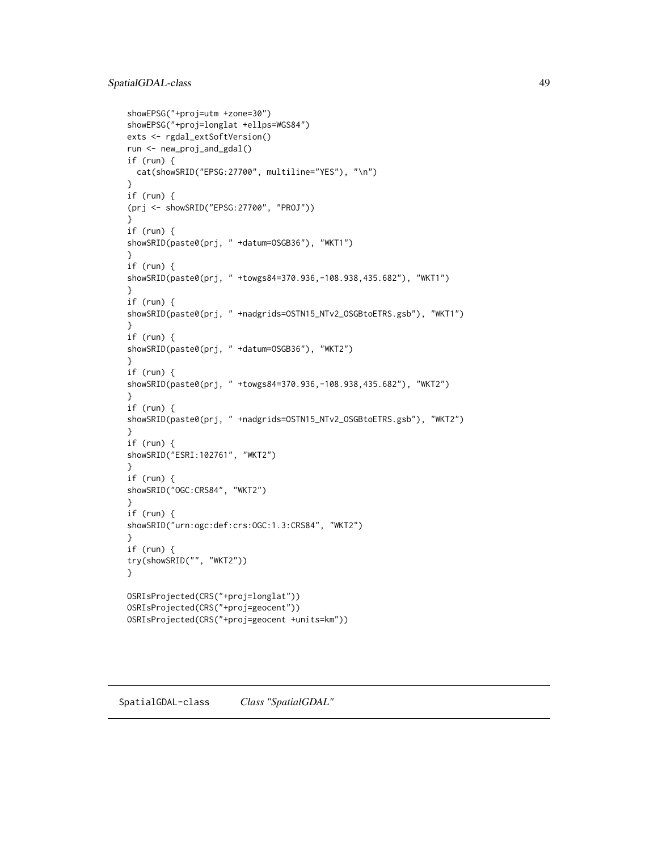```
showEPSG("+proj=utm +zone=30")
showEPSG("+proj=longlat +ellps=WGS84")
exts <- rgdal_extSoftVersion()
run <- new_proj_and_gdal()
if (run) {
  cat(showSRID("EPSG:27700", multiline="YES"), "\n")
}
if (run) {
(prj <- showSRID("EPSG:27700", "PROJ"))
}
if (run) {
showSRID(paste0(prj, " +datum=OSGB36"), "WKT1")
}
if (run) {
showSRID(paste0(prj, " +towgs84=370.936,-108.938,435.682"), "WKT1")
}
if (run) {
showSRID(paste0(prj, " +nadgrids=OSTN15_NTv2_OSGBtoETRS.gsb"), "WKT1")
}
if (run) {
showSRID(paste0(prj, " +datum=OSGB36"), "WKT2")
}
if (run) {
showSRID(paste0(prj, " +towgs84=370.936,-108.938,435.682"), "WKT2")
}
if (run) {
showSRID(paste0(prj, " +nadgrids=OSTN15_NTv2_OSGBtoETRS.gsb"), "WKT2")
}
if (run) {
showSRID("ESRI:102761", "WKT2")
}
if (run) {
showSRID("OGC:CRS84", "WKT2")
}
if (run) {
showSRID("urn:ogc:def:crs:OGC:1.3:CRS84", "WKT2")
\lambdaif (run) {
try(showSRID("", "WKT2"))
}
OSRIsProjected(CRS("+proj=longlat"))
OSRIsProjected(CRS("+proj=geocent"))
OSRIsProjected(CRS("+proj=geocent +units=km"))
```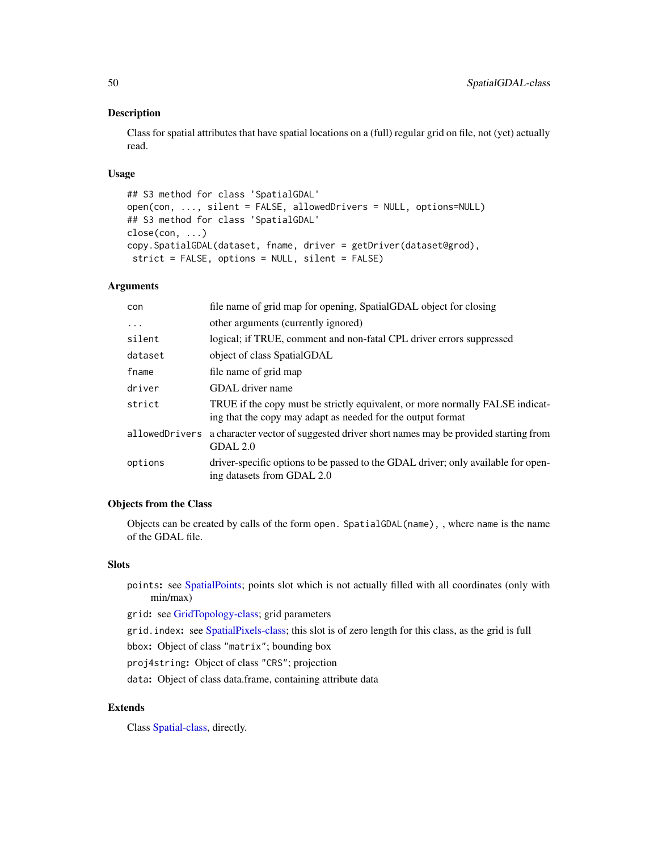## <span id="page-49-0"></span>Description

Class for spatial attributes that have spatial locations on a (full) regular grid on file, not (yet) actually read.

#### Usage

```
## S3 method for class 'SpatialGDAL'
open(con, ..., silent = FALSE, allowedDrivers = NULL, options=NULL)
## S3 method for class 'SpatialGDAL'
close(con, ...)
copy.SpatialGDAL(dataset, fname, driver = getDriver(dataset@grod),
 strict = FALSE, options = NULL, silent = FALSE)
```
#### Arguments

| con      | file name of grid map for opening, SpatialGDAL object for closing                                                                            |
|----------|----------------------------------------------------------------------------------------------------------------------------------------------|
| $\ddots$ | other arguments (currently ignored)                                                                                                          |
| silent   | logical; if TRUE, comment and non-fatal CPL driver errors suppressed                                                                         |
| dataset  | object of class SpatialGDAL                                                                                                                  |
| fname    | file name of grid map                                                                                                                        |
| driver   | GDAL driver name                                                                                                                             |
| strict   | TRUE if the copy must be strictly equivalent, or more normally FALSE indicat-<br>ing that the copy may adapt as needed for the output format |
|          | allowed Drivers a character vector of suggested driver short names may be provided starting from<br>GDAL 2.0                                 |
| options  | driver-specific options to be passed to the GDAL driver; only available for open-<br>ing datasets from GDAL 2.0                              |

## Objects from the Class

Objects can be created by calls of the form open. SpatialGDAL(name), , where name is the name of the GDAL file.

#### **Slots**

points: see [SpatialPoints;](#page-0-0) points slot which is not actually filled with all coordinates (only with min/max)

grid: see [GridTopology-class;](#page-0-0) grid parameters

grid.index: see [SpatialPixels-class;](#page-0-0) this slot is of zero length for this class, as the grid is full

bbox: Object of class "matrix"; bounding box

proj4string: Object of class "CRS"; projection

data: Object of class data.frame, containing attribute data

## Extends

Class [Spatial-class,](#page-0-0) directly.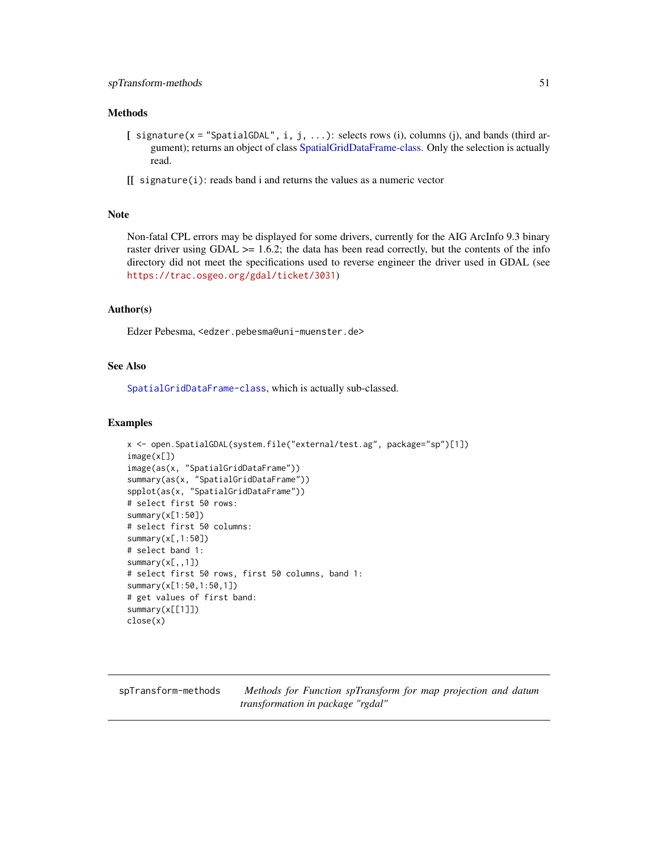#### <span id="page-50-0"></span>Methods

- [ signature( $x =$  "SpatialGDAL", i, j, ...): selects rows (i), columns (j), and bands (third ar-gument); returns an object of class [SpatialGridDataFrame-class.](#page-0-0) Only the selection is actually read.
- [[ signature(i): reads band i and returns the values as a numeric vector

## Note

Non-fatal CPL errors may be displayed for some drivers, currently for the AIG ArcInfo 9.3 binary raster driver using  $GDAL \geq 1.6.2$ ; the data has been read correctly, but the contents of the info directory did not meet the specifications used to reverse engineer the driver used in GDAL (see <https://trac.osgeo.org/gdal/ticket/3031>)

#### Author(s)

Edzer Pebesma, <edzer.pebesma@uni-muenster.de>

## See Also

[SpatialGridDataFrame-class](#page-0-0), which is actually sub-classed.

#### Examples

```
x <- open.SpatialGDAL(system.file("external/test.ag", package="sp")[1])
image(x[])
image(as(x, "SpatialGridDataFrame"))
summary(as(x, "SpatialGridDataFrame"))
spplot(as(x, "SpatialGridDataFrame"))
# select first 50 rows:
summary(x[1:50])
# select first 50 columns:
summary(x[,1:50])
# select band 1:
summary(x[,,1])
# select first 50 rows, first 50 columns, band 1:
summary(x[1:50,1:50,1])
# get values of first band:
summary(x[[1]])
close(x)
```
<span id="page-50-1"></span>spTransform-methods *Methods for Function spTransform for map projection and datum transformation in package "rgdal"*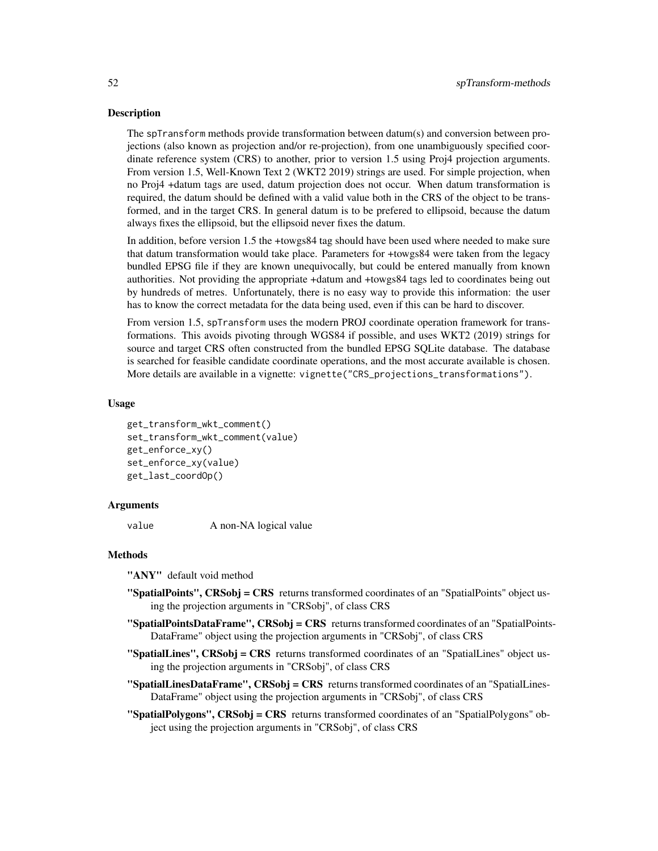#### Description

The spTransform methods provide transformation between datum(s) and conversion between projections (also known as projection and/or re-projection), from one unambiguously specified coordinate reference system (CRS) to another, prior to version 1.5 using Proj4 projection arguments. From version 1.5, Well-Known Text 2 (WKT2 2019) strings are used. For simple projection, when no Proj4 +datum tags are used, datum projection does not occur. When datum transformation is required, the datum should be defined with a valid value both in the CRS of the object to be transformed, and in the target CRS. In general datum is to be prefered to ellipsoid, because the datum always fixes the ellipsoid, but the ellipsoid never fixes the datum.

In addition, before version 1.5 the +towgs84 tag should have been used where needed to make sure that datum transformation would take place. Parameters for +towgs84 were taken from the legacy bundled EPSG file if they are known unequivocally, but could be entered manually from known authorities. Not providing the appropriate +datum and +towgs84 tags led to coordinates being out by hundreds of metres. Unfortunately, there is no easy way to provide this information: the user has to know the correct metadata for the data being used, even if this can be hard to discover.

From version 1.5, spTransform uses the modern PROJ coordinate operation framework for transformations. This avoids pivoting through WGS84 if possible, and uses WKT2 (2019) strings for source and target CRS often constructed from the bundled EPSG SQLite database. The database is searched for feasible candidate coordinate operations, and the most accurate available is chosen. More details are available in a vignette: vignette("CRS\_projections\_transformations").

#### Usage

```
get_transform_wkt_comment()
set_transform_wkt_comment(value)
get_enforce_xy()
set_enforce_xy(value)
get_last_coordOp()
```
#### Arguments

value A non-NA logical value

## Methods

"ANY" default void method

- "SpatialPoints", CRSobj = CRS returns transformed coordinates of an "SpatialPoints" object using the projection arguments in "CRSobj", of class CRS
- $\text{``SpatialPoints}\text{DataFrame''}, \text{CRSobj} = \text{CRS}$  returns transformed coordinates of an "SpatialPoints-DataFrame" object using the projection arguments in "CRSobj", of class CRS
- "SpatialLines", CRSobj = CRS returns transformed coordinates of an "SpatialLines" object using the projection arguments in "CRSobj", of class CRS
- $\text{``SpatialLinesDataFrame''}, \text{CRSobi} = \text{CRS}$  returns transformed coordinates of an "SpatialLines-DataFrame" object using the projection arguments in "CRSobj", of class CRS
- "SpatialPolygons", CRSobj = CRS returns transformed coordinates of an "SpatialPolygons" object using the projection arguments in "CRSobj", of class CRS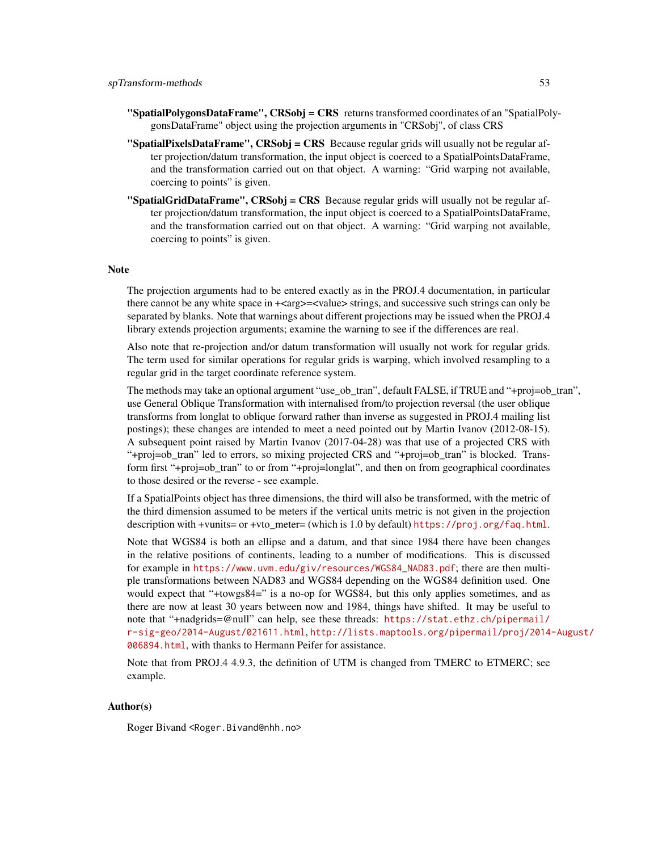- $\text{``SpatialPolygonsDataFrame''}, \text{CRSobj} = \text{CRS}$  returns transformed coordinates of an "SpatialPolygonsDataFrame" object using the projection arguments in "CRSobj", of class CRS
- **"SpatialPixelsDataFrame", CRSobj = CRS** Because regular grids will usually not be regular after projection/datum transformation, the input object is coerced to a SpatialPointsDataFrame, and the transformation carried out on that object. A warning: "Grid warping not available, coercing to points" is given.
- "SpatialGridDataFrame", CRSobj = CRS Because regular grids will usually not be regular after projection/datum transformation, the input object is coerced to a SpatialPointsDataFrame, and the transformation carried out on that object. A warning: "Grid warping not available, coercing to points" is given.

#### Note

The projection arguments had to be entered exactly as in the PROJ.4 documentation, in particular there cannot be any white space in  $+\langle \text{arg}\rangle = \langle \text{values} \rangle$  strings, and successive such strings can only be separated by blanks. Note that warnings about different projections may be issued when the PROJ.4 library extends projection arguments; examine the warning to see if the differences are real.

Also note that re-projection and/or datum transformation will usually not work for regular grids. The term used for similar operations for regular grids is warping, which involved resampling to a regular grid in the target coordinate reference system.

The methods may take an optional argument "use\_ob\_tran", default FALSE, if TRUE and "+proj=ob\_tran", use General Oblique Transformation with internalised from/to projection reversal (the user oblique transforms from longlat to oblique forward rather than inverse as suggested in PROJ.4 mailing list postings); these changes are intended to meet a need pointed out by Martin Ivanov (2012-08-15). A subsequent point raised by Martin Ivanov (2017-04-28) was that use of a projected CRS with "+proj=ob\_tran" led to errors, so mixing projected CRS and "+proj=ob\_tran" is blocked. Transform first "+proj=ob\_tran" to or from "+proj=longlat", and then on from geographical coordinates to those desired or the reverse - see example.

If a SpatialPoints object has three dimensions, the third will also be transformed, with the metric of the third dimension assumed to be meters if the vertical units metric is not given in the projection description with +vunits= or +vto meter= (which is 1.0 by default) <https://proj.org/faq.html>.

Note that WGS84 is both an ellipse and a datum, and that since 1984 there have been changes in the relative positions of continents, leading to a number of modifications. This is discussed for example in [https://www.uvm.edu/giv/resources/WGS84\\_NAD83.pdf](https://www.uvm.edu/giv/resources/WGS84_NAD83.pdf); there are then multiple transformations between NAD83 and WGS84 depending on the WGS84 definition used. One would expect that "+towgs84=" is a no-op for WGS84, but this only applies sometimes, and as there are now at least 30 years between now and 1984, things have shifted. It may be useful to note that "+nadgrids=@null" can help, see these threads: [https://stat.ethz.ch/pipermail/](https://stat.ethz.ch/pipermail/r-sig-geo/2014-August/021611.html) [r-sig-geo/2014-August/021611.html](https://stat.ethz.ch/pipermail/r-sig-geo/2014-August/021611.html), [http://lists.maptools.org/pipermail/proj/2014-](http://lists.maptools.org/pipermail/proj/2014-August/006894.html)August/ [006894.html](http://lists.maptools.org/pipermail/proj/2014-August/006894.html), with thanks to Hermann Peifer for assistance.

Note that from PROJ.4 4.9.3, the definition of UTM is changed from TMERC to ETMERC; see example.

#### Author(s)

Roger Bivand <Roger.Bivand@nhh.no>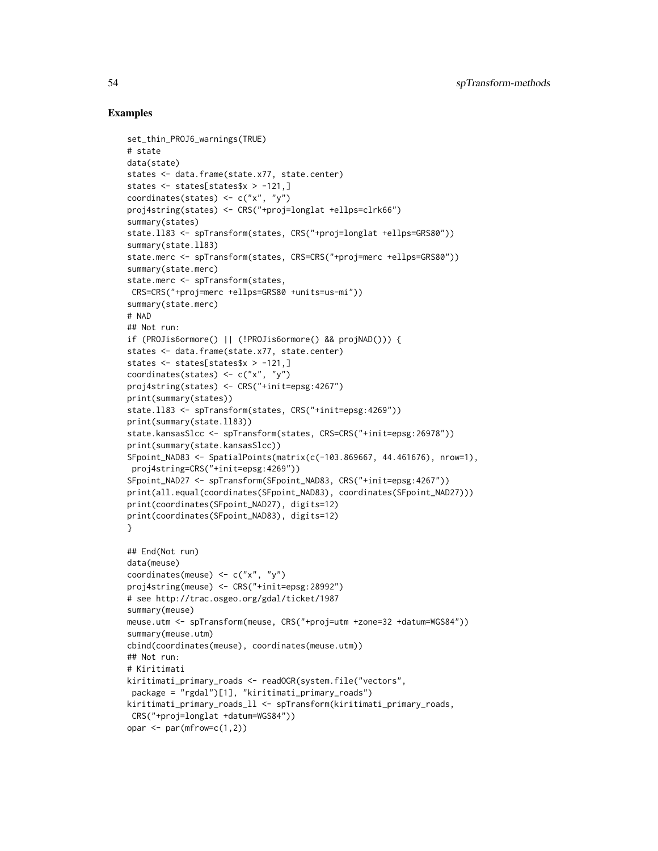```
set_thin_PROJ6_warnings(TRUE)
# state
data(state)
states <- data.frame(state.x77, state.center)
states <- states[states$x > -121,]
coordinates(states) <- c("x", "y")
proj4string(states) <- CRS("+proj=longlat +ellps=clrk66")
summary(states)
state.ll83 <- spTransform(states, CRS("+proj=longlat +ellps=GRS80"))
summary(state.ll83)
state.merc <- spTransform(states, CRS=CRS("+proj=merc +ellps=GRS80"))
summary(state.merc)
state.merc <- spTransform(states,
CRS=CRS("+proj=merc +ellps=GRS80 +units=us-mi"))
summary(state.merc)
# NAD
## Not run:
if (PROJis6ormore() || (!PROJis6ormore() && projNAD())) {
states <- data.frame(state.x77, state.center)
states <- states[states$x > -121,]
coordinates(states) <- c("x", "y")
proj4string(states) <- CRS("+init=epsg:4267")
print(summary(states))
state.ll83 <- spTransform(states, CRS("+init=epsg:4269"))
print(summary(state.ll83))
state.kansasSlcc <- spTransform(states, CRS=CRS("+init=epsg:26978"))
print(summary(state.kansasSlcc))
SFpoint_NAD83 <- SpatialPoints(matrix(c(-103.869667, 44.461676), nrow=1),
 proj4string=CRS("+init=epsg:4269"))
SFpoint_NAD27 <- spTransform(SFpoint_NAD83, CRS("+init=epsg:4267"))
print(all.equal(coordinates(SFpoint_NAD83), coordinates(SFpoint_NAD27)))
print(coordinates(SFpoint_NAD27), digits=12)
print(coordinates(SFpoint_NAD83), digits=12)
}
## End(Not run)
data(meuse)
coordinates(meuse) <- c("x", "y")
proj4string(meuse) <- CRS("+init=epsg:28992")
# see http://trac.osgeo.org/gdal/ticket/1987
summary(meuse)
meuse.utm <- spTransform(meuse, CRS("+proj=utm +zone=32 +datum=WGS84"))
summary(meuse.utm)
cbind(coordinates(meuse), coordinates(meuse.utm))
## Not run:
# Kiritimati
kiritimati_primary_roads <- readOGR(system.file("vectors",
 package = "rgdal")[1], "kiritimati_primary_roads")
kiritimati_primary_roads_ll <- spTransform(kiritimati_primary_roads,
CRS("+proj=longlat +datum=WGS84"))
opar \leq par(mfrow=c(1,2))
```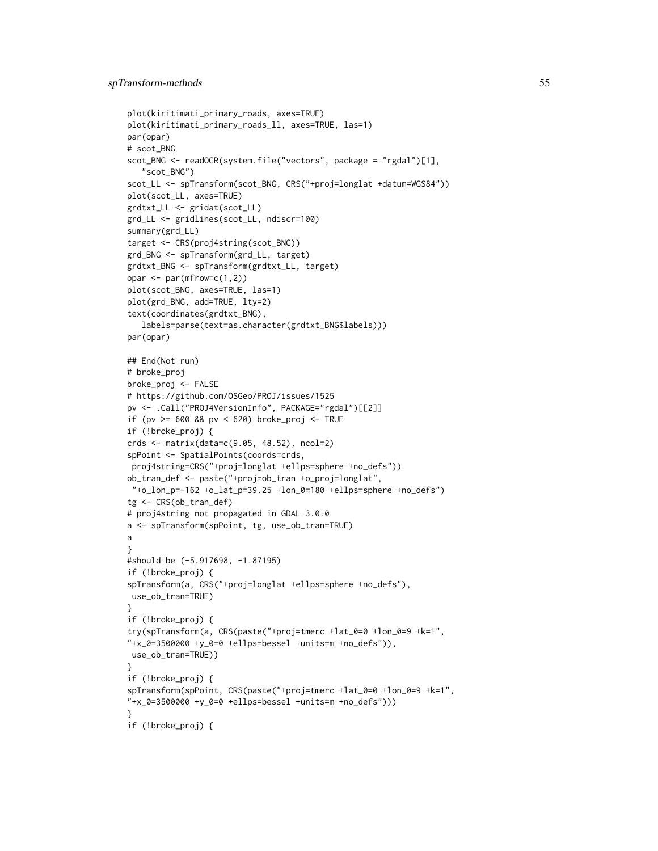```
plot(kiritimati_primary_roads, axes=TRUE)
plot(kiritimati_primary_roads_ll, axes=TRUE, las=1)
par(opar)
# scot_BNG
scot_BNG <- readOGR(system.file("vectors", package = "rgdal")[1],
   "scot_BNG")
scot_LL <- spTransform(scot_BNG, CRS("+proj=longlat +datum=WGS84"))
plot(scot_LL, axes=TRUE)
grdtxt_LL <- gridat(scot_LL)
grd_LL <- gridlines(scot_LL, ndiscr=100)
summary(grd_LL)
target <- CRS(proj4string(scot_BNG))
grd_BNG <- spTransform(grd_LL, target)
grdtxt_BNG <- spTransform(grdtxt_LL, target)
opar \leq par(mfrow=c(1,2))
plot(scot_BNG, axes=TRUE, las=1)
plot(grd_BNG, add=TRUE, lty=2)
text(coordinates(grdtxt_BNG),
   labels=parse(text=as.character(grdtxt_BNG$labels)))
par(opar)
## End(Not run)
# broke_proj
broke_proj <- FALSE
# https://github.com/OSGeo/PROJ/issues/1525
pv <- .Call("PROJ4VersionInfo", PACKAGE="rgdal")[[2]]
if (pv >= 600 && pv < 620) broke_proj <- TRUE
if (!broke_proj) {
crds <- matrix(data=c(9.05, 48.52), ncol=2)
spPoint <- SpatialPoints(coords=crds,
proj4string=CRS("+proj=longlat +ellps=sphere +no_defs"))
ob_tran_def <- paste("+proj=ob_tran +o_proj=longlat",
"+o_lon_p=-162 +o_lat_p=39.25 +lon_0=180 +ellps=sphere +no_defs")
tg <- CRS(ob_tran_def)
# proj4string not propagated in GDAL 3.0.0
a <- spTransform(spPoint, tg, use_ob_tran=TRUE)
a
}
#should be (-5.917698, -1.87195)
if (!broke_proj) {
spTransform(a, CRS("+proj=longlat +ellps=sphere +no_defs"),
use_ob_tran=TRUE)
}
if (!broke_proj) {
try(spTransform(a, CRS(paste("+proj=tmerc +lat_0=0 +lon_0=9 +k=1",
"+x_0=3500000 +y_0=0 +ellps=bessel +units=m +no_defs")),
use_ob_tran=TRUE))
}
if (!broke_proj) {
spTransform(spPoint, CRS(paste("+proj=tmerc +lat_0=0 +lon_0=9 +k=1",
"+x_0=3500000 +y_0=0 +ellps=bessel +units=m +no_defs")))
}
if (!broke_proj) {
```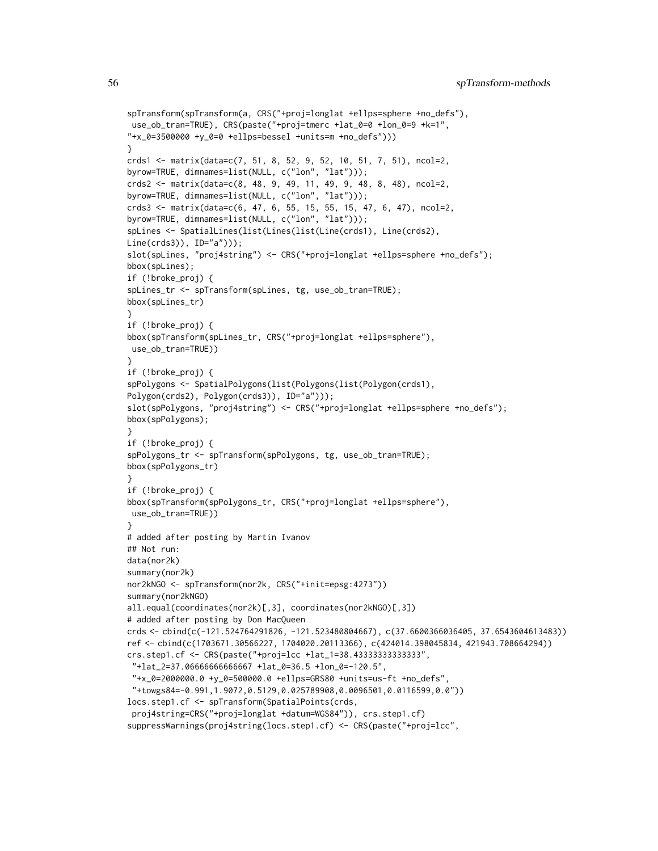```
spTransform(spTransform(a, CRS("+proj=longlat +ellps=sphere +no_defs"),
use_ob_tran=TRUE), CRS(paste("+proj=tmerc +lat_0=0 +lon_0=9 +k=1",
"+x_0=3500000 +y_0=0 +ellps=bessel +units=m +no_defs")))
}
crds1 <- matrix(data=c(7, 51, 8, 52, 9, 52, 10, 51, 7, 51), ncol=2,
byrow=TRUE, dimnames=list(NULL, c("lon", "lat")));
crds2 <- matrix(data=c(8, 48, 9, 49, 11, 49, 9, 48, 8, 48), ncol=2,
byrow=TRUE, dimnames=list(NULL, c("lon", "lat")));
crds3 <- matrix(data=c(6, 47, 6, 55, 15, 55, 15, 47, 6, 47), ncol=2,
byrow=TRUE, dimnames=list(NULL, c("lon", "lat")));
spLines <- SpatialLines(list(Lines(list(Line(crds1), Line(crds2),
Line(crds3)), ID="a")));
slot(spLines, "proj4string") <- CRS("+proj=longlat +ellps=sphere +no_defs");
bbox(spLines);
if (!broke_proj) {
spLines_tr <- spTransform(spLines, tg, use_ob_tran=TRUE);
bbox(spLines_tr)
}
if (!broke_proj) {
bbox(spTransform(spLines_tr, CRS("+proj=longlat +ellps=sphere"),
use_ob_tran=TRUE))
}
if (!broke_proj) {
spPolygons <- SpatialPolygons(list(Polygons(list(Polygon(crds1),
Polygon(crds2), Polygon(crds3)), ID="a")));
slot(spPolygons, "proj4string") <- CRS("+proj=longlat +ellps=sphere +no_defs");
bbox(spPolygons);
}
if (!broke_proj) {
spPolygons_tr <- spTransform(spPolygons, tg, use_ob_tran=TRUE);
bbox(spPolygons_tr)
}
if (!broke_proj) {
bbox(spTransform(spPolygons_tr, CRS("+proj=longlat +ellps=sphere"),
use_ob_tran=TRUE))
}
# added after posting by Martin Ivanov
## Not run:
data(nor2k)
summary(nor2k)
nor2kNGO <- spTransform(nor2k, CRS("+init=epsg:4273"))
summary(nor2kNGO)
all.equal(coordinates(nor2k)[,3], coordinates(nor2kNGO)[,3])
# added after posting by Don MacQueen
crds <- cbind(c(-121.524764291826, -121.523480804667), c(37.6600366036405, 37.6543604613483))
ref <- cbind(c(1703671.30566227, 1704020.20113366), c(424014.398045834, 421943.708664294))
crs.step1.cf <- CRS(paste("+proj=lcc +lat_1=38.43333333333333",
 "+lat_2=37.06666666666667 +lat_0=36.5 +lon_0=-120.5",
 "+x_0=2000000.0 +y_0=500000.0 +ellps=GRS80 +units=us-ft +no_defs",
 "+towgs84=-0.991,1.9072,0.5129,0.025789908,0.0096501,0.0116599,0.0"))
locs.step1.cf <- spTransform(SpatialPoints(crds,
proj4string=CRS("+proj=longlat +datum=WGS84")), crs.step1.cf)
suppressWarnings(proj4string(locs.step1.cf) <- CRS(paste("+proj=lcc",
```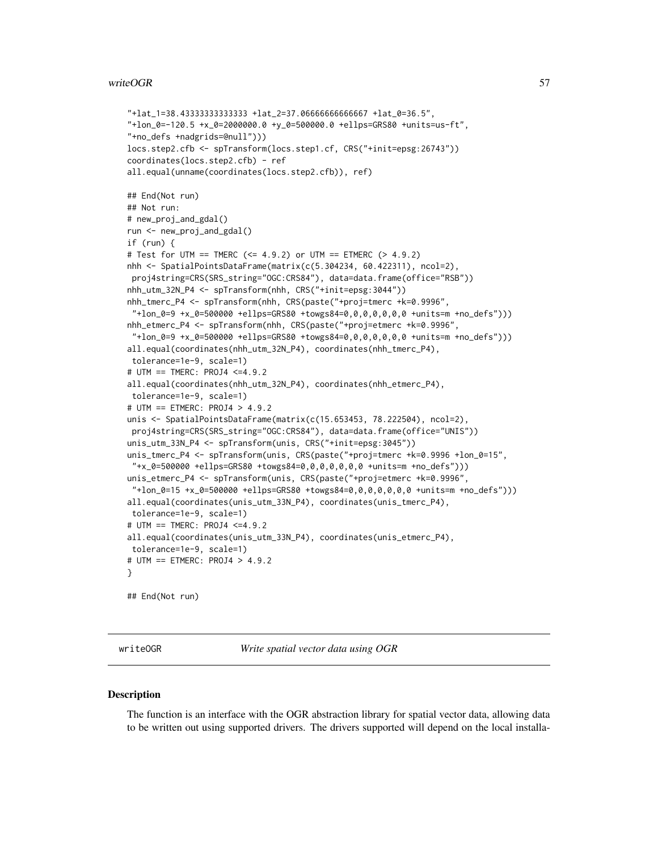#### <span id="page-56-0"></span>writeOGR 57

```
"+lat_1=38.43333333333333 +lat_2=37.06666666666667 +lat_0=36.5",
"+lon_0=-120.5 +x_0=2000000.0 +y_0=500000.0 +ellps=GRS80 +units=us-ft",
"+no_defs +nadgrids=@null")))
locs.step2.cfb <- spTransform(locs.step1.cf, CRS("+init=epsg:26743"))
coordinates(locs.step2.cfb) - ref
all.equal(unname(coordinates(locs.step2.cfb)), ref)
## End(Not run)
## Not run:
# new_proj_and_gdal()
run <- new_proj_and_gdal()
if (run) {
# Test for UTM == TMERC (<= 4.9.2) or UTM == ETMERC (> 4.9.2)
nhh <- SpatialPointsDataFrame(matrix(c(5.304234, 60.422311), ncol=2),
proj4string=CRS(SRS_string="OGC:CRS84"), data=data.frame(office="RSB"))
nhh_utm_32N_P4 <- spTransform(nhh, CRS("+init=epsg:3044"))
nhh_tmerc_P4 <- spTransform(nhh, CRS(paste("+proj=tmerc +k=0.9996",
 "+lon_0=9 +x_0=500000 +ellps=GRS80 +towgs84=0,0,0,0,0,0,0 +units=m +no_defs")))
nhh_etmerc_P4 <- spTransform(nhh, CRS(paste("+proj=etmerc +k=0.9996",
 "+lon_0=9 +x_0=500000 +ellps=GRS80 +towgs84=0,0,0,0,0,0,0 +units=m +no_defs")))
all.equal(coordinates(nhh_utm_32N_P4), coordinates(nhh_tmerc_P4),
tolerance=1e-9, scale=1)
# UTM == TMERC: PROJ4 <=4.9.2
all.equal(coordinates(nhh_utm_32N_P4), coordinates(nhh_etmerc_P4),
tolerance=1e-9, scale=1)
# UTM == ETMERC: PROJ4 > 4.9.2
unis <- SpatialPointsDataFrame(matrix(c(15.653453, 78.222504), ncol=2),
proj4string=CRS(SRS_string="OGC:CRS84"), data=data.frame(office="UNIS"))
unis_utm_33N_P4 <- spTransform(unis, CRS("+init=epsg:3045"))
unis_tmerc_P4 <- spTransform(unis, CRS(paste("+proj=tmerc +k=0.9996 +lon_0=15",
 "+x_0=500000 +ellps=GRS80 +towgs84=0,0,0,0,0,0,0 +units=m +no_defs")))
unis_etmerc_P4 <- spTransform(unis, CRS(paste("+proj=etmerc +k=0.9996",
 "+lon_0=15 +x_0=500000 +ellps=GRS80 +towgs84=0,0,0,0,0,0,0 +units=m +no_defs")))
all.equal(coordinates(unis_utm_33N_P4), coordinates(unis_tmerc_P4),
tolerance=1e-9, scale=1)
# UTM == TMERC: PROJ4 <=4.9.2
all.equal(coordinates(unis_utm_33N_P4), coordinates(unis_etmerc_P4),
tolerance=1e-9, scale=1)
# UTM == ETMERC: PROJ4 > 4.9.2
}
## End(Not run)
```
writeOGR *Write spatial vector data using OGR*

#### **Description**

The function is an interface with the OGR abstraction library for spatial vector data, allowing data to be written out using supported drivers. The drivers supported will depend on the local installa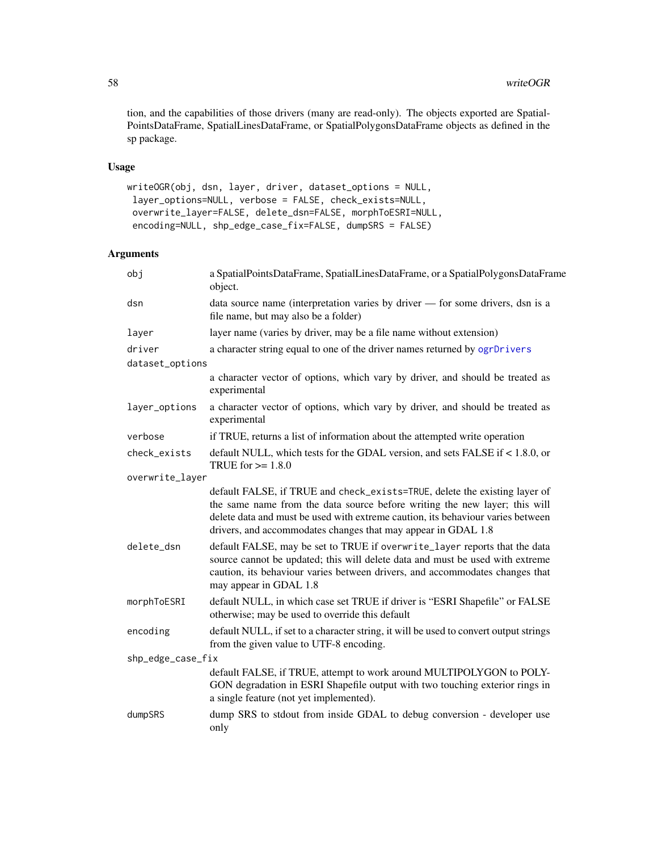tion, and the capabilities of those drivers (many are read-only). The objects exported are Spatial-PointsDataFrame, SpatialLinesDataFrame, or SpatialPolygonsDataFrame objects as defined in the sp package.

## Usage

```
writeOGR(obj, dsn, layer, driver, dataset_options = NULL,
layer_options=NULL, verbose = FALSE, check_exists=NULL,
overwrite_layer=FALSE, delete_dsn=FALSE, morphToESRI=NULL,
encoding=NULL, shp_edge_case_fix=FALSE, dumpSRS = FALSE)
```
## Arguments

| obj               | a SpatialPointsDataFrame, SpatialLinesDataFrame, or a SpatialPolygonsDataFrame<br>object.                                                                                                                                                                                                                    |
|-------------------|--------------------------------------------------------------------------------------------------------------------------------------------------------------------------------------------------------------------------------------------------------------------------------------------------------------|
| dsn               | data source name (interpretation varies by driver - for some drivers, dsn is a<br>file name, but may also be a folder)                                                                                                                                                                                       |
| layer             | layer name (varies by driver, may be a file name without extension)                                                                                                                                                                                                                                          |
| driver            | a character string equal to one of the driver names returned by ogrDrivers                                                                                                                                                                                                                                   |
| dataset_options   |                                                                                                                                                                                                                                                                                                              |
|                   | a character vector of options, which vary by driver, and should be treated as<br>experimental                                                                                                                                                                                                                |
| layer_options     | a character vector of options, which vary by driver, and should be treated as<br>experimental                                                                                                                                                                                                                |
| verbose           | if TRUE, returns a list of information about the attempted write operation                                                                                                                                                                                                                                   |
| check_exists      | default NULL, which tests for the GDAL version, and sets FALSE if < 1.8.0, or<br>TRUE for $\geq 1.8.0$                                                                                                                                                                                                       |
| overwrite_layer   |                                                                                                                                                                                                                                                                                                              |
|                   | default FALSE, if TRUE and check_exists=TRUE, delete the existing layer of<br>the same name from the data source before writing the new layer; this will<br>delete data and must be used with extreme caution, its behaviour varies between<br>drivers, and accommodates changes that may appear in GDAL 1.8 |
| delete_dsn        | default FALSE, may be set to TRUE if overwrite_layer reports that the data<br>source cannot be updated; this will delete data and must be used with extreme<br>caution, its behaviour varies between drivers, and accommodates changes that<br>may appear in GDAL 1.8                                        |
| morphToESRI       | default NULL, in which case set TRUE if driver is "ESRI Shapefile" or FALSE<br>otherwise; may be used to override this default                                                                                                                                                                               |
| encoding          | default NULL, if set to a character string, it will be used to convert output strings<br>from the given value to UTF-8 encoding.                                                                                                                                                                             |
| shp_edge_case_fix |                                                                                                                                                                                                                                                                                                              |
|                   | default FALSE, if TRUE, attempt to work around MULTIPOLYGON to POLY-<br>GON degradation in ESRI Shapefile output with two touching exterior rings in<br>a single feature (not yet implemented).                                                                                                              |
| dumpSRS           | dump SRS to stdout from inside GDAL to debug conversion - developer use<br>only                                                                                                                                                                                                                              |

<span id="page-57-0"></span>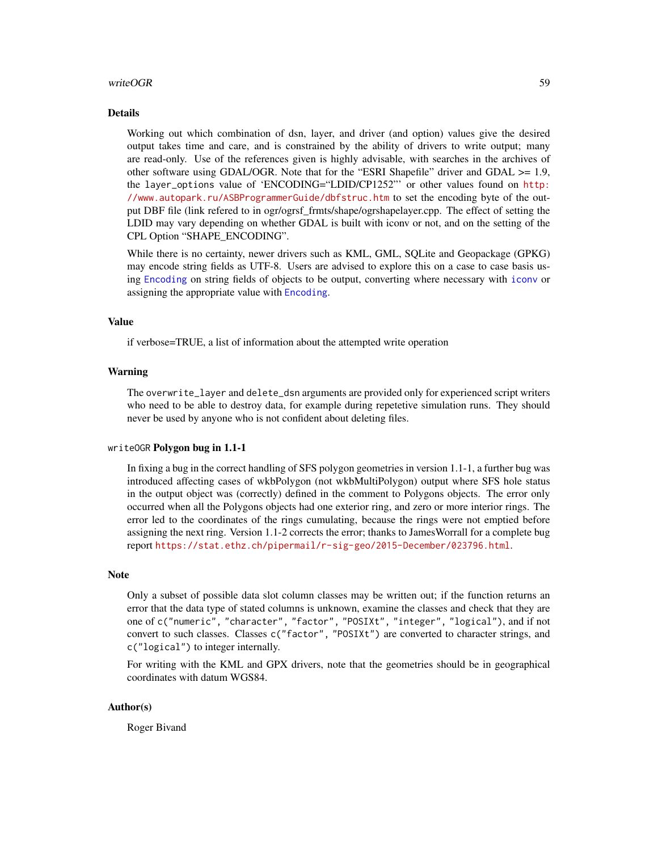#### <span id="page-58-0"></span>writeOGR 59

#### Details

Working out which combination of dsn, layer, and driver (and option) values give the desired output takes time and care, and is constrained by the ability of drivers to write output; many are read-only. Use of the references given is highly advisable, with searches in the archives of other software using GDAL/OGR. Note that for the "ESRI Shapefile" driver and GDAL >= 1.9, the layer\_options value of 'ENCODING="LDID/CP1252"' or other values found on [http:](http://www.autopark.ru/ASBProgrammerGuide/dbfstruc.htm) [//www.autopark.ru/ASBProgrammerGuide/dbfstruc.htm](http://www.autopark.ru/ASBProgrammerGuide/dbfstruc.htm) to set the encoding byte of the output DBF file (link refered to in ogr/ogrsf\_frmts/shape/ogrshapelayer.cpp. The effect of setting the LDID may vary depending on whether GDAL is built with iconv or not, and on the setting of the CPL Option "SHAPE\_ENCODING".

While there is no certainty, newer drivers such as KML, GML, SQLite and Geopackage (GPKG) may encode string fields as UTF-8. Users are advised to explore this on a case to case basis using [Encoding](#page-0-0) on string fields of objects to be output, converting where necessary with [iconv](#page-0-0) or assigning the appropriate value with [Encoding](#page-0-0).

#### Value

if verbose=TRUE, a list of information about the attempted write operation

## Warning

The overwrite\_layer and delete\_dsn arguments are provided only for experienced script writers who need to be able to destroy data, for example during repetetive simulation runs. They should never be used by anyone who is not confident about deleting files.

#### writeOGR Polygon bug in 1.1-1

In fixing a bug in the correct handling of SFS polygon geometries in version 1.1-1, a further bug was introduced affecting cases of wkbPolygon (not wkbMultiPolygon) output where SFS hole status in the output object was (correctly) defined in the comment to Polygons objects. The error only occurred when all the Polygons objects had one exterior ring, and zero or more interior rings. The error led to the coordinates of the rings cumulating, because the rings were not emptied before assigning the next ring. Version 1.1-2 corrects the error; thanks to JamesWorrall for a complete bug report <https://stat.ethz.ch/pipermail/r-sig-geo/2015-December/023796.html>.

#### Note

Only a subset of possible data slot column classes may be written out; if the function returns an error that the data type of stated columns is unknown, examine the classes and check that they are one of c("numeric", "character", "factor", "POSIXt", "integer", "logical"), and if not convert to such classes. Classes c("factor", "POSIXt") are converted to character strings, and c("logical") to integer internally.

For writing with the KML and GPX drivers, note that the geometries should be in geographical coordinates with datum WGS84.

#### Author(s)

Roger Bivand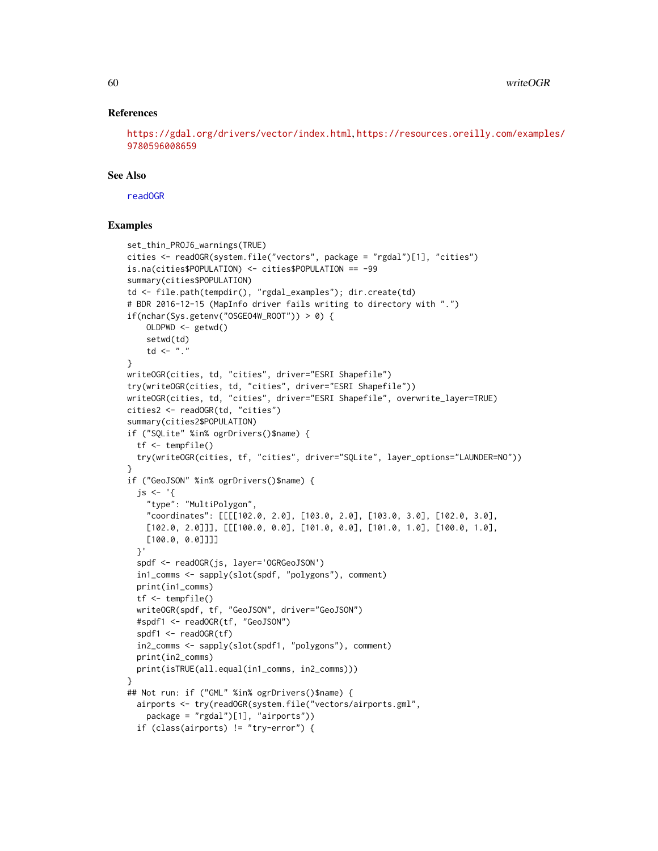## References

```
https://gdal.org/drivers/vector/index.html, https://resources.oreilly.com/examples/
9780596008659
```
#### See Also

[readOGR](#page-37-2)

```
set_thin_PROJ6_warnings(TRUE)
cities <- readOGR(system.file("vectors", package = "rgdal")[1], "cities")
is.na(cities$POPULATION) <- cities$POPULATION == -99
summary(cities$POPULATION)
td <- file.path(tempdir(), "rgdal_examples"); dir.create(td)
# BDR 2016-12-15 (MapInfo driver fails writing to directory with ".")
if(nchar(Sys.getenv("OSGEO4W_ROOT")) > 0) {
    OLDPWD <- getwd()
    setwd(td)
    td \leftarrow "."
}
writeOGR(cities, td, "cities", driver="ESRI Shapefile")
try(writeOGR(cities, td, "cities", driver="ESRI Shapefile"))
writeOGR(cities, td, "cities", driver="ESRI Shapefile", overwrite_layer=TRUE)
cities2 <- readOGR(td, "cities")
summary(cities2$POPULATION)
if ("SQLite" %in% ogrDrivers()$name) {
  tf <- tempfile()
  try(writeOGR(cities, tf, "cities", driver="SQLite", layer_options="LAUNDER=NO"))
}
if ("GeoJSON" %in% ogrDrivers()$name) {
  js \leftarrow '{
    "type": "MultiPolygon",
    "coordinates": [[[[102.0, 2.0], [103.0, 2.0], [103.0, 3.0], [102.0, 3.0],
    [102.0, 2.0]]], [[[100.0, 0.0], [101.0, 0.0], [101.0, 1.0], [100.0, 1.0],[100.0, 0.0]]]]
  }'
  spdf <- readOGR(js, layer='OGRGeoJSON')
  in1_comms <- sapply(slot(spdf, "polygons"), comment)
  print(in1_comms)
  tf <- tempfile()
  writeOGR(spdf, tf, "GeoJSON", driver="GeoJSON")
  #spdf1 <- readOGR(tf, "GeoJSON")
  spdf1 <- readOGR(tf)
  in2_comms <- sapply(slot(spdf1, "polygons"), comment)
  print(in2_comms)
  print(isTRUE(all.equal(in1_comms, in2_comms)))
}
## Not run: if ("GML" %in% ogrDrivers()$name) {
  airports <- try(readOGR(system.file("vectors/airports.gml",
   package = "rgdal")[1], "airports"))
  if (class(airports) != "try-error") {
```
<span id="page-59-0"></span>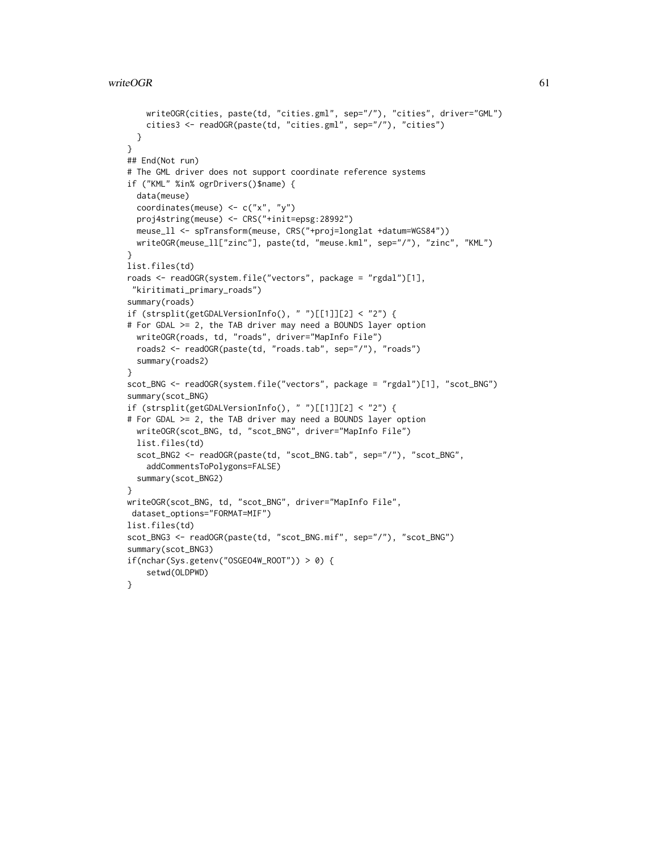```
writeOGR(cities, paste(td, "cities.gml", sep="/"), "cities", driver="GML")
   cities3 <- readOGR(paste(td, "cities.gml", sep="/"), "cities")
  }
}
## End(Not run)
# The GML driver does not support coordinate reference systems
if ("KML" %in% ogrDrivers()$name) {
  data(meuse)
  coordinates(meuse) <- c("x", "y")
  proj4string(meuse) <- CRS("+init=epsg:28992")
  meuse_ll <- spTransform(meuse, CRS("+proj=longlat +datum=WGS84"))
  writeOGR(meuse_ll["zinc"], paste(td, "meuse.kml", sep="/"), "zinc", "KML")
}
list.files(td)
roads <- readOGR(system.file("vectors", package = "rgdal")[1],
 "kiritimati_primary_roads")
summary(roads)
if (strsplit(getGDALVersionInfo(), " ")[[1]][2] < "2") {
# For GDAL >= 2, the TAB driver may need a BOUNDS layer option
  writeOGR(roads, td, "roads", driver="MapInfo File")
  roads2 <- readOGR(paste(td, "roads.tab", sep="/"), "roads")
  summary(roads2)
}
scot_BNG <- readOGR(system.file("vectors", package = "rgdal")[1], "scot_BNG")
summary(scot_BNG)
if (strsplit(getGDALVersionInfo(), " ")[[1]][2] < "2") {
# For GDAL >= 2, the TAB driver may need a BOUNDS layer option
  writeOGR(scot_BNG, td, "scot_BNG", driver="MapInfo File")
  list.files(td)
  scot_BNG2 <- readOGR(paste(td, "scot_BNG.tab", sep="/"), "scot_BNG",
    addCommentsToPolygons=FALSE)
  summary(scot_BNG2)
}
writeOGR(scot_BNG, td, "scot_BNG", driver="MapInfo File",
dataset_options="FORMAT=MIF")
list.files(td)
scot_BNG3 <- readOGR(paste(td, "scot_BNG.mif", sep="/"), "scot_BNG")
summary(scot_BNG3)
if(nchar(Sys.getenv("OSGEO4W_ROOT")) > 0) {
    setwd(OLDPWD)
}
```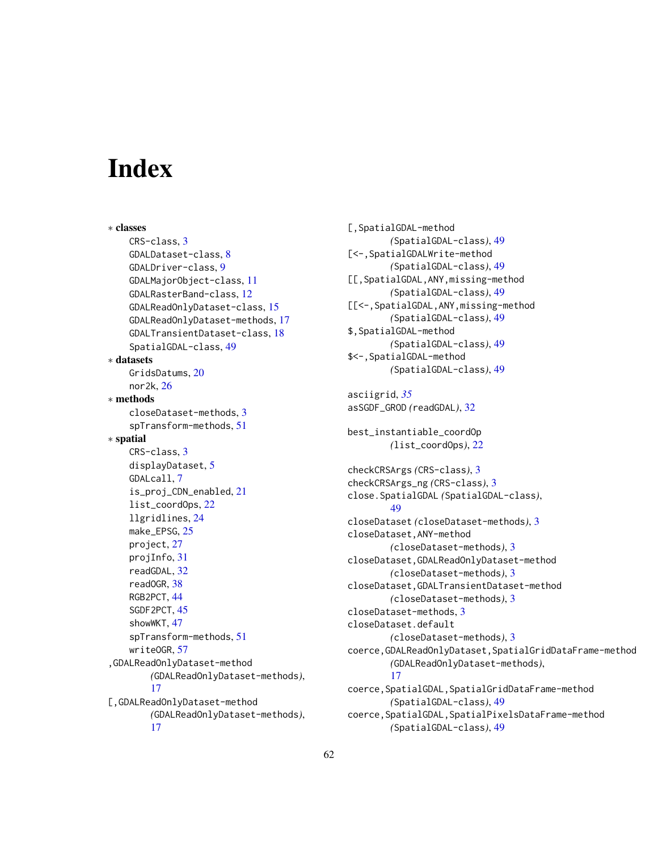# <span id="page-61-0"></span>**Index**

∗ classes CRS-class, [3](#page-2-0) GDALDataset-class, [8](#page-7-0) GDALDriver-class, [9](#page-8-0) GDALMajorObject-class, [11](#page-10-0) GDALRasterBand-class, [12](#page-11-0) GDALReadOnlyDataset-class, [15](#page-14-0) GDALReadOnlyDataset-methods, [17](#page-16-0) GDALTransientDataset-class, [18](#page-17-0) SpatialGDAL-class, [49](#page-48-0) ∗ datasets GridsDatums, [20](#page-19-0) nor2k, [26](#page-25-0) ∗ methods closeDataset-methods, [3](#page-2-0) spTransform-methods, [51](#page-50-0) ∗ spatial CRS-class, [3](#page-2-0) displayDataset, [5](#page-4-0) GDALcall, [7](#page-6-0) is\_proj\_CDN\_enabled, [21](#page-20-0) list\_coordOps, [22](#page-21-0) llgridlines, [24](#page-23-0) make\_EPSG, [25](#page-24-0) project, [27](#page-26-0) projInfo, [31](#page-30-0) readGDAL, [32](#page-31-0) readOGR, [38](#page-37-0) RGB2PCT, [44](#page-43-0) SGDF2PCT, [45](#page-44-0) showWKT, [47](#page-46-0) spTransform-methods, [51](#page-50-0) writeOGR, [57](#page-56-0) ,GDALReadOnlyDataset-method *(*GDALReadOnlyDataset-methods*)*, [17](#page-16-0) [,GDALReadOnlyDataset-method *(*GDALReadOnlyDataset-methods*)*, [17](#page-16-0)

[,SpatialGDAL-method *(*SpatialGDAL-class*)*, [49](#page-48-0) [<-,SpatialGDALWrite-method *(*SpatialGDAL-class*)*, [49](#page-48-0) [[,SpatialGDAL,ANY,missing-method *(*SpatialGDAL-class*)*, [49](#page-48-0) [[<-,SpatialGDAL,ANY,missing-method *(*SpatialGDAL-class*)*, [49](#page-48-0) \$,SpatialGDAL-method *(*SpatialGDAL-class*)*, [49](#page-48-0) \$<-,SpatialGDAL-method *(*SpatialGDAL-class*)*, [49](#page-48-0) asciigrid, *[35](#page-34-0)* asSGDF\_GROD *(*readGDAL*)*, [32](#page-31-0) best\_instantiable\_coordOp *(*list\_coordOps*)*, [22](#page-21-0) checkCRSArgs *(*CRS-class*)*, [3](#page-2-0) checkCRSArgs\_ng *(*CRS-class*)*, [3](#page-2-0) close.SpatialGDAL *(*SpatialGDAL-class*)*, [49](#page-48-0) closeDataset *(*closeDataset-methods*)*, [3](#page-2-0) closeDataset,ANY-method *(*closeDataset-methods*)*, [3](#page-2-0) closeDataset,GDALReadOnlyDataset-method *(*closeDataset-methods*)*, [3](#page-2-0) closeDataset,GDALTransientDataset-method *(*closeDataset-methods*)*, [3](#page-2-0) closeDataset-methods, [3](#page-2-0) closeDataset.default *(*closeDataset-methods*)*, [3](#page-2-0) coerce,GDALReadOnlyDataset,SpatialGridDataFrame-method *(*GDALReadOnlyDataset-methods*)*, [17](#page-16-0) coerce,SpatialGDAL,SpatialGridDataFrame-method *(*SpatialGDAL-class*)*, [49](#page-48-0) coerce,SpatialGDAL,SpatialPixelsDataFrame-method

*(*SpatialGDAL-class*)*, [49](#page-48-0)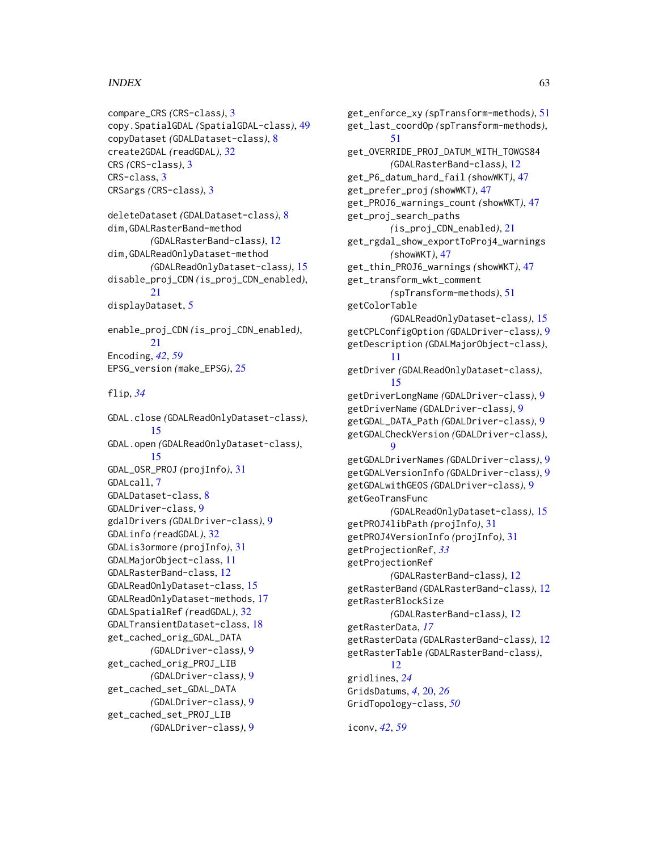### $I<sub>N</sub>DEX$  63

```
compare_CRS (CRS-class), 3
copy.SpatialGDAL (SpatialGDAL-class), 49
copyDataset (GDALDataset-class), 8
create2GDAL (readGDAL), 32
CRS (CRS-class), 3
CRS-class, 3
CRSargs (CRS-class), 3
deleteDataset (GDALDataset-class), 8
dim,GDALRasterBand-method
        (GDALRasterBand-class), 12
dim,GDALReadOnlyDataset-method
        (GDALReadOnlyDataset-class), 15
disable_proj_CDN (is_proj_CDN_enabled),
        21
displayDataset, 5
enable_proj_CDN (is_proj_CDN_enabled),
        21
Encoding, 42, 59
EPSG_version (make_EPSG), 25
flip, 34
GDAL.close (GDALReadOnlyDataset-class),
        15
GDAL.open (GDALReadOnlyDataset-class),
        15
GDAL_OSR_PROJ (projInfo), 31
GDALcall, 7
GDALDataset-class, 8
GDALDriver-class, 9
gdalDrivers (GDALDriver-class), 9
GDALinfo (readGDAL), 32
GDALis3ormore (projInfo), 31
GDALMajorObject-class, 11
GDALRasterBand-class, 12
GDALReadOnlyDataset-class, 15
GDALReadOnlyDataset-methods, 17
GDALSpatialRef (readGDAL), 32
GDALTransientDataset-class, 18
get_cached_orig_GDAL_DATA
        (GDALDriver-class), 9
get_cached_orig_PROJ_LIB
        (GDALDriver-class), 9
get_cached_set_GDAL_DATA
        (GDALDriver-class), 9
get_cached_set_PROJ_LIB
        (GDALDriver-class), 9
```
get\_enforce\_xy *(*spTransform-methods*)*, [51](#page-50-0) get\_last\_coordOp *(*spTransform-methods*)*, [51](#page-50-0) get\_OVERRIDE\_PROJ\_DATUM\_WITH\_TOWGS84 *(*GDALRasterBand-class*)*, [12](#page-11-0) get\_P6\_datum\_hard\_fail *(*showWKT*)*, [47](#page-46-0) get\_prefer\_proj *(*showWKT*)*, [47](#page-46-0) get\_PROJ6\_warnings\_count *(*showWKT*)*, [47](#page-46-0) get\_proj\_search\_paths *(*is\_proj\_CDN\_enabled*)*, [21](#page-20-0) get\_rgdal\_show\_exportToProj4\_warnings *(*showWKT*)*, [47](#page-46-0) get\_thin\_PROJ6\_warnings *(*showWKT*)*, [47](#page-46-0) get\_transform\_wkt\_comment *(*spTransform-methods*)*, [51](#page-50-0) getColorTable *(*GDALReadOnlyDataset-class*)*, [15](#page-14-0) getCPLConfigOption *(*GDALDriver-class*)*, [9](#page-8-0) getDescription *(*GDALMajorObject-class*)*, [11](#page-10-0) getDriver *(*GDALReadOnlyDataset-class*)*, [15](#page-14-0) getDriverLongName *(*GDALDriver-class*)*, [9](#page-8-0) getDriverName *(*GDALDriver-class*)*, [9](#page-8-0) getGDAL\_DATA\_Path *(*GDALDriver-class*)*, [9](#page-8-0) getGDALCheckVersion *(*GDALDriver-class*)*,  $\mathbf Q$ getGDALDriverNames *(*GDALDriver-class*)*, [9](#page-8-0) getGDALVersionInfo *(*GDALDriver-class*)*, [9](#page-8-0) getGDALwithGEOS *(*GDALDriver-class*)*, [9](#page-8-0) getGeoTransFunc *(*GDALReadOnlyDataset-class*)*, [15](#page-14-0) getPROJ4libPath *(*projInfo*)*, [31](#page-30-0) getPROJ4VersionInfo *(*projInfo*)*, [31](#page-30-0) getProjectionRef, *[33](#page-32-0)* getProjectionRef *(*GDALRasterBand-class*)*, [12](#page-11-0) getRasterBand *(*GDALRasterBand-class*)*, [12](#page-11-0) getRasterBlockSize *(*GDALRasterBand-class*)*, [12](#page-11-0) getRasterData, *[17](#page-16-0)* getRasterData *(*GDALRasterBand-class*)*, [12](#page-11-0) getRasterTable *(*GDALRasterBand-class*)*, [12](#page-11-0) gridlines, *[24](#page-23-0)* GridsDatums, *[4](#page-3-0)*, [20,](#page-19-0) *[26](#page-25-0)* GridTopology-class, *[50](#page-49-0)*

iconv, *[42](#page-41-0)*, *[59](#page-58-0)*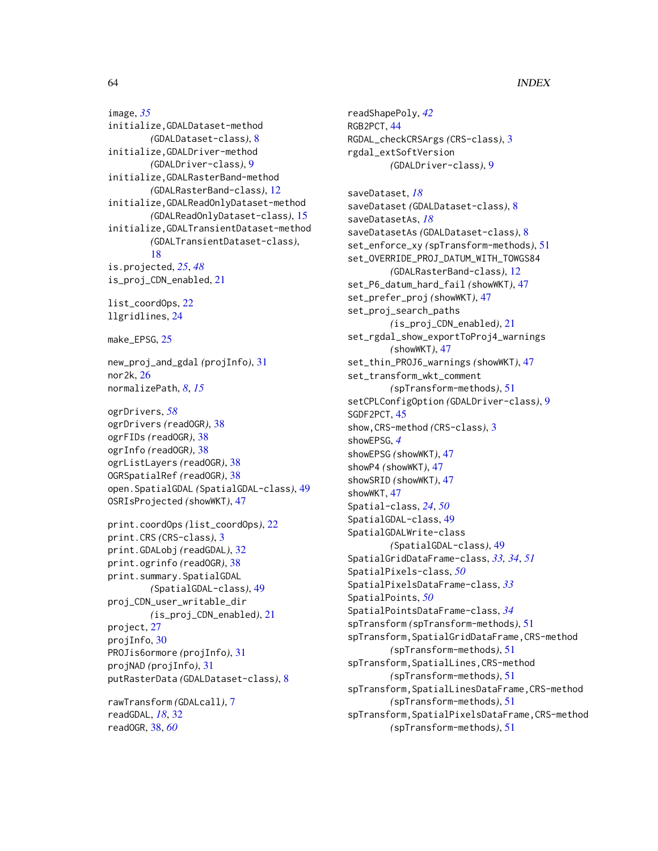## 64 INDEX

image, *[35](#page-34-0)* initialize,GDALDataset-method *(*GDALDataset-class*)*, [8](#page-7-0) initialize,GDALDriver-method *(*GDALDriver-class*)*, [9](#page-8-0) initialize,GDALRasterBand-method *(*GDALRasterBand-class*)*, [12](#page-11-0) initialize,GDALReadOnlyDataset-method *(*GDALReadOnlyDataset-class*)*, [15](#page-14-0) initialize,GDALTransientDataset-method *(*GDALTransientDataset-class*)*, [18](#page-17-0) is.projected, *[25](#page-24-0)*, *[48](#page-47-0)* is\_proj\_CDN\_enabled, [21](#page-20-0) list\_coordOps, [22](#page-21-0) llgridlines, [24](#page-23-0) make\_EPSG, [25](#page-24-0) new\_proj\_and\_gdal *(*projInfo*)*, [31](#page-30-0) nor2k, [26](#page-25-0) normalizePath, *[8](#page-7-0)*, *[15](#page-14-0)* ogrDrivers, *[58](#page-57-0)* ogrDrivers *(*readOGR*)*, [38](#page-37-0) ogrFIDs *(*readOGR*)*, [38](#page-37-0) ogrInfo *(*readOGR*)*, [38](#page-37-0) ogrListLayers *(*readOGR*)*, [38](#page-37-0) OGRSpatialRef *(*readOGR*)*, [38](#page-37-0) open.SpatialGDAL *(*SpatialGDAL-class*)*, [49](#page-48-0) OSRIsProjected *(*showWKT*)*, [47](#page-46-0) print.coordOps *(*list\_coordOps*)*, [22](#page-21-0) print.CRS *(*CRS-class*)*, [3](#page-2-0) print.GDALobj *(*readGDAL*)*, [32](#page-31-0) print.ogrinfo *(*readOGR*)*, [38](#page-37-0) print.summary.SpatialGDAL *(*SpatialGDAL-class*)*, [49](#page-48-0) proj\_CDN\_user\_writable\_dir *(*is\_proj\_CDN\_enabled*)*, [21](#page-20-0) project, [27](#page-26-0) projInfo, [30](#page-29-0) PROJis6ormore *(*projInfo*)*, [31](#page-30-0) projNAD *(*projInfo*)*, [31](#page-30-0) putRasterData *(*GDALDataset-class*)*, [8](#page-7-0)

rawTransform *(*GDALcall*)*, [7](#page-6-0) readGDAL, *[18](#page-17-0)*, [32](#page-31-0) readOGR, [38,](#page-37-0) *[60](#page-59-0)*

readShapePoly, *[42](#page-41-0)* RGB2PCT, [44](#page-43-0) RGDAL\_checkCRSArgs *(*CRS-class*)*, [3](#page-2-0) rgdal\_extSoftVersion *(*GDALDriver-class*)*, [9](#page-8-0) saveDataset, *[18](#page-17-0)* saveDataset *(*GDALDataset-class*)*, [8](#page-7-0) saveDatasetAs, *[18](#page-17-0)* saveDatasetAs *(*GDALDataset-class*)*, [8](#page-7-0) set\_enforce\_xy *(*spTransform-methods*)*, [51](#page-50-0) set\_OVERRIDE\_PROJ\_DATUM\_WITH\_TOWGS84 *(*GDALRasterBand-class*)*, [12](#page-11-0) set\_P6\_datum\_hard\_fail *(*showWKT*)*, [47](#page-46-0) set\_prefer\_proj *(*showWKT*)*, [47](#page-46-0) set\_proj\_search\_paths *(*is\_proj\_CDN\_enabled*)*, [21](#page-20-0) set\_rgdal\_show\_exportToProj4\_warnings *(*showWKT*)*, [47](#page-46-0) set\_thin\_PROJ6\_warnings *(*showWKT*)*, [47](#page-46-0) set\_transform\_wkt\_comment *(*spTransform-methods*)*, [51](#page-50-0) setCPLConfigOption *(*GDALDriver-class*)*, [9](#page-8-0) SGDF2PCT, [45](#page-44-0) show,CRS-method *(*CRS-class*)*, [3](#page-2-0) showEPSG, *[4](#page-3-0)* showEPSG *(*showWKT*)*, [47](#page-46-0) showP4 *(*showWKT*)*, [47](#page-46-0) showSRID *(*showWKT*)*, [47](#page-46-0) showWKT, [47](#page-46-0) Spatial-class, *[24](#page-23-0)*, *[50](#page-49-0)* SpatialGDAL-class, [49](#page-48-0) SpatialGDALWrite-class *(*SpatialGDAL-class*)*, [49](#page-48-0) SpatialGridDataFrame-class, *[33,](#page-32-0) [34](#page-33-0)*, *[51](#page-50-0)* SpatialPixels-class, *[50](#page-49-0)* SpatialPixelsDataFrame-class, *[33](#page-32-0)* SpatialPoints, *[50](#page-49-0)* SpatialPointsDataFrame-class, *[34](#page-33-0)* spTransform *(*spTransform-methods*)*, [51](#page-50-0) spTransform,SpatialGridDataFrame,CRS-method *(*spTransform-methods*)*, [51](#page-50-0) spTransform,SpatialLines,CRS-method *(*spTransform-methods*)*, [51](#page-50-0) spTransform,SpatialLinesDataFrame,CRS-method *(*spTransform-methods*)*, [51](#page-50-0) spTransform,SpatialPixelsDataFrame,CRS-method *(*spTransform-methods*)*, [51](#page-50-0)